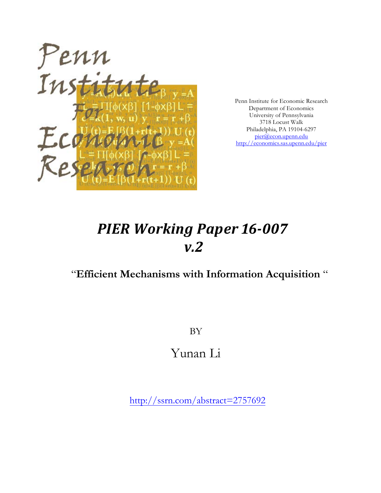

Penn Institute for Economic Research Department of Economics University of Pennsylvania 3718 Locust Walk Philadelphia, PA 19104-6297 [pier@econ.upenn.edu](mailto:pier@econ.upenn.edu) <http://economics.sas.upenn.edu/pier>

# *PIER Working Paper 16-007 v.2*

## "**Efficient Mechanisms with Information Acquisition** "

BY

Yunan Li

[http://ssrn.com/abstract](http://ssrn.com/abstract=2764458)=2757692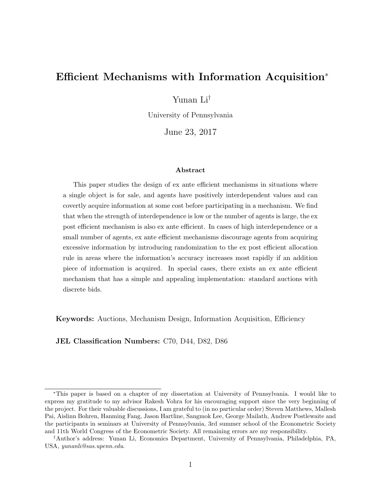## Efficient Mechanisms with Information Acquisition<sup>∗</sup>

Yunan Li†

University of Pennsylvania

June 23, 2017

#### Abstract

This paper studies the design of ex ante efficient mechanisms in situations where a single object is for sale, and agents have positively interdependent values and can covertly acquire information at some cost before participating in a mechanism. We find that when the strength of interdependence is low or the number of agents is large, the ex post efficient mechanism is also ex ante efficient. In cases of high interdependence or a small number of agents, ex ante efficient mechanisms discourage agents from acquiring excessive information by introducing randomization to the ex post efficient allocation rule in areas where the information's accuracy increases most rapidly if an addition piece of information is acquired. In special cases, there exists an ex ante efficient mechanism that has a simple and appealing implementation: standard auctions with discrete bids.

Keywords: Auctions, Mechanism Design, Information Acquisition, Efficiency

JEL Classification Numbers: C70, D44, D82, D86

<sup>∗</sup>This paper is based on a chapter of my dissertation at University of Pennsylvania. I would like to express my gratitude to my advisor Rakesh Vohra for his encouraging support since the very beginning of the project. For their valuable discussions, I am grateful to (in no particular order) Steven Matthews, Mallesh Pai, Aislinn Bohren, Hanming Fang, Jason Hartline, Sangmok Lee, George Mailath, Andrew Postlewaite and the participants in seminars at University of Pennsylvania, 3rd summer school of the Econometric Society and 11th World Congress of the Econometric Society. All remaining errors are my responsibility.

<sup>†</sup>Author's address: Yunan Li, Economics Department, University of Pennsylvania, Philadelphia, PA, USA, yunanli@sas.upenn.edu.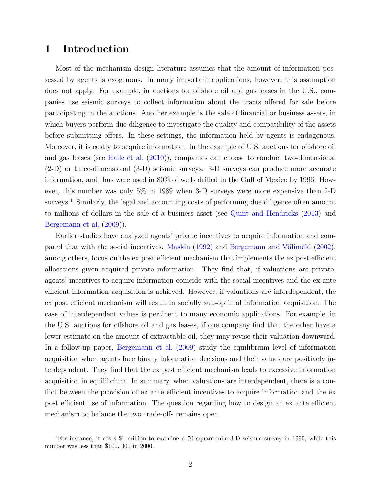## 1 Introduction

Most of the mechanism design literature assumes that the amount of information possessed by agents is exogenous. In many important applications, however, this assumption does not apply. For example, in auctions for offshore oil and gas leases in the U.S., companies use seismic surveys to collect information about the tracts offered for sale before participating in the auctions. Another example is the sale of financial or business assets, in which buyers perform due diligence to investigate the quality and compatibility of the assets before submitting offers. In these settings, the information held by agents is endogenous. Moreover, it is costly to acquire information. In the example of U.S. auctions for offshore oil and gas leases (see [Haile et al.](#page-86-0) [\(2010\)](#page-86-0)), companies can choose to conduct two-dimensional (2-D) or three-dimensional (3-D) seismic surveys. 3-D surveys can produce more accurate information, and thus were used in 80% of wells drilled in the Gulf of Mexico by 1996. However, this number was only 5% in 1989 when 3-D surveys were more expensive than 2-D surveys.<sup>[1](#page-2-0)</sup> Similarly, the legal and accounting costs of performing due diligence often amount to millions of dollars in the sale of a business asset (see [Quint and Hendricks](#page-87-0) [\(2013\)](#page-87-0) and [Bergemann et al.](#page-85-0) [\(2009\)](#page-85-0)).

Earlier studies have analyzed agents' private incentives to acquire information and com-pared that with the social incentives. [Maskin](#page-86-1)  $(1992)$  and Bergemann and Välimäki  $(2002)$ , among others, focus on the ex post efficient mechanism that implements the ex post efficient allocations given acquired private information. They find that, if valuations are private, agents' incentives to acquire information coincide with the social incentives and the ex ante efficient information acquisition is achieved. However, if valuations are interdependent, the ex post efficient mechanism will result in socially sub-optimal information acquisition. The case of interdependent values is pertinent to many economic applications. For example, in the U.S. auctions for offshore oil and gas leases, if one company find that the other have a lower estimate on the amount of extractable oil, they may revise their valuation downward. In a follow-up paper, [Bergemann et al.](#page-85-0) [\(2009\)](#page-85-0) study the equilibrium level of information acquisition when agents face binary information decisions and their values are positively interdependent. They find that the ex post efficient mechanism leads to excessive information acquisition in equilibrium. In summary, when valuations are interdependent, there is a conflict between the provision of ex ante efficient incentives to acquire information and the ex post efficient use of information. The question regarding how to design an ex ante efficient mechanism to balance the two trade-offs remains open.

<span id="page-2-0"></span><sup>1</sup>For instance, it costs \$1 million to examine a 50 square mile 3-D seismic survey in 1990, while this number was less than \$100, 000 in 2000.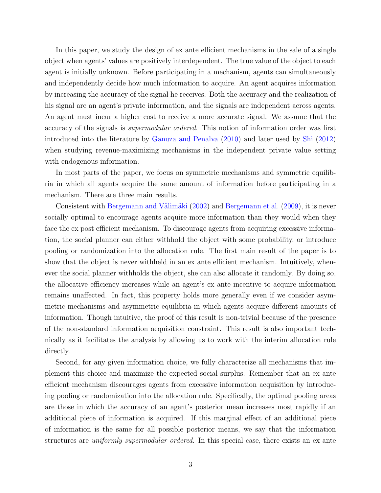In this paper, we study the design of ex ante efficient mechanisms in the sale of a single object when agents' values are positively interdependent. The true value of the object to each agent is initially unknown. Before participating in a mechanism, agents can simultaneously and independently decide how much information to acquire. An agent acquires information by increasing the accuracy of the signal he receives. Both the accuracy and the realization of his signal are an agent's private information, and the signals are independent across agents. An agent must incur a higher cost to receive a more accurate signal. We assume that the accuracy of the signals is supermodular ordered. This notion of information order was first introduced into the literature by [Ganuza and Penalva](#page-86-2) [\(2010\)](#page-86-2) and later used by [Shi](#page-87-1) [\(2012\)](#page-87-1) when studying revenue-maximizing mechanisms in the independent private value setting with endogenous information.

In most parts of the paper, we focus on symmetric mechanisms and symmetric equilibria in which all agents acquire the same amount of information before participating in a mechanism. There are three main results.

Consistent with Bergemann and Välimäki [\(2002\)](#page-85-1) and [Bergemann et al.](#page-85-0) [\(2009\)](#page-85-0), it is never socially optimal to encourage agents acquire more information than they would when they face the ex post efficient mechanism. To discourage agents from acquiring excessive information, the social planner can either withhold the object with some probability, or introduce pooling or randomization into the allocation rule. The first main result of the paper is to show that the object is never withheld in an ex ante efficient mechanism. Intuitively, whenever the social planner withholds the object, she can also allocate it randomly. By doing so, the allocative efficiency increases while an agent's ex ante incentive to acquire information remains unaffected. In fact, this property holds more generally even if we consider asymmetric mechanisms and asymmetric equilibria in which agents acquire different amounts of information. Though intuitive, the proof of this result is non-trivial because of the presence of the non-standard information acquisition constraint. This result is also important technically as it facilitates the analysis by allowing us to work with the interim allocation rule directly.

Second, for any given information choice, we fully characterize all mechanisms that implement this choice and maximize the expected social surplus. Remember that an ex ante efficient mechanism discourages agents from excessive information acquisition by introducing pooling or randomization into the allocation rule. Specifically, the optimal pooling areas are those in which the accuracy of an agent's posterior mean increases most rapidly if an additional piece of information is acquired. If this marginal effect of an additional piece of information is the same for all possible posterior means, we say that the information structures are *uniformly supermodular ordered*. In this special case, there exists an ex ante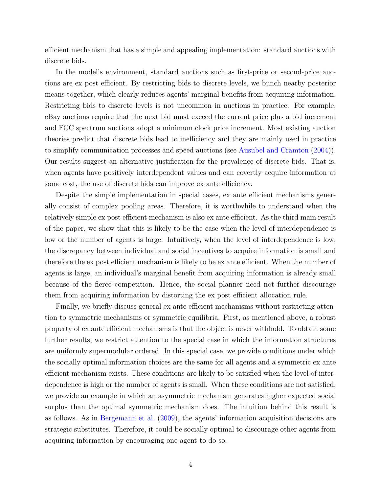efficient mechanism that has a simple and appealing implementation: standard auctions with discrete bids.

In the model's environment, standard auctions such as first-price or second-price auctions are ex post efficient. By restricting bids to discrete levels, we bunch nearby posterior means together, which clearly reduces agents' marginal benefits from acquiring information. Restricting bids to discrete levels is not uncommon in auctions in practice. For example, eBay auctions require that the next bid must exceed the current price plus a bid increment and FCC spectrum auctions adopt a minimum clock price increment. Most existing auction theories predict that discrete bids lead to inefficiency and they are mainly used in practice to simplify communication processes and speed auctions (see [Ausubel and Cramton](#page-85-2) [\(2004\)](#page-85-2)). Our results suggest an alternative justification for the prevalence of discrete bids. That is, when agents have positively interdependent values and can covertly acquire information at some cost, the use of discrete bids can improve ex ante efficiency.

Despite the simple implementation in special cases, ex ante efficient mechanisms generally consist of complex pooling areas. Therefore, it is worthwhile to understand when the relatively simple ex post efficient mechanism is also ex ante efficient. As the third main result of the paper, we show that this is likely to be the case when the level of interdependence is low or the number of agents is large. Intuitively, when the level of interdependence is low, the discrepancy between individual and social incentives to acquire information is small and therefore the ex post efficient mechanism is likely to be ex ante efficient. When the number of agents is large, an individual's marginal benefit from acquiring information is already small because of the fierce competition. Hence, the social planner need not further discourage them from acquiring information by distorting the ex post efficient allocation rule.

Finally, we briefly discuss general ex ante efficient mechanisms without restricting attention to symmetric mechanisms or symmetric equilibria. First, as mentioned above, a robust property of ex ante efficient mechanisms is that the object is never withhold. To obtain some further results, we restrict attention to the special case in which the information structures are uniformly supermodular ordered. In this special case, we provide conditions under which the socially optimal information choices are the same for all agents and a symmetric ex ante efficient mechanism exists. These conditions are likely to be satisfied when the level of interdependence is high or the number of agents is small. When these conditions are not satisfied, we provide an example in which an asymmetric mechanism generates higher expected social surplus than the optimal symmetric mechanism does. The intuition behind this result is as follows. As in [Bergemann et al.](#page-85-0) [\(2009\)](#page-85-0), the agents' information acquisition decisions are strategic substitutes. Therefore, it could be socially optimal to discourage other agents from acquiring information by encouraging one agent to do so.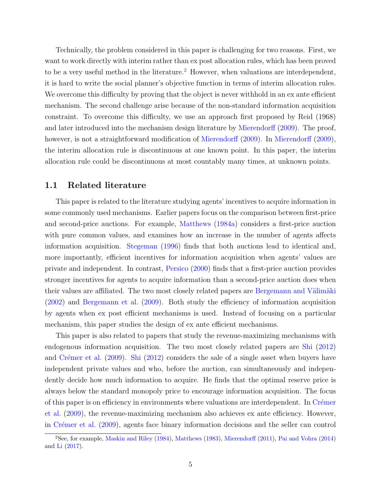Technically, the problem considered in this paper is challenging for two reasons. First, we want to work directly with interim rather than ex post allocation rules, which has been proved to be a very useful method in the literature.<sup>[2](#page-5-0)</sup> However, when valuations are interdependent, it is hard to write the social planner's objective function in terms of interim allocation rules. We overcome this difficulty by proving that the object is never withhold in an ex ante efficient mechanism. The second challenge arise because of the non-standard information acquisition constraint. To overcome this difficulty, we use an approach first proposed by Reid (1968) and later introduced into the mechanism design literature by [Mierendorff](#page-87-2) [\(2009\)](#page-87-2). The proof, however, is not a straightforward modification of [Mierendorff](#page-87-2) [\(2009\)](#page-87-2). In Mierendorff (2009), the interim allocation rule is discontinuous at one known point. In this paper, the interim allocation rule could be discontinuous at most countably many times, at unknown points.

#### 1.1 Related literature

This paper is related to the literature studying agents' incentives to acquire information in some commonly used mechanisms. Earlier papers focus on the comparison between first-price and second-price auctions. For example, [Matthews](#page-86-3) [\(1984a\)](#page-86-3) considers a first-price auction with pure common values, and examines how an increase in the number of agents affects information acquisition. [Stegeman](#page-87-3) [\(1996\)](#page-87-3) finds that both auctions lead to identical and, more importantly, efficient incentives for information acquisition when agents' values are private and independent. In contrast, [Persico](#page-87-4) [\(2000\)](#page-87-4) finds that a first-price auction provides stronger incentives for agents to acquire information than a second-price auction does when their values are affiliated. The two most closely related papers are Bergemann and Välimäki [\(2002\)](#page-85-1) and [Bergemann et al.](#page-85-0) [\(2009\)](#page-85-0). Both study the efficiency of information acquisition by agents when ex post efficient mechanisms is used. Instead of focusing on a particular mechanism, this paper studies the design of ex ante efficient mechanisms.

This paper is also related to papers that study the revenue-maximizing mechanisms with endogenous information acquisition. The two most closely related papers are [Shi](#page-87-1) [\(2012\)](#page-87-1) and Crémer et al.  $(2009)$ . [Shi](#page-87-1)  $(2012)$  considers the sale of a single asset when buyers have independent private values and who, before the auction, can simultaneously and independently decide how much information to acquire. He finds that the optimal reserve price is always below the standard monopoly price to encourage information acquisition. The focus of this paper is on efficiency in environments where valuations are interdependent. In Crémer [et al.](#page-85-3) [\(2009\)](#page-85-3), the revenue-maximizing mechanism also achieves ex ante efficiency. However, in Crémer et al. [\(2009\)](#page-85-3), agents face binary information decisions and the seller can control

<span id="page-5-0"></span><sup>2</sup>See, for example, [Maskin and Riley](#page-86-4) [\(1984\)](#page-86-4), [Matthews](#page-86-5) [\(1983\)](#page-86-5), [Mierendorff](#page-87-5) [\(2011\)](#page-87-5), [Pai and Vohra](#page-87-6) [\(2014\)](#page-87-6) and [Li](#page-86-6) [\(2017\)](#page-86-6).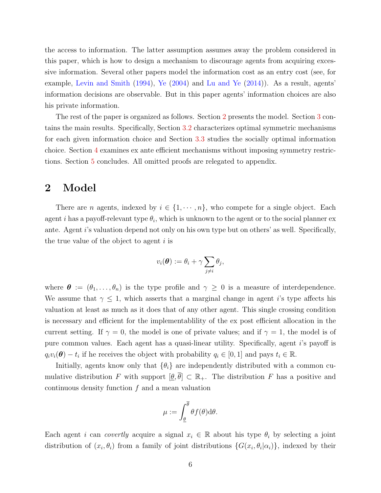the access to information. The latter assumption assumes away the problem considered in this paper, which is how to design a mechanism to discourage agents from acquiring excessive information. Several other papers model the information cost as an entry cost (see, for example, [Levin and Smith](#page-86-7) [\(1994\)](#page-86-7), [Ye](#page-87-7) [\(2004\)](#page-87-7) and [Lu and Ye](#page-86-8) [\(2014\)](#page-86-8)). As a result, agents' information decisions are observable. But in this paper agents' information choices are also his private information.

The rest of the paper is organized as follows. Section [2](#page-6-0) presents the model. Section [3](#page-12-0) contains the main results. Specifically, Section [3.2](#page-19-0) characterizes optimal symmetric mechanisms for each given information choice and Section [3.3](#page-27-0) studies the socially optimal information choice. Section [4](#page-31-0) examines ex ante efficient mechanisms without imposing symmetry restrictions. Section [5](#page-36-0) concludes. All omitted proofs are relegated to appendix.

## <span id="page-6-0"></span>2 Model

There are *n* agents, indexed by  $i \in \{1, \dots, n\}$ , who compete for a single object. Each agent *i* has a payoff-relevant type  $\theta_i$ , which is unknown to the agent or to the social planner ex ante. Agent i's valuation depend not only on his own type but on others' as well. Specifically, the true value of the object to agent  $i$  is

$$
v_i(\boldsymbol{\theta}) := \theta_i + \gamma \sum_{j \neq i} \theta_j,
$$

where  $\boldsymbol{\theta} := (\theta_1, \dots, \theta_n)$  is the type profile and  $\gamma \geq 0$  is a measure of interdependence. We assume that  $\gamma \leq 1$ , which asserts that a marginal change in agent i's type affects his valuation at least as much as it does that of any other agent. This single crossing condition is necessary and efficient for the implementablility of the ex post efficient allocation in the current setting. If  $\gamma = 0$ , the model is one of private values; and if  $\gamma = 1$ , the model is of pure common values. Each agent has a quasi-linear utility. Specifically, agent i's payoff is  $q_i v_i(\boldsymbol{\theta}) - t_i$  if he receives the object with probability  $q_i \in [0, 1]$  and pays  $t_i \in \mathbb{R}$ .

Initially, agents know only that  $\{\theta_i\}$  are independently distributed with a common cumulative distribution F with support  $[\underline{\theta}, \overline{\theta}] \subset \mathbb{R}_+$ . The distribution F has a positive and continuous density function  $f$  and a mean valuation

$$
\mu := \int_{\underline{\theta}}^{\overline{\theta}} \theta f(\theta) \mathrm{d} \theta.
$$

Each agent i can *covertly* acquire a signal  $x_i \in \mathbb{R}$  about his type  $\theta_i$  by selecting a joint distribution of  $(x_i, \theta_i)$  from a family of joint distributions  $\{G(x_i, \theta_i | \alpha_i)\}\$ , indexed by their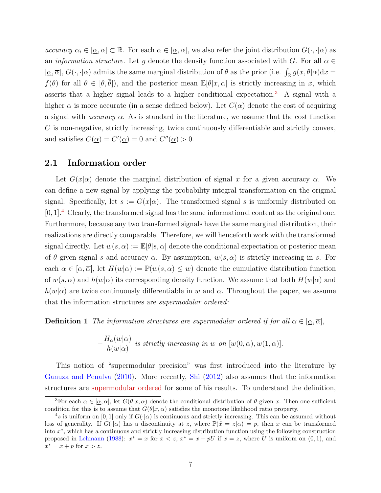accuracy  $\alpha_i \in [\alpha, \overline{\alpha}] \subset \mathbb{R}$ . For each  $\alpha \in [\alpha, \overline{\alpha}]$ , we also refer the joint distribution  $G(\cdot, \cdot | \alpha)$  as an *information structure*. Let g denote the density function associated with G. For all  $\alpha \in$  $[\underline{\alpha}, \overline{\alpha}], G(\cdot, \cdot | \alpha)$  admits the same marginal distribution of  $\theta$  as the prior (i.e.  $\int_{\mathbb{R}} g(x, \theta | \alpha) dx =$  $f(\theta)$  for all  $\theta \in [\theta, \overline{\theta}]$ , and the posterior mean  $\mathbb{E}[\theta|x, \alpha]$  is strictly increasing in x, which asserts that a higher signal leads to a higher conditional expectation.<sup>[3](#page-7-0)</sup> A signal with a higher  $\alpha$  is more accurate (in a sense defined below). Let  $C(\alpha)$  denote the cost of acquiring a signal with *accuracy*  $\alpha$ . As is standard in the literature, we assume that the cost function C is non-negative, strictly increasing, twice continuously differentiable and strictly convex, and satisfies  $C(\underline{\alpha}) = C'(\underline{\alpha}) = 0$  and  $C''(\underline{\alpha}) > 0$ .

#### 2.1 Information order

Let  $G(x|\alpha)$  denote the marginal distribution of signal x for a given accuracy  $\alpha$ . We can define a new signal by applying the probability integral transformation on the original signal. Specifically, let  $s := G(x|\alpha)$ . The transformed signal s is uniformly distributed on [0, 1].[4](#page-7-1) Clearly, the transformed signal has the same informational content as the original one. Furthermore, because any two transformed signals have the same marginal distribution, their realizations are directly comparable. Therefore, we will henceforth work with the transformed signal directly. Let  $w(s, \alpha) := \mathbb{E}[\theta] s, \alpha]$  denote the conditional expectation or posterior mean of  $\theta$  given signal s and accuracy  $\alpha$ . By assumption,  $w(s, \alpha)$  is strictly increasing in s. For each  $\alpha \in [\alpha, \overline{\alpha}]$ , let  $H(w|\alpha) := \mathbb{P}(w(s, \alpha) \leq w)$  denote the cumulative distribution function of  $w(s, \alpha)$  and  $h(w|\alpha)$  its corresponding density function. We assume that both  $H(w|\alpha)$  and  $h(w|\alpha)$  are twice continuously differentiable in w and  $\alpha$ . Throughout the paper, we assume that the information structures are supermodular ordered:

**Definition 1** The information structures are supermodular ordered if for all  $\alpha \in [\alpha, \overline{\alpha}]$ ,

<span id="page-7-2"></span>
$$
-\frac{H_{\alpha}(w|\alpha)}{h(w|\alpha)}
$$
 is strictly increasing in w on  $[w(0, \alpha), w(1, \alpha)].$ 

This notion of "supermodular precision" was first introduced into the literature by [Ganuza and Penalva](#page-86-2) [\(2010\)](#page-86-2). More recently, [Shi](#page-87-1) [\(2012\)](#page-87-1) also assumes that the information structures are [supermodular ordered](#page-7-2) for some of his results. To understand the definition,

<span id="page-7-0"></span><sup>&</sup>lt;sup>3</sup>For each  $\alpha \in [\alpha, \overline{\alpha}]$ , let  $G(\theta|x, \alpha)$  denote the conditional distribution of  $\theta$  given x. Then one sufficient condition for this is to assume that  $G(\theta|x,\alpha)$  satisfies the monotone likelihood ratio property.

<span id="page-7-1"></span><sup>&</sup>lt;sup>4</sup>s is uniform on [0, 1] only if  $G(\cdot|\alpha)$  is continuous and strictly increasing. This can be assumed without loss of generality. If  $G(\cdot|\alpha)$  has a discontinuity at z, where  $\mathbb{P}(\tilde{x} = z|\alpha) = p$ , then x can be transformed into x ∗ , which has a continuous and strictly increasing distribution function using the following construction proposed in [Lehmann](#page-86-9) [\(1988\)](#page-86-9):  $x^* = x$  for  $x < z$ ,  $x^* = x + pU$  if  $x = z$ , where U is uniform on (0, 1), and  $x^* = x + p$  for  $x > z$ .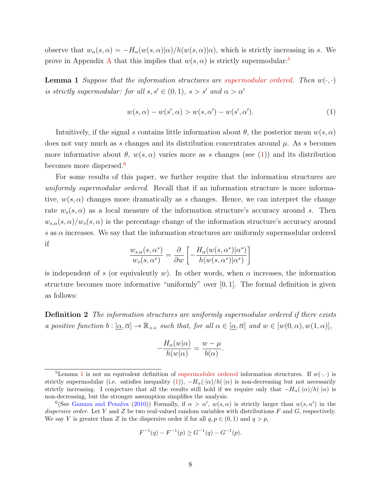observe that  $w_{\alpha}(s, \alpha) = -H_{\alpha}(w(s, \alpha)|\alpha)/h(w(s, \alpha)|\alpha)$ , which is strictly increasing in s. We prove in [A](#page-36-1)ppendix A that this implies that  $w(s, \alpha)$  is strictly supermodular:<sup>[5](#page-8-0)</sup>

<span id="page-8-3"></span>**Lemma 1** Suppose that the information structures are [supermodular ordered.](#page-7-2) Then  $w(\cdot, \cdot)$ is strictly supermodular: for all  $s, s' \in (0, 1), s > s'$  and  $\alpha > \alpha'$ 

<span id="page-8-1"></span>
$$
w(s,\alpha) - w(s',\alpha) > w(s,\alpha') - w(s',\alpha').
$$
\n<sup>(1)</sup>

Intuitively, if the signal s contains little information about  $\theta$ , the posterior mean  $w(s, \alpha)$ does not vary much as s changes and its distribution concentrates around  $\mu$ . As s becomes more informative about  $\theta$ ,  $w(s, \alpha)$  varies more as s changes (see [\(1\)](#page-8-1)) and its distribution becomes more dispersed.<sup>[6](#page-8-2)</sup>

For some results of this paper, we further require that the information structures are uniformly supermodular ordered. Recall that if an information structure is more informative,  $w(s, \alpha)$  changes more dramatically as s changes. Hence, we can interpret the change rate  $w_s(s, \alpha)$  as a local measure of the information structure's accuracy around s. Then  $w_{s,\alpha}(s,\alpha)/w_s(s,\alpha)$  is the percentage change of the information structure's accuracy around s as  $\alpha$  increases. We say that the information structures are uniformly supermodular ordered if

$$
\frac{w_{s,\alpha}(s,\alpha^*)}{w_s(s,\alpha^*)} = \frac{\partial}{\partial w} \left[ -\frac{H_\alpha(w(s,\alpha^*)|\alpha^*)}{h(w(s,\alpha^*)|\alpha^*)} \right]
$$

is independent of s (or equivalently w). In other words, when  $\alpha$  increases, the information structure becomes more informative "uniformly" over [0, 1]. The formal definition is given as follows:

Definition 2 The information structures are uniformly supermodular ordered if there exists a positive function  $b : [\alpha, \overline{\alpha}] \to \mathbb{R}_{++}$  such that, for all  $\alpha \in [\alpha, \overline{\alpha}]$  and  $w \in [w(0, \alpha), w(1, \alpha)],$ 

<span id="page-8-4"></span>
$$
-\frac{H_{\alpha}(w|\alpha)}{h(w|\alpha)} = \frac{w - \mu}{b(\alpha)}.
$$

$$
F^{-1}(q) - F^{-1}(p) \ge G^{-1}(q) - G^{-1}(p).
$$

<span id="page-8-0"></span><sup>&</sup>lt;sup>5</sup>Lemma [1](#page-8-3) is not an equivalent definition of [supermoduler ordered](#page-7-2) information structures. If  $w(\cdot, \cdot)$  is strictly supermodular (i.e. satisfies inequality [\(1\)](#page-8-1)),  $-H_{\alpha}(\cdot|\alpha)/h(\cdot|\alpha)$  is non-decreasing but not necessarily strictly increasing. I conjecture that all the results still hold if we require only that  $-H_{\alpha}(\cdot|\alpha)/h(\cdot|\alpha)$  is non-decreasing, but the stronger assumption simplifies the analysis.

<span id="page-8-2"></span><sup>&</sup>lt;sup>6</sup>(See [Ganuza and Penalva](#page-86-2) [\(2010\)](#page-86-2)) Formally, if  $\alpha > \alpha'$ ,  $w(s, \alpha)$  is strictly larger than  $w(s, \alpha')$  in the dispersive order. Let Y and Z be two real-valued random variables with distributions  $F$  and  $G$ , respectively. We say Y is greater than Z in the dispersive order if for all  $q, p \in (0, 1)$  and  $q > p$ ,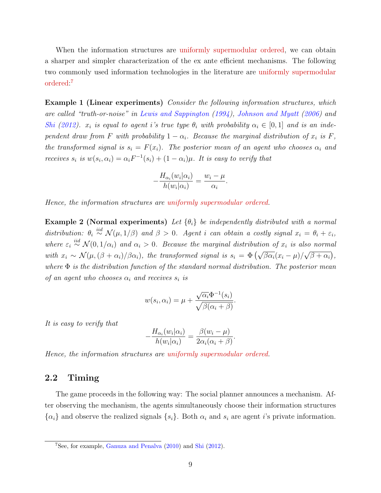When the information structures are [uniformly supermodular ordered,](#page-8-4) we can obtain a sharper and simpler characterization of the ex ante efficient mechanisms. The following two commonly used information technologies in the literature are [uniformly supermodular](#page-8-4) [ordered:](#page-8-4) [7](#page-9-0)

<span id="page-9-1"></span>Example 1 (Linear experiments) Consider the following information structures, which are called "truth-or-noise" in [Lewis and Sappington](#page-86-10) [\(1994\)](#page-86-10), [Johnson and Myatt](#page-86-11) [\(2006\)](#page-86-11) and [Shi](#page-87-1) [\(2012\)](#page-87-1).  $x_i$  is equal to agent i's true type  $\theta_i$  with probability  $\alpha_i \in [0,1]$  and is an independent draw from F with probability  $1 - \alpha_i$ . Because the marginal distribution of  $x_i$  is F, the transformed signal is  $s_i = F(x_i)$ . The posterior mean of an agent who chooses  $\alpha_i$  and receives  $s_i$  is  $w(s_i, \alpha_i) = \alpha_i F^{-1}(s_i) + (1 - \alpha_i)\mu$ . It is easy to verify that

$$
-\frac{H_{\alpha_i}(w_i|\alpha_i)}{h(w_i|\alpha_i)}=\frac{w_i-\mu}{\alpha_i}.
$$

Hence, the information structures are [uniformly supermodular ordered.](#page-8-4)

Example 2 (Normal experiments) Let  $\{\theta_i\}$  be independently distributed with a normal distribution:  $\theta_i \stackrel{iid}{\sim} \mathcal{N}(\mu, 1/\beta)$  and  $\beta > 0$ . Agent i can obtain a costly signal  $x_i = \theta_i + \varepsilon_i$ , where  $\varepsilon_i \stackrel{iid}{\sim} \mathcal{N}(0, 1/\alpha_i)$  and  $\alpha_i > 0$ . Because the marginal distribution of  $x_i$  is also normal with  $x_i \sim \mathcal{N}(\mu, (\beta + \alpha_i)/\beta \alpha_i)$ , the transformed signal is  $s_i = \Phi\left(\sqrt{\beta \alpha_i}(x_i - \mu)/\beta \alpha_i\right)$ √  $\overline{\beta+\alpha_i},$ where  $\Phi$  is the distribution function of the standard normal distribution. The posterior mean of an agent who chooses  $\alpha_i$  and receives  $s_i$  is

$$
w(s_i, \alpha_i) = \mu + \frac{\sqrt{\alpha_i} \Phi^{-1}(s_i)}{\sqrt{\beta(\alpha_i + \beta)}}.
$$

It is easy to verify that

$$
-\frac{H_{\alpha_i}(w_i|\alpha_i)}{h(w_i|\alpha_i)} = \frac{\beta(w_i - \mu)}{2\alpha_i(\alpha_i + \beta)}
$$

.

Hence, the information structures are [uniformly supermodular ordered.](#page-8-4)

#### 2.2 Timing

The game proceeds in the following way: The social planner announces a mechanism. After observing the mechanism, the agents simultaneously choose their information structures  $\{\alpha_i\}$  and observe the realized signals  $\{s_i\}$ . Both  $\alpha_i$  and  $s_i$  are agent i's private information.

<span id="page-9-0"></span><sup>7</sup>See, for example, [Ganuza and Penalva](#page-86-2) [\(2010\)](#page-86-2) and [Shi](#page-87-1) [\(2012\)](#page-87-1).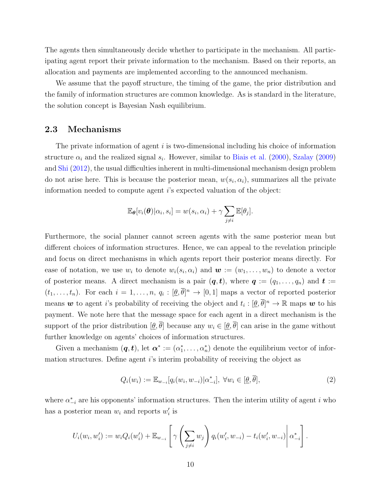The agents then simultaneously decide whether to participate in the mechanism. All participating agent report their private information to the mechanism. Based on their reports, an allocation and payments are implemented according to the announced mechanism.

We assume that the payoff structure, the timing of the game, the prior distribution and the family of information structures are common knowledge. As is standard in the literature, the solution concept is Bayesian Nash equilibrium.

#### 2.3 Mechanisms

The private information of agent i is two-dimensional including his choice of information structure  $\alpha_i$  and the realized signal  $s_i$ . However, similar to [Biais et al.](#page-85-4) [\(2000\)](#page-85-4), [Szalay](#page-87-8) [\(2009\)](#page-87-8) and [Shi](#page-87-1) [\(2012\)](#page-87-1), the usual difficulties inherent in multi-dimensional mechanism design problem do not arise here. This is because the posterior mean,  $w(s_i, \alpha_i)$ , summarizes all the private information needed to compute agent i's expected valuation of the object:

$$
\mathbb{E}_{\boldsymbol{\theta}}[v_i(\boldsymbol{\theta})|\alpha_i,s_i] = w(s_i,\alpha_i) + \gamma \sum_{j \neq i} \mathbb{E}[\theta_j].
$$

Furthermore, the social planner cannot screen agents with the same posterior mean but different choices of information structures. Hence, we can appeal to the revelation principle and focus on direct mechanisms in which agents report their posterior means directly. For ease of notation, we use  $w_i$  to denote  $w_i(s_i, \alpha_i)$  and  $\boldsymbol{w} := (w_1, \ldots, w_n)$  to denote a vector of posterior means. A direct mechanism is a pair  $(q, t)$ , where  $q := (q_1, \ldots, q_n)$  and  $t :=$  $(t_1,\ldots,t_n)$ . For each  $i=1,\ldots,n$ ,  $q_i: [\underline{\theta},\overline{\theta}]^n \to [0,1]$  maps a vector of reported posterior means  $w$  to agent *i*'s probability of receiving the object and  $t_i : [\underline{\theta}, \overline{\theta}]^n \to \mathbb{R}$  maps  $w$  to his payment. We note here that the message space for each agent in a direct mechanism is the support of the prior distribution  $[\underline{\theta}, \overline{\theta}]$  because any  $w_i \in [\underline{\theta}, \overline{\theta}]$  can arise in the game without further knowledge on agents' choices of information structures.

Given a mechanism  $(q, t)$ , let  $\alpha^* := (\alpha_1^*, \dots, \alpha_n^*)$  denote the equilibrium vector of information structures. Define agent i's interim probability of receiving the object as

<span id="page-10-0"></span>
$$
Q_i(w_i) := \mathbb{E}_{w_{-i}}[q_i(w_i, w_{-i}) | \alpha_{-i}^*], \ \forall w_i \in [\underline{\theta}, \overline{\theta}], \tag{2}
$$

where  $\alpha_{-i}^*$  are his opponents' information structures. Then the interim utility of agent i who has a posterior mean  $w_i$  and reports  $w'_i$  is

$$
U_i(w_i, w'_i) := w_i Q_i(w'_i) + \mathbb{E}_{w_{-i}} \left[ \gamma \left( \sum_{j \neq i} w_j \right) q_i(w'_i, w_{-i}) - t_i(w'_i, w_{-i}) \middle| \alpha^*_{-i} \right].
$$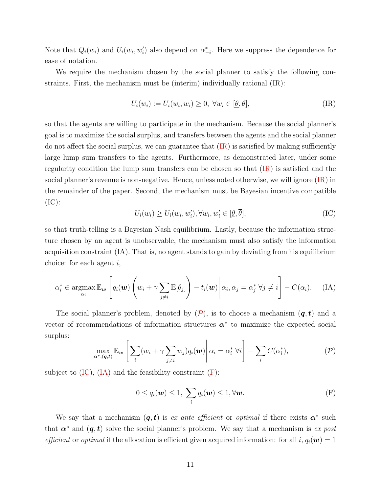Note that  $Q_i(w_i)$  and  $U_i(w_i, w'_i)$  also depend on  $\alpha^*_{-i}$ . Here we suppress the dependence for ease of notation.

We require the mechanism chosen by the social planner to satisfy the following constraints. First, the mechanism must be (interim) individually rational (IR):

<span id="page-11-0"></span>
$$
U_i(w_i) := U_i(w_i, w_i) \ge 0, \ \forall w_i \in [\underline{\theta}, \overline{\theta}], \tag{IR}
$$

so that the agents are willing to participate in the mechanism. Because the social planner's goal is to maximize the social surplus, and transfers between the agents and the social planner do not affect the social surplus, we can guarantee that  $(\text{IR})$  is satisfied by making sufficiently large lump sum transfers to the agents. Furthermore, as demonstrated later, under some regularity condition the lump sum transfers can be chosen so that [\(IR\)](#page-11-0) is satisfied and the social planner's revenue is non-negative. Hence, unless noted otherwise, we will ignore [\(IR\)](#page-11-0) in the remainder of the paper. Second, the mechanism must be Bayesian incentive compatible  $(IC):$ 

<span id="page-11-3"></span><span id="page-11-2"></span>
$$
U_i(w_i) \ge U_i(w_i, w'_i), \forall w_i, w'_i \in [\underline{\theta}, \overline{\theta}], \tag{IC}
$$

so that truth-telling is a Bayesian Nash equilibrium. Lastly, because the information structure chosen by an agent is unobservable, the mechanism must also satisfy the information acquisition constraint (IA). That is, no agent stands to gain by deviating from his equilibrium choice: for each agent  $i$ ,

$$
\alpha_i^* \in \operatorname*{argmax}_{\alpha_i} \mathbb{E}_{\mathbf{w}} \left[ q_i(\mathbf{w}) \left( w_i + \gamma \sum_{j \neq i} \mathbb{E}[\theta_j] \right) - t_i(\mathbf{w}) \middle| \alpha_i, \alpha_j = \alpha_j^* \ \forall j \neq i \right] - C(\alpha_i). \tag{IA}
$$

The social planner's problem, denoted by  $(\mathcal{P})$  $(\mathcal{P})$  $(\mathcal{P})$ , is to choose a mechanism  $(q, t)$  and a vector of recommendations of information structures  $\alpha^*$  to maximize the expected social surplus:

$$
\max_{\boldsymbol{\alpha}^*, (\boldsymbol{q}, \boldsymbol{t})} \mathbb{E}_{\boldsymbol{w}} \left[ \sum_i (w_i + \gamma \sum_{j \neq i} w_j) q_i(\boldsymbol{w}) \middle| \alpha_i = \alpha_i^* \ \forall i \right] - \sum_i C(\alpha_i^*), \tag{P}
$$

subject to  $(IC)$ ,  $(IA)$  and the feasibility constraint  $(F)$ :

<span id="page-11-4"></span><span id="page-11-1"></span>
$$
0 \le q_i(\boldsymbol{w}) \le 1, \ \sum_i q_i(\boldsymbol{w}) \le 1, \forall \boldsymbol{w}.
$$
 (F)

We say that a mechanism  $(q, t)$  is ex ante efficient or optimal if there exists  $\alpha^*$  such that  $\alpha^*$  and  $(q, t)$  solve the social planner's problem. We say that a mechanism is ex post efficient or *optimal* if the allocation is efficient given acquired information: for all i,  $q_i(\boldsymbol{w}) = 1$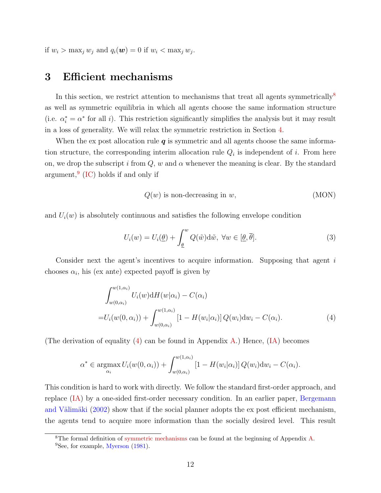if  $w_i > \max_j w_j$  and  $q_i(\boldsymbol{w}) = 0$  if  $w_i < \max_j w_j$ .

## <span id="page-12-0"></span>3 Efficient mechanisms

In this section, we restrict attention to mechanisms that treat all agents symmetrically<sup>[8](#page-12-1)</sup> as well as symmetric equilibria in which all agents choose the same information structure (i.e.  $\alpha_i^* = \alpha^*$  for all i). This restriction significantly simplifies the analysis but it may result in a loss of generality. We will relax the symmetric restriction in Section [4.](#page-31-0)

When the ex post allocation rule  $q$  is symmetric and all agents choose the same information structure, the corresponding interim allocation rule  $Q_i$  is independent of i. From here on, we drop the subscript i from  $Q$ , w and  $\alpha$  whenever the meaning is clear. By the standard  $argument, <sup>9</sup>$  $argument, <sup>9</sup>$  $argument, <sup>9</sup>$  [\(IC\)](#page-11-2) holds if and only if

<span id="page-12-4"></span><span id="page-12-3"></span>
$$
Q(w) \text{ is non-decreasing in } w,
$$
\n(MON)

and  $U_i(w)$  is absolutely continuous and satisfies the following envelope condition

$$
U_i(w) = U_i(\underline{\theta}) + \int_{\underline{\theta}}^w Q(\tilde{w}) d\tilde{w}, \ \forall w \in [\underline{\theta}, \overline{\theta}]. \tag{3}
$$

Consider next the agent's incentives to acquire information. Supposing that agent  $i$ chooses  $\alpha_i$ , his (ex ante) expected payoff is given by

$$
\int_{w(0,\alpha_i)}^{w(1,\alpha_i)} U_i(w) \mathrm{d}H(w|\alpha_i) - C(\alpha_i)
$$
  
=  $U_i(w(0,\alpha_i)) + \int_{w(0,\alpha_i)}^{w(1,\alpha_i)} [1 - H(w_i|\alpha_i)] Q(w_i) \mathrm{d}w_i - C(\alpha_i).$  (4)

(The derivation of equality  $(4)$  can be found in Appendix [A.](#page-36-1)) Hence,  $(IA)$  becomes

$$
\alpha^* \in \underset{\alpha_i}{\operatorname{argmax}} \, U_i(w(0, \alpha_i)) + \int_{w(0, \alpha_i)}^{w(1, \alpha_i)} \left[1 - H(w_i|\alpha_i)\right] Q(w_i) \mathrm{d}w_i - C(\alpha_i).
$$

This condition is hard to work with directly. We follow the standard first-order approach, and replace [\(IA\)](#page-11-3) by a one-sided first-order necessary condition. In an earlier paper, [Bergemann](#page-85-1) and Välimäki  $(2002)$  show that if the social planner adopts the ex post efficient mechanism, the agents tend to acquire more information than the socially desired level. This result

<span id="page-12-1"></span><sup>8</sup>The formal definition of [symmetric mechanisms](#page-36-2) can be found at the beginning of Appendix [A.](#page-36-1)

<span id="page-12-2"></span><sup>&</sup>lt;sup>9</sup>See, for example, [Myerson](#page-87-9) [\(1981\)](#page-87-9).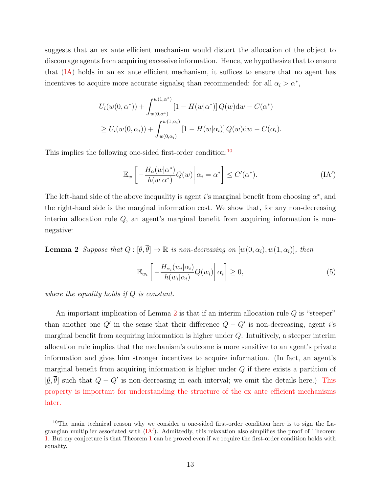suggests that an ex ante efficient mechanism would distort the allocation of the object to discourage agents from acquiring excessive information. Hence, we hypothesize that to ensure that [\(IA\)](#page-11-3) holds in an ex ante efficient mechanism, it suffices to ensure that no agent has incentives to acquire more accurate signalsq than recommended: for all  $\alpha_i > \alpha^*$ ,

$$
U_i(w(0, \alpha^*)) + \int_{w(0, \alpha^*)}^{w(1, \alpha^*)} [1 - H(w|\alpha^*)] Q(w) dw - C(\alpha^*)
$$
  
\n
$$
\geq U_i(w(0, \alpha_i)) + \int_{w(0, \alpha_i)}^{w(1, \alpha_i)} [1 - H(w|\alpha_i)] Q(w) dw - C(\alpha_i).
$$

This implies the following one-sided first-order condition:  $10$ 

<span id="page-13-2"></span>
$$
\mathbb{E}_w \left[ -\frac{H_\alpha(w|\alpha^*)}{h(w|\alpha^*)} Q(w) \middle| \alpha_i = \alpha^* \right] \le C'(\alpha^*).
$$
 (IA')

The left-hand side of the above inequality is agent i's marginal benefit from choosing  $\alpha^*$ , and the right-hand side is the marginal information cost. We show that, for any non-decreasing interim allocation rule Q, an agent's marginal benefit from acquiring information is nonnegative:

<span id="page-13-1"></span>**Lemma 2** Suppose that  $Q : [\underline{\theta}, \overline{\theta}] \to \mathbb{R}$  is non-decreasing on  $[w(0, \alpha_i), w(1, \alpha_i)],$  then

$$
\mathbb{E}_{w_i}\left[-\frac{H_{\alpha_i}(w_i|\alpha_i)}{h(w_i|\alpha_i)}Q(w_i)\middle|\alpha_i\right] \ge 0,\tag{5}
$$

where the equality holds if  $Q$  is constant.

An important implication of Lemma [2](#page-13-1) is that if an interim allocation rule Q is "steeper" than another one Q' in the sense that their difference  $Q - Q'$  is non-decreasing, agent i's marginal benefit from acquiring information is higher under  $Q$ . Intuitively, a steeper interim allocation rule implies that the mechanism's outcome is more sensitive to an agent's private information and gives him stronger incentives to acquire information. (In fact, an agent's marginal benefit from acquiring information is higher under Q if there exists a partition of  $[\underline{\theta}, \overline{\theta}]$  such that  $Q - Q'$  is non-decreasing in each interval; we omit the details here.) This property is important for understanding the structure of the ex ante efficient mechanisms later.

<span id="page-13-0"></span> $10$ The main technical reason why we consider a one-sided first-order condition here is to sign the Lagrangian multiplier associated with  $(IA')$  $(IA')$ . Admittedly, this relaxation also simplifies the proof of Theorem [1.](#page-15-0) But my conjecture is that Theorem [1](#page-15-0) can be proved even if we require the first-order condition holds with equality.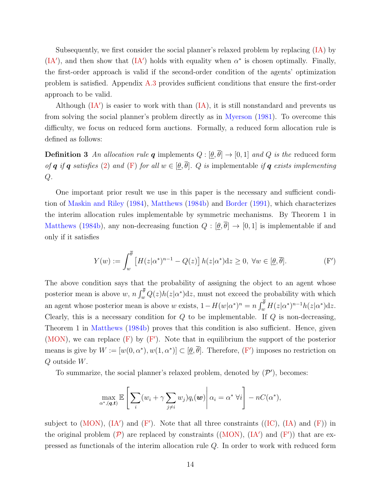Subsequently, we first consider the social planner's relaxed problem by replacing [\(IA\)](#page-11-3) by  $(IA')$  $(IA')$ , and then show that  $(IA')$  holds with equality when  $\alpha^*$  is chosen optimally. Finally, the first-order approach is valid if the second-order condition of the agents' optimization problem is satisfied. Appendix [A.3](#page-75-0) provides sufficient conditions that ensure the first-order approach to be valid.

Although  $(IA')$  $(IA')$  is easier to work with than  $(IA)$ , it is still nonstandard and prevents us from solving the social planner's problem directly as in [Myerson](#page-87-9) [\(1981\)](#page-87-9). To overcome this difficulty, we focus on reduced form auctions. Formally, a reduced form allocation rule is defined as follows:

**Definition 3** An allocation rule **q** implements  $Q : [\underline{\theta}, \overline{\theta}] \rightarrow [0, 1]$  and Q is the reduced form of q if q satisfies [\(2\)](#page-10-0) and [\(F\)](#page-11-4) for all  $w \in [\underline{\theta}, \overline{\theta}]$ . Q is implementable if q exists implementing  $Q$ .

One important prior result we use in this paper is the necessary and sufficient condition of [Maskin and Riley](#page-86-4) [\(1984\)](#page-86-4), [Matthews](#page-87-10) [\(1984b\)](#page-87-10) and [Border](#page-85-5) [\(1991\)](#page-85-5), which characterizes the interim allocation rules implementable by symmetric mechanisms. By Theorem 1 in [Matthews](#page-87-10) [\(1984b\)](#page-87-10), any non-decreasing function  $Q : [\underline{\theta}, \overline{\theta}] \to [0, 1]$  is implementable if and only if it satisfies

<span id="page-14-1"></span><span id="page-14-0"></span>
$$
Y(w) := \int_{w}^{\overline{\theta}} \left[ H(z|\alpha^*)^{n-1} - Q(z) \right] h(z|\alpha^*) \mathrm{d}z \ge 0, \ \forall w \in [\underline{\theta}, \overline{\theta}]. \tag{F'}
$$

The above condition says that the probability of assigning the object to an agent whose posterior mean is above  $w$ ,  $n \int_w^{\theta} Q(z)h(z|\alpha^*)dz$ , must not exceed the probability with which an agent whose posterior mean is above w exists,  $1 - H(w|\alpha^*)^n = n \int_w^{\theta} H(z|\alpha^*)^{n-1} h(z|\alpha^*) \,dz$ . Clearly, this is a necessary condition for  $Q$  to be implementable. If  $Q$  is non-decreasing, Theorem 1 in [Matthews](#page-87-10) [\(1984b\)](#page-87-10) proves that this condition is also sufficient. Hence, given [\(MON\)](#page-12-4), we can replace  $(F)$  by  $(F')$  $(F')$ . Note that in equilibrium the support of the posterior means is give by  $W := [w(0, \alpha^*), w(1, \alpha^*)] \subset [\underline{\theta}, \overline{\theta}]$ . Therefore,  $(\overline{F}')$  imposes no restriction on Q outside W.

To summarize, the social planner's relaxed problem, denoted by  $(\mathcal{P}')$ , becomes:

$$
\max_{\alpha^*,(\boldsymbol{q},\boldsymbol{t})} \mathbb{E}\left[\sum_i (w_i + \gamma \sum_{j \neq i} w_j) q_i(\boldsymbol{w})\middle|\alpha_i = \alpha^* \ \forall i\right] - nC(\alpha^*),
$$

subject to [\(MON\)](#page-12-4),  $(IA')$  $(IA')$  and  $(F')$  $(F')$ . Note that all three constraints  $((IC), (IA)$  $((IC), (IA)$  $((IC), (IA)$  $((IC), (IA)$  and  $(F))$  $(F))$  in the original problem  $(\mathcal{P})$  $(\mathcal{P})$  $(\mathcal{P})$  are replaced by constraints ([\(MON\)](#page-12-4), [\(IA](#page-13-2)') and  $(F')$  $(F')$ ) that are expressed as functionals of the interim allocation rule Q. In order to work with reduced form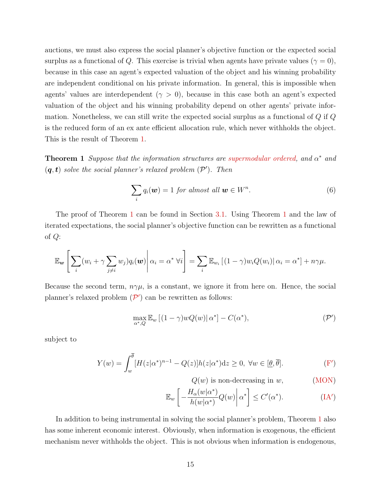auctions, we must also express the social planner's objective function or the expected social surplus as a functional of Q. This exercise is trivial when agents have private values ( $\gamma = 0$ ), because in this case an agent's expected valuation of the object and his winning probability are independent conditional on his private information. In general, this is impossible when agents' values are interdependent ( $\gamma > 0$ ), because in this case both an agent's expected valuation of the object and his winning probability depend on other agents' private information. Nonetheless, we can still write the expected social surplus as a functional of  $Q$  if  $Q$ is the reduced form of an ex ante efficient allocation rule, which never withholds the object. This is the result of Theorem [1.](#page-15-0)

<span id="page-15-0"></span>**Theorem 1** Suppose that the information structures are [supermodular ordered,](#page-7-2) and  $\alpha^*$  and  $(q, t)$  solve the social planner's relaxed problem  $(\mathcal{P}')$ . Then

$$
\sum_{i} q_i(\boldsymbol{w}) = 1 \text{ for almost all } \boldsymbol{w} \in W^n. \tag{6}
$$

The proof of Theorem [1](#page-15-0) can be found in Section [3.1.](#page-16-0) Using Theorem [1](#page-15-0) and the law of iterated expectations, the social planner's objective function can be rewritten as a functional of Q:

$$
\mathbb{E}_{\boldsymbol{w}}\left[\sum_i (w_i + \gamma \sum_{j \neq i} w_j) q_i(\boldsymbol{w})\middle| \alpha_i = \alpha^* \ \forall i\right] = \sum_i \mathbb{E}_{w_i} \left[(1 - \gamma) w_i Q(w_i) | \alpha_i = \alpha^*\right] + n \gamma \mu.
$$

Because the second term,  $n\gamma\mu$ , is a constant, we ignore it from here on. Hence, the social planner's relaxed problem  $(\mathcal{P}')$  $(\mathcal{P}')$  $(\mathcal{P}')$  can be rewritten as follows:

<span id="page-15-2"></span>
$$
\max_{\alpha^*,Q} \mathbb{E}_w \left[ (1-\gamma) w Q(w) | \alpha^* \right] - C(\alpha^*),\tag{P'}
$$

subject to

$$
Y(w) = \int_{w}^{\overline{\theta}} [H(z|\alpha^*)^{n-1} - Q(z)]h(z|\alpha^*)dz \ge 0, \ \forall w \in [\underline{\theta}, \overline{\theta}].
$$
 (F')

<span id="page-15-1"></span> $Q(w)$  is non-decreasing in w, [\(MON\)](#page-12-4)

$$
\mathbb{E}_w \left[ -\frac{H_\alpha(w|\alpha^*)}{h(w|\alpha^*)} Q(w) \middle| \alpha^* \right] \le C'(\alpha^*). \tag{IA'}
$$

In addition to being instrumental in solving the social planner's problem, Theorem [1](#page-15-0) also has some inherent economic interest. Obviously, when information is exogenous, the efficient mechanism never withholds the object. This is not obvious when information is endogenous,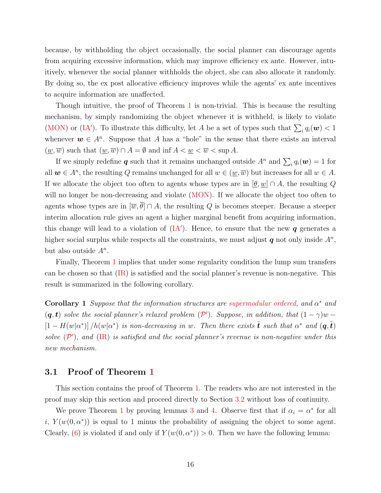because, by withholding the object occasionally, the social planner can discourage agents from acquiring excessive information, which may improve efficiency ex ante. However, intuitively, whenever the social planner withholds the object, she can also allocate it randomly. By doing so, the ex post allocative efficiency improves while the agents' ex ante incentives to acquire information are unaffected.

Though intuitive, the proof of Theorem [1](#page-15-0) is non-trivial. This is because the resulting mechanism, by simply randomizing the object whenever it is withheld, is likely to violate [\(MON\)](#page-12-4) or [\(IA](#page-13-2)'). To illustrate this difficulty, let A be a set of types such that  $\sum_i q_i(\boldsymbol{w}) < 1$ whenever  $w \in A^n$ . Suppose that A has a "hole" in the sense that there exists an interval  $(\underline{w}, \overline{w})$  such that  $(\underline{w}, \overline{w}) \cap A = \emptyset$  and inf  $A < \underline{w} < \overline{w} < \sup A$ .

If we simply redefine  $q$  such that it remains unchanged outside  $A^n$  and  $\sum_i q_i(\boldsymbol{w}) = 1$  for all  $w \in A^n$ , the resulting Q remains unchanged for all  $w \in (\underline{w}, \overline{w})$  but increases for all  $w \in A$ . If we allocate the object too often to agents whose types are in  $[\underline{\theta}, \underline{w}] \cap A$ , the resulting Q will no longer be non-decreasing and violate [\(MON\)](#page-12-4). If we allocate the object too often to agents whose types are in  $[\overline{w}, \overline{\theta}] \cap A$ , the resulting Q is becomes steeper. Because a steeper interim allocation rule gives an agent a higher marginal benefit from acquiring information, this change will lead to a violation of  $(IA')$  $(IA')$ . Hence, to ensure that the new q generates a higher social surplus while respects all the constraints, we must adjust  $q$  not only inside  $A^n$ , but also outside  $A<sup>n</sup>$ .

Finally, Theorem [1](#page-15-0) implies that under some regularity condition the lump sum transfers can be chosen so that  $(IR)$  is satisfied and the social planner's revenue is non-negative. This result is summarized in the following corollary.

**Corollary 1** Suppose that the information structures are [supermodular ordered,](#page-7-2) and  $\alpha^*$  and  $(q, t)$  solve the social planner's relaxed problem  $(\mathcal{P}')$  $(\mathcal{P}')$  $(\mathcal{P}')$ . Suppose, in addition, that  $(1 - \gamma)w [1-H(w|\alpha^*)] / h(w|\alpha^*)$  is non-decreasing in w. Then there exists  $\tilde{t}$  such that  $\alpha^*$  and  $(q, \tilde{t})$ solve  $(\mathcal{P}')$  $(\mathcal{P}')$  $(\mathcal{P}')$ , and  $(\mathrm{IR})$  is satisfied and the social planner's revenue is non-negative under this new mechanism.

#### <span id="page-16-0"></span>3.1 Proof of Theorem [1](#page-15-0)

This section contains the proof of Theorem [1.](#page-15-0) The readers who are not interested in the proof may skip this section and proceed directly to Section [3.2](#page-19-0) without loss of continuity.

<span id="page-16-1"></span>We prove Theorem [1](#page-15-0) by proving lemmas [3](#page-16-1) and [4.](#page-17-0) Observe first that if  $\alpha_i = \alpha^*$  for all i,  $Y(w(0, \alpha^*))$  is equal to 1 minus the probability of assigning the object to some agent. Clearly, [\(6\)](#page-14-1) is violated if and only if  $Y(w(0, \alpha^*)) > 0$ . Then we have the following lemma: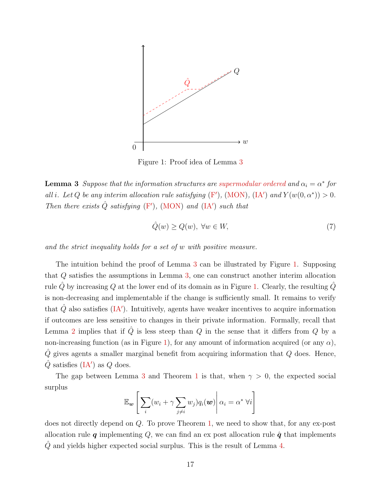<span id="page-17-1"></span>

Figure 1: Proof idea of Lemma [3](#page-16-1)

**Lemma 3** Suppose that the information structures are [supermodular ordered](#page-7-2) and  $\alpha_i = \alpha^*$  for all i. Let Q be any interim allocation rule satisfying  $(F')$  $(F')$ , [\(MON\)](#page-12-4),  $(IA')$  $(IA')$  and  $Y(w(0, \alpha^*)) > 0$ . Then there exists  $\hat{Q}$  satisfying  $(F')$  $(F')$ , [\(MON\)](#page-12-4) and [\(IA](#page-13-2)') such that

$$
\hat{Q}(w) \ge Q(w), \ \forall w \in W,\tag{7}
$$

and the strict inequality holds for a set of w with positive measure.

The intuition behind the proof of Lemma [3](#page-16-1) can be illustrated by Figure [1.](#page-17-1) Supposing that Q satisfies the assumptions in Lemma [3,](#page-16-1) one can construct another interim allocation rule Q by increasing Q at the lower end of its domain as in Figure [1.](#page-17-1) Clearly, the resulting Q is non-decreasing and implementable if the change is sufficiently small. It remains to verify that  $\hat{Q}$  also satisfies [\(IA](#page-13-2)'). Intuitively, agents have weaker incentives to acquire information if outcomes are less sensitive to changes in their private information. Formally, recall that Lemma [2](#page-13-1) implies that if  $\hat{Q}$  is less steep than  $Q$  in the sense that it differs from  $Q$  by a non-increasing function (as in Figure [1\)](#page-17-1), for any amount of information acquired (or any  $\alpha$ ),  $\hat{Q}$  gives agents a smaller marginal benefit from acquiring information that  $Q$  does. Hence,  $\hat{Q}$  satisfies [\(IA](#page-13-2)') as  $Q$  does.

The gap between Lemma [3](#page-16-1) and Theorem [1](#page-15-0) is that, when  $\gamma > 0$ , the expected social surplus

$$
\mathbb{E}_{\boldsymbol{w}}\left[\sum_{i}(w_i+\gamma\sum_{j\neq i}w_j)q_i(\boldsymbol{w})\middle|\alpha_i=\alpha^*\ \forall i\right]
$$

<span id="page-17-0"></span>does not directly depend on Q. To prove Theorem [1,](#page-15-0) we need to show that, for any ex-post allocation rule q implementing  $Q$ , we can find an ex post allocation rule  $\hat{q}$  that implements  $\hat{Q}$  and yields higher expected social surplus. This is the result of Lemma [4.](#page-17-0)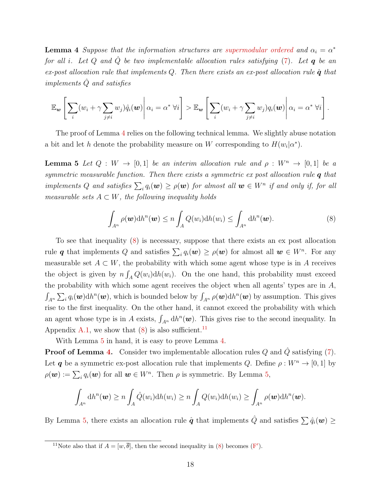**Lemma 4** Suppose that the information structures are [supermodular ordered](#page-7-2) and  $\alpha_i = \alpha^*$ for all i. Let Q and  $\hat{Q}$  be two implementable allocation rules satisfying [\(7\)](#page-15-2). Let **q** be an ex-post allocation rule that implements  $Q$ . Then there exists an ex-post allocation rule  $\hat{q}$  that implements  $\hat{Q}$  and satisfies

$$
\mathbb{E}_{\boldsymbol{w}}\left[\sum_i (w_i + \gamma \sum_{j \neq i} w_j) \hat{q}_i(\boldsymbol{w})\middle|\alpha_i = \alpha^* \ \forall i\right] > \mathbb{E}_{\boldsymbol{w}}\left[\sum_i (w_i + \gamma \sum_{j \neq i} w_j) q_i(\boldsymbol{w})\middle|\alpha_i = \alpha^* \ \forall i\right].
$$

The proof of Lemma [4](#page-17-0) relies on the following technical lemma. We slightly abuse notation a bit and let h denote the probability measure on W corresponding to  $H(w_i|\alpha^*)$ .

<span id="page-18-2"></span>**Lemma 5** Let  $Q: W \to [0,1]$  be an interim allocation rule and  $\rho: W^n \to [0,1]$  be a symmetric measurable function. Then there exists a symmetric ex post allocation rule  $q$  that implements Q and satisfies  $\sum_i q_i(\boldsymbol{w}) \geq \rho(\boldsymbol{w})$  for almost all  $\boldsymbol{w} \in W^n$  if and only if, for all measurable sets  $A \subset W$ , the following inequality holds

<span id="page-18-0"></span>
$$
\int_{A^n} \rho(\boldsymbol{w}) dh^n(\boldsymbol{w}) \le n \int_A Q(w_i) dh(w_i) \le \int_{A^n} dh^n(\boldsymbol{w}). \tag{8}
$$

To see that inequality [\(8\)](#page-18-0) is necessary, suppose that there exists an ex post allocation rule q that implements Q and satisfies  $\sum_i q_i(\boldsymbol{w}) \ge \rho(\boldsymbol{w})$  for almost all  $\boldsymbol{w} \in W^n$ . For any measurable set  $A \subset W$ , the probability with which some agent whose type is in A receives the object is given by  $n \int_A Q(w_i) dh(w_i)$ . On the one hand, this probability must exceed the probability with which some agent receives the object when all agents' types are in A,  $\int_{A^n} \sum_i q_i(\bm{w}) dh^n(\bm{w})$ , which is bounded below by  $\int_{A^n} \rho(\bm{w}) dh^n(\bm{w})$  by assumption. This gives rise to the first inequality. On the other hand, it cannot exceed the probability with which an agent whose type is in A exists,  $\int_{A^n} dh^n(\boldsymbol{w})$ . This gives rise to the second inequality. In Appendix [A.1,](#page-45-0) we show that  $(8)$  is also sufficient.<sup>[11](#page-18-1)</sup>

With Lemma [5](#page-18-2) in hand, it is easy to prove Lemma [4.](#page-17-0)

**Proof of Lemma [4.](#page-17-0)** Consider two implementable allocation rules  $Q$  and  $Q$  satisfying  $(7)$ . Let q be a symmetric ex-post allocation rule that implements Q. Define  $\rho: W^n \to [0, 1]$  by  $\rho(\boldsymbol{w}) := \sum_i q_i(\boldsymbol{w})$  for all  $\boldsymbol{w} \in W^n$ . Then  $\rho$  is symmetric. By Lemma [5,](#page-18-2)

$$
\int_{A^n} dh^n(\boldsymbol{w}) \ge n \int_A \hat{Q}(w_i) dh(w_i) \ge n \int_A Q(w_i) dh(w_i) \ge \int_{A^n} \rho(\boldsymbol{w}) dh^n(\boldsymbol{w}).
$$

By Lemma [5,](#page-18-2) there exists an allocation rule  $\hat{\boldsymbol{q}}$  that implements  $\hat{Q}$  and satisfies  $\sum \hat{q}_i(\boldsymbol{w}) \geq$ 

<span id="page-18-1"></span><sup>&</sup>lt;sup>11</sup>Note also that if  $A = [w, \overline{\theta}]$ , then the second inequality in [\(8\)](#page-18-0) becomes [\(F](#page-14-0)').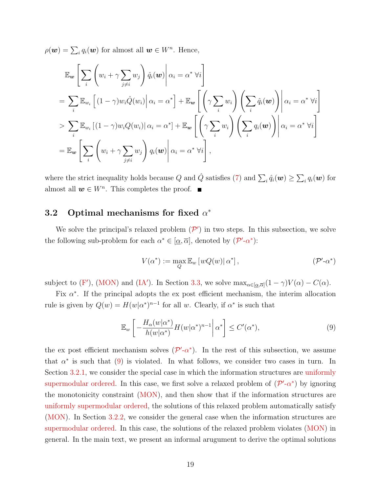$\rho(\boldsymbol{w}) = \sum_i q_i(\boldsymbol{w})$  for almost all  $\boldsymbol{w} \in W^n$ . Hence,

$$
\mathbb{E}_{\mathbf{w}}\left[\sum_{i}\left(w_{i}+\gamma\sum_{j\neq i}w_{j}\right)\hat{q}_{i}(\mathbf{w})\middle|\alpha_{i}=\alpha^{*} \ \forall i\right]
$$
\n
$$
=\sum_{i}\mathbb{E}_{w_{i}}\left[(1-\gamma)w_{i}\hat{Q}(w_{i})\middle|\alpha_{i}=\alpha^{*}\right]+\mathbb{E}_{\mathbf{w}}\left[\left(\gamma\sum_{i}w_{i}\right)\left(\sum_{i}\hat{q}_{i}(\mathbf{w})\right)\middle|\alpha_{i}=\alpha^{*} \ \forall i\right]
$$
\n
$$
>\sum_{i}\mathbb{E}_{w_{i}}\left[(1-\gamma)w_{i}Q(w_{i})\middle|\alpha_{i}=\alpha^{*}\right]+\mathbb{E}_{\mathbf{w}}\left[\left(\gamma\sum_{i}w_{i}\right)\left(\sum_{i}q_{i}(\mathbf{w})\right)\middle|\alpha_{i}=\alpha^{*} \ \forall i\right]
$$
\n
$$
=\mathbb{E}_{\mathbf{w}}\left[\sum_{i}\left(w_{i}+\gamma\sum_{j\neq i}w_{j}\right)q_{i}(\mathbf{w})\middle|\alpha_{i}=\alpha^{*} \ \forall i\right],
$$

where the strict inequality holds because Q and  $\hat{Q}$  satisfies [\(7\)](#page-15-2) and  $\sum_i \hat{q}_i(\bm{w}) \geq \sum_i q_i(\bm{w})$  for almost all  $w \in W^n$ . This completes the proof.

## <span id="page-19-0"></span>3.2 Optimal mechanisms for fixed  $\alpha^*$

We solve the principal's relaxed problem  $(\mathcal{P}')$  $(\mathcal{P}')$  $(\mathcal{P}')$  in two steps. In this subsection, we solve the following sub-problem for each  $\alpha^* \in [\alpha, \overline{\alpha}]$ , denoted by  $(\mathcal{P}' - \alpha^*)$  $(\mathcal{P}' - \alpha^*)$  $(\mathcal{P}' - \alpha^*)$ :

<span id="page-19-1"></span>
$$
V(\alpha^*) := \max_{Q} \mathbb{E}_w \left[ wQ(w) | \alpha^* \right],\tag{P'-\alpha^*}
$$

subject to [\(F](#page-14-0)'), [\(MON\)](#page-12-4) and [\(IA](#page-13-2)'). In Section [3.3,](#page-27-0) we solve  $\max_{\alpha \in [\alpha,\overline{\alpha}]} (1-\gamma)V(\alpha) - C(\alpha)$ .

Fix  $\alpha^*$ . If the principal adopts the ex post efficient mechanism, the interim allocation rule is given by  $Q(w) = H(w|\alpha^*)^{n-1}$  for all w. Clearly, if  $\alpha^*$  is such that

<span id="page-19-2"></span>
$$
\mathbb{E}_w \left[ -\frac{H_\alpha(w|\alpha^*)}{h(w|\alpha^*)} H(w|\alpha^*)^{n-1} \, \middle| \, \alpha^* \right] \le C'(\alpha^*),\tag{9}
$$

the ex post efficient mechanism solves  $(\mathcal{P}'-\alpha^*)$  $(\mathcal{P}'-\alpha^*)$  $(\mathcal{P}'-\alpha^*)$ . In the rest of this subsection, we assume that  $\alpha^*$  is such that [\(9\)](#page-19-2) is violated. In what follows, we consider two cases in turn. In Section [3.2.1,](#page-20-0) we consider the special case in which the information structures are [uniformly](#page-8-4) [supermodular ordered.](#page-8-4) In this case, we first solve a relaxed problem of  $(\mathcal{P}'\text{-}\alpha^*)$  $(\mathcal{P}'\text{-}\alpha^*)$  $(\mathcal{P}'\text{-}\alpha^*)$  by ignoring the monotonicity constraint [\(MON\)](#page-12-4), and then show that if the information structures are [uniformly supermodular ordered,](#page-8-4) the solutions of this relaxed problem automatically satisfy [\(MON\)](#page-12-4). In Section [3.2.2,](#page-23-0) we consider the general case when the information structures are [supermodular ordered.](#page-7-2) In this case, the solutions of the relaxed problem violates [\(MON\)](#page-12-4) in general. In the main text, we present an informal arugument to derive the optimal solutions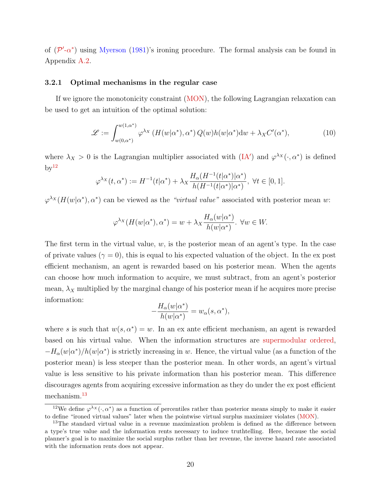of  $(\mathcal{P}'-\alpha^*)$  $(\mathcal{P}'-\alpha^*)$  $(\mathcal{P}'-\alpha^*)$  using [Myerson](#page-87-9) [\(1981\)](#page-87-9)'s ironing procedure. The formal analysis can be found in Appendix [A.2.](#page-50-0)

#### <span id="page-20-0"></span>3.2.1 Optimal mechanisms in the regular case

If we ignore the monotonicity constraint [\(MON\)](#page-12-4), the following Lagrangian relaxation can be used to get an intuition of the optimal solution:

$$
\mathcal{L} := \int_{w(0,\alpha^*)}^{w(1,\alpha^*)} \varphi^{\lambda_X} \left( H(w|\alpha^*), \alpha^* \right) Q(w) h(w|\alpha^*) \mathrm{d}w + \lambda_X C'(\alpha^*), \tag{10}
$$

where  $\lambda_X > 0$  is the Lagrangian multiplier associated with  $(IA')$  $(IA')$  and  $\varphi^{\lambda_X}(\cdot, \alpha^*)$  is defined  $by<sup>12</sup>$  $by<sup>12</sup>$  $by<sup>12</sup>$ 

$$
\varphi^{\lambda_X}(t, \alpha^*) := H^{-1}(t|\alpha^*) + \lambda_X \frac{H_\alpha(H^{-1}(t|\alpha^*)|\alpha^*)}{h(H^{-1}(t|\alpha^*)|\alpha^*)}, \ \forall t \in [0, 1].
$$

 $\varphi^{\lambda_X}(H(w|\alpha^*), \alpha^*)$  can be viewed as the "virtual value" associated with posterior mean w:

$$
\varphi^{\lambda_X}(H(w|\alpha^*), \alpha^*) = w + \lambda_X \frac{H_\alpha(w|\alpha^*)}{h(w|\alpha^*)}. \ \forall w \in W.
$$

The first term in the virtual value,  $w$ , is the posterior mean of an agent's type. In the case of private values ( $\gamma = 0$ ), this is equal to his expected valuation of the object. In the expost efficient mechanism, an agent is rewarded based on his posterior mean. When the agents can choose how much information to acquire, we must subtract, from an agent's posterior mean,  $\lambda_X$  multiplied by the marginal change of his posterior mean if he acquires more precise information:

$$
-\frac{H_{\alpha}(w|\alpha^*)}{h(w|\alpha^*)}=w_{\alpha}(s,\alpha^*),
$$

where s is such that  $w(s, \alpha^*) = w$ . In an ex ante efficient mechanism, an agent is rewarded based on his virtual value. When the information structures are [supermodular ordered,](#page-7-2)  $-H_\alpha(w|\alpha^*)/h(w|\alpha^*)$  is strictly increasing in w. Hence, the virtual value (as a function of the posterior mean) is less steeper than the posterior mean. In other words, an agent's virtual value is less sensitive to his private information than his posterior mean. This difference discourages agents from acquiring excessive information as they do under the ex post efficient mechanism.[13](#page-20-2)

<span id="page-20-1"></span><sup>&</sup>lt;sup>12</sup>We define  $\varphi^{\lambda_X}(\cdot, \alpha^*)$  as a function of percentiles rather than posterior means simply to make it easier to define "ironed virtual values" later when the pointwise virtual surplus maximizer violates [\(MON\)](#page-12-4).

<span id="page-20-2"></span><sup>&</sup>lt;sup>13</sup>The standard virtual value in a revenue maximization problem is defined as the difference between a type's true value and the information rents necessary to induce truthtelling. Here, because the social planner's goal is to maximize the social surplus rather than her revenue, the inverse hazard rate associated with the information rents does not appear.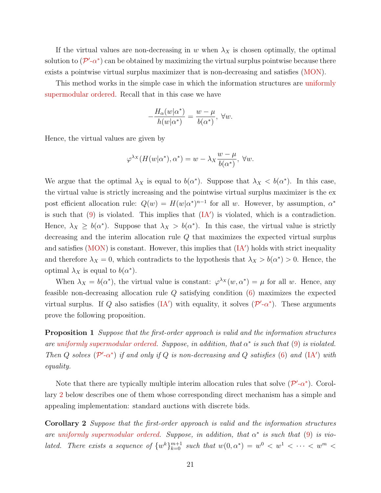If the virtual values are non-decreasing in w when  $\lambda_X$  is chosen optimally, the optimal solution to  $(\mathcal{P}'\text{-}\alpha^*)$  $(\mathcal{P}'\text{-}\alpha^*)$  $(\mathcal{P}'\text{-}\alpha^*)$  can be obtained by maximizing the virtual surplus pointwise because there exists a pointwise virtual surplus maximizer that is non-decreasing and satisfies [\(MON\)](#page-12-4).

This method works in the simple case in which the information structures are [uniformly](#page-8-4) [supermodular ordered.](#page-8-4) Recall that in this case we have

$$
-\frac{H_{\alpha}(w|\alpha^*)}{h(w|\alpha^*)} = \frac{w-\mu}{b(\alpha^*)}, \ \forall w.
$$

Hence, the virtual values are given by

$$
\varphi^{\lambda_X}(H(w|\alpha^*), \alpha^*) = w - \lambda_X \frac{w - \mu}{b(\alpha^*)}, \ \forall w.
$$

We argue that the optimal  $\lambda_X$  is equal to  $b(\alpha^*)$ . Suppose that  $\lambda_X < b(\alpha^*)$ . In this case, the virtual value is strictly increasing and the pointwise virtual surplus maximizer is the ex post efficient allocation rule:  $Q(w) = H(w|\alpha^*)^{n-1}$  for all w. However, by assumption,  $\alpha^*$ is such that  $(9)$  is violated. This implies that  $(IA')$  $(IA')$  is violated, which is a contradiction. Hence,  $\lambda_X \geq b(\alpha^*)$ . Suppose that  $\lambda_X > b(\alpha^*)$ . In this case, the virtual value is strictly decreasing and the interim allocation rule Q that maximizes the expected virtual surplus and satisfies  $(MON)$  is constant. However, this implies that  $(IA')$  $(IA')$  holds with strict inequality and therefore  $\lambda_X = 0$ , which contradicts to the hypothesis that  $\lambda_X > b(\alpha^*) > 0$ . Hence, the optimal  $\lambda_X$  is equal to  $b(\alpha^*)$ .

When  $\lambda_X = b(\alpha^*)$ , the virtual value is constant:  $\varphi^{\lambda_X}(w, \alpha^*) = \mu$  for all w. Hence, any feasible non-decreasing allocation rule Q satisfying condition [\(6\)](#page-14-1) maximizes the expected virtual surplus. If Q also satisfies  $(IA')$  $(IA')$  with equality, it solves  $(\mathcal{P}'\text{-}\alpha^*)$  $(\mathcal{P}'\text{-}\alpha^*)$  $(\mathcal{P}'\text{-}\alpha^*)$ . These arguments prove the following proposition.

<span id="page-21-1"></span>Proposition 1 Suppose that the first-order approach is valid and the information structures are [uniformly supermodular ordered.](#page-8-4) Suppose, in addition, that  $\alpha^*$  is such that [\(9\)](#page-19-2) is violated. Then Q solves  $(\mathcal{P}'\text{-}\alpha^*)$  $(\mathcal{P}'\text{-}\alpha^*)$  $(\mathcal{P}'\text{-}\alpha^*)$  if and only if Q is non-decreasing and Q satisfies [\(6\)](#page-14-1) and [\(IA](#page-13-2)') with equality.

Note that there are typically multiple interim allocation rules that solve  $(\mathcal{P}'\text{-}\alpha^*)$  $(\mathcal{P}'\text{-}\alpha^*)$  $(\mathcal{P}'\text{-}\alpha^*)$ . Corollary [2](#page-21-0) below describes one of them whose corresponding direct mechanism has a simple and appealing implementation: standard auctions with discrete bids.

<span id="page-21-0"></span>Corollary 2 Suppose that the first-order approach is valid and the information structures are [uniformly supermodular ordered.](#page-8-4) Suppose, in addition, that  $\alpha^*$  is such that [\(9\)](#page-19-2) is violated. There exists a sequence of  $\{w^k\}_{k=0}^{m+1}$  such that  $w(0, \alpha^*) = w^0 < w^1 < \cdots < w^m <$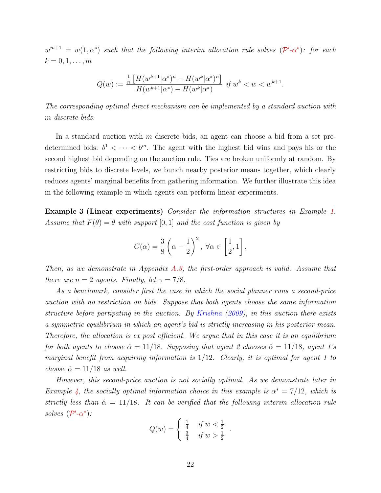$w^{m+1} = w(1, \alpha^*)$  such that the following interim allocation rule solves  $(\mathcal{P}'\text{-}\alpha^*)$  $(\mathcal{P}'\text{-}\alpha^*)$  $(\mathcal{P}'\text{-}\alpha^*)$ : for each  $k = 0, 1, \ldots, m$ 

$$
Q(w) := \frac{\frac{1}{n} \left[ H(w^{k+1}|\alpha^*)^n - H(w^k|\alpha^*)^n \right]}{H(w^{k+1}|\alpha^*) - H(w^k|\alpha^*)} \text{ if } w^k < w < w^{k+1}.
$$

The corresponding optimal direct mechanism can be implemented by a standard auction with m discrete bids.

In a standard auction with  $m$  discrete bids, an agent can choose a bid from a set predetermined bids:  $b^1 < \cdots < b^m$ . The agent with the highest bid wins and pays his or the second highest bid depending on the auction rule. Ties are broken uniformly at random. By restricting bids to discrete levels, we bunch nearby posterior means together, which clearly reduces agents' marginal benefits from gathering information. We further illustrate this idea in the following example in which agents can perform linear experiments.

Example 3 (Linear experiments) Consider the information structures in Example [1.](#page-9-1) Assume that  $F(\theta) = \theta$  with support [0, 1] and the cost function is given by

$$
C(\alpha) = \frac{3}{8} \left( \alpha - \frac{1}{2} \right)^2, \ \forall \alpha \in \left[ \frac{1}{2}, 1 \right],
$$

Then, as we demonstrate in Appendix [A.3,](#page-75-0) the first-order approach is valid. Assume that there are  $n = 2$  agents. Finally, let  $\gamma = 7/8$ .

As a benchmark, consider first the case in which the social planner runs a second-price auction with no restriction on bids. Suppose that both agents choose the same information structure before partipating in the auction. By [Krishna](#page-86-12) [\(2009\)](#page-86-12), in this auction there exists a symmetric equilibrium in which an agent's bid is strictly increasing in his posterior mean. Therefore, the allocation is ex post efficient. We argue that in this case it is an equilibrium for both agents to choose  $\hat{\alpha} = 11/18$ . Supposing that agent 2 chooses  $\hat{\alpha} = 11/18$ , agent 1's marginal benefit from acquiring information is 1/12. Clearly, it is optimal for agent 1 to choose  $\hat{\alpha} = 11/18$  as well.

However, this second-price auction is not socially optimal. As we demonstrate later in Example [4,](#page-30-0) the socially optimal information choice in this example is  $\alpha^* = 7/12$ , which is strictly less than  $\hat{\alpha} = 11/18$ . It can be verified that the following interim allocation rule solves  $(\mathcal{P}' - \alpha^*)$  $(\mathcal{P}' - \alpha^*)$  $(\mathcal{P}' - \alpha^*)$ :

$$
Q(w) = \begin{cases} \frac{1}{4} & \text{if } w < \frac{1}{2} \\ \frac{3}{4} & \text{if } w > \frac{1}{2} \end{cases}
$$

.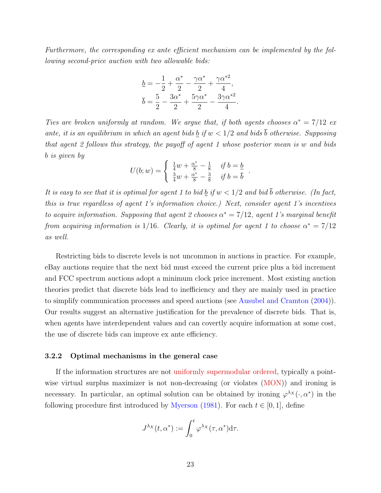Furthermore, the corresponding ex ante efficient mechanism can be implemented by the following second-price auction with two allowable bids:

$$
\underline{b} = -\frac{1}{2} + \frac{\alpha^*}{2} - \frac{\gamma \alpha^*}{2} + \frac{\gamma \alpha^{*2}}{4}, \n\overline{b} = \frac{5}{2} - \frac{3\alpha^*}{2} + \frac{5\gamma \alpha^*}{2} - \frac{3\gamma \alpha^{*2}}{4}.
$$

Ties are broken uniformly at random. We argue that, if both agents chooses  $\alpha^* = 7/12$  exante, it is an equilibrium in which an agent bids  $\underline{b}$  if  $w < 1/2$  and bids  $\overline{b}$  otherwise. Supposing that agent 2 follows this strategy, the payoff of agent 1 whose posterior mean is w and bids b is given by

$$
U(b; w) = \begin{cases} \frac{1}{4}w + \frac{\alpha^*}{8} - \frac{1}{8} & \text{if } b = \underline{b} \\ \frac{3}{4}w + \frac{\alpha^*}{8} - \frac{3}{8} & \text{if } b = \overline{b} \end{cases}.
$$

It is easy to see that it is optimal for agent 1 to bid b if  $w < 1/2$  and bid  $\overline{b}$  otherwise. (In fact, this is true regardless of agent 1's information choice.) Next, consider agent 1's incentives to acquire information. Supposing that agent 2 chooses  $\alpha^* = \frac{7}{12}$ , agent 1's marginal benefit from acquiring information is 1/16. Clearly, it is optimal for agent 1 to choose  $\alpha^* = 7/12$ as well.

Restricting bids to discrete levels is not uncommon in auctions in practice. For example, eBay auctions require that the next bid must exceed the current price plus a bid increment and FCC spectrum auctions adopt a minimum clock price increment. Most existing auction theories predict that discrete bids lead to inefficiency and they are mainly used in practice to simplify communication processes and speed auctions (see [Ausubel and Cramton](#page-85-2) [\(2004\)](#page-85-2)). Our results suggest an alternative justification for the prevalence of discrete bids. That is, when agents have interdependent values and can covertly acquire information at some cost, the use of discrete bids can improve ex ante efficiency.

#### <span id="page-23-0"></span>3.2.2 Optimal mechanisms in the general case

If the information structures are not [uniformly supermodular ordered,](#page-8-4) typically a pointwise virtual surplus maximizer is not non-decreasing (or violates  $(MON)$ ) and ironing is necessary. In particular, an optimal solution can be obtained by ironing  $\varphi^{\lambda_X}(\cdot, \alpha^*)$  in the following procedure first introduced by [Myerson](#page-87-9) [\(1981\)](#page-87-9). For each  $t \in [0, 1]$ , define

$$
J^{\lambda_X}(t,\alpha^*) := \int_0^t \varphi^{\lambda_X}(\tau,\alpha^*)\mathrm{d}\tau.
$$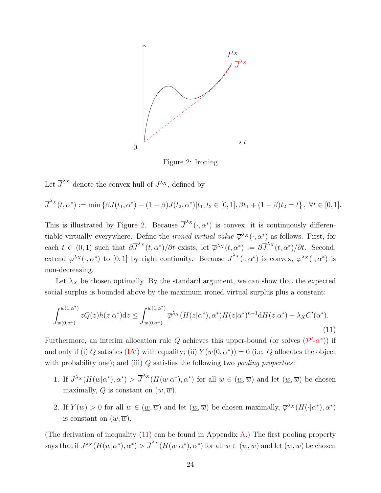<span id="page-24-0"></span>

Figure 2: Ironing

Let  $\overline{J}^{\lambda_X}$  denote the convex hull of  $J^{\lambda_X}$ , defined by

$$
\overline{J}^{\lambda_X}(t,\alpha^*) := \min \left\{ \beta J(t_1,\alpha^*) + (1-\beta)J(t_2,\alpha^*) | t_1, t_2 \in [0,1], \beta t_1 + (1-\beta)t_2 = t \right\}, \ \forall t \in [0,1].
$$

This is illustrated by Figure [2.](#page-24-0) Because  $\overline{J}^{\lambda_X}(\cdot, \alpha^*)$  is convex, it is continuously differentiable virtually everywhere. Define the *ironed virtual value*  $\overline{\varphi}^{\lambda_X}(\cdot, \alpha^*)$  as follows. First, for each  $t \in (0,1)$  such that  $\partial \overline{J}^{\lambda_X}(t, \alpha^*)/\partial t$  exists, let  $\overline{\varphi}^{\lambda_X}(t, \alpha^*) := \partial \overline{J}^{\lambda_X}(t, \alpha^*)/\partial t$ . Second, extend  $\overline{\varphi}^{\lambda_X}(\cdot, \alpha^*)$  to [0, 1] by right continuity. Because  $\overline{J}^{\lambda_X}(\cdot, \alpha^*)$  is convex,  $\overline{\varphi}^{\lambda_X}(\cdot, \alpha^*)$  is non-decreasing.

Let  $\lambda_X$  be chosen optimally. By the standard argument, we can show that the expected social surplus is bounded above by the maximum ironed virtual surplus plus a constant:

<span id="page-24-1"></span>
$$
\int_{w(0,\alpha^*)}^{w(1,\alpha^*)} zQ(z)h(z|\alpha^*)dz \le \int_{w(0,\alpha^*)}^{w(1,\alpha^*)} \overline{\varphi}^{\lambda_X}(H(z|\alpha^*),\alpha^*)H(z|\alpha^*)^{n-1}\mathrm{d}H(z|\alpha^*) + \lambda_X C'(\alpha^*). \tag{11}
$$

Furthermore, an interim allocation rule Q achieves this upper-bound (or solves  $(\mathcal{P}'\text{-}\alpha^*)$  $(\mathcal{P}'\text{-}\alpha^*)$  $(\mathcal{P}'\text{-}\alpha^*)$ ) if and only if (i) Q satisfies [\(IA](#page-13-2)') with equality; (ii)  $Y(w(0, \alpha^*)) = 0$  (i.e. Q allocates the object with probability one); and (iii)  $Q$  satisfies the following two *pooling properties*:

- <span id="page-24-2"></span>1. If  $J^{\lambda_X}(H(w|\alpha^*), \alpha^*) > \overline{J}^{\lambda_X}(H(w|\alpha^*), \alpha^*)$  for all  $w \in (\underline{w}, \overline{w})$  and let  $(\underline{w}, \overline{w})$  be chosen maximally, Q is constant on  $(w,\overline{w})$ .
- 2. If  $Y(w) > 0$  for all  $w \in (\underline{w}, \overline{w})$  and let  $(\underline{w}, \overline{w})$  be chosen maximally,  $\overline{\varphi}^{\lambda_X}(H(\cdot | \alpha^*), \alpha^*)$ is constant on  $(w,\overline{w})$ .

(The derivation of inequality [\(11\)](#page-24-1) can be found in Appendix [A.](#page-36-1)) The first pooling property says that if  $J^{\lambda_X}(H(w|\alpha^*), \alpha^*) > \overline{J}^{\lambda_X}(H(w|\alpha^*), \alpha^*)$  for all  $w \in (\underline{w}, \overline{w})$  and let  $(\underline{w}, \overline{w})$  be chosen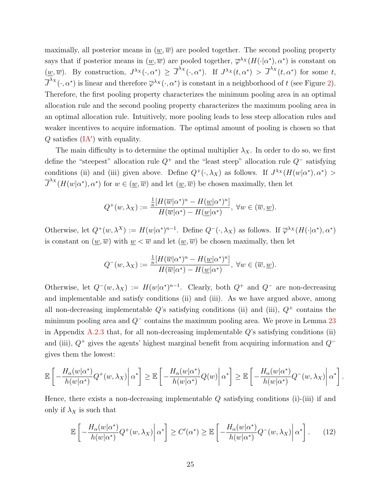maximally, all posterior means in  $(w,\overline{w})$  are pooled together. The second pooling property says that if posterior means in  $(\underline{w}, \overline{w})$  are pooled together,  $\overline{\varphi}^{\lambda_X}(H(\cdot|\alpha^*), \alpha^*)$  is constant on  $(\underline{w}, \overline{w})$ . By construction,  $J^{\lambda_X}(\cdot, \alpha^*) \geq \overline{J}^{\lambda_X}(\cdot, \alpha^*)$ . If  $J^{\lambda_X}(t, \alpha^*) > \overline{J}^{\lambda_X}(t, \alpha^*)$  for some t,  $\overline{J}^{\lambda_X}(\cdot, \alpha^*)$  is linear and therefore  $\overline{\varphi}^{\lambda_X}(\cdot, \alpha^*)$  is constant in a neighborhood of t (see Figure [2\)](#page-24-0). Therefore, the first pooling property characterizes the minimum pooling area in an optimal allocation rule and the second pooling property characterizes the maximum pooling area in an optimal allocation rule. Intuitively, more pooling leads to less steep allocation rules and weaker incentives to acquire information. The optimal amount of pooling is chosen so that  $Q$  satisfies  $(IA')$  $(IA')$  with equality.

The main difficulty is to determine the optimal multiplier  $\lambda_X$ . In order to do so, we first define the "steepest" allocation rule  $Q^+$  and the "least steep" allocation rule  $Q^-$  satisfying conditions (ii) and (iii) given above. Define  $Q^+(\cdot,\lambda_X)$  as follows. If  $J^{\lambda_X}(H(w|\alpha^*),\alpha^*)$  $\overline{J}^{\lambda_X}(H(w|\alpha^*), \alpha^*)$  for  $w \in (\underline{w}, \overline{w})$  and let  $(\underline{w}, \overline{w})$  be chosen maximally, then let

$$
Q^+(w, \lambda_X) := \frac{\frac{1}{n}[H(\overline{w}|\alpha^*)^n - H(\underline{w}|\alpha^*)^n]}{H(\overline{w}|\alpha^*) - H(\underline{w}|\alpha^*)}, \ \forall w \in (\overline{w}, \underline{w}).
$$

Otherwise, let  $Q^+(w, \lambda^X) := H(w|\alpha^*)^{n-1}$ . Define  $Q^-(\cdot, \lambda_X)$  as follows. If  $\overline{\varphi}^{\lambda_X}(H(\cdot|\alpha^*), \alpha^*)$ is constant on  $(w,\overline{w})$  with  $w < \overline{w}$  and let  $(w,\overline{w})$  be chosen maximally, then let

$$
Q^{-}(w,\lambda_{X}) := \frac{\frac{1}{n}[H(\overline{w}|\alpha^{*})^{n} - H(\underline{w}|\alpha^{*})^{n}]}{H(\overline{w}|\alpha^{*}) - H(\underline{w}|\alpha^{*})}, \ \forall w \in (\overline{w},\underline{w}).
$$

Otherwise, let  $Q^-(w, \lambda_X) := H(w|\alpha^*)^{n-1}$ . Clearly, both  $Q^+$  and  $Q^-$  are non-decreasing and implementable and satisfy conditions (ii) and (iii). As we have argued above, among all non-decreasing implementable  $Q$ 's satisfying conditions (ii) and (iii),  $Q^+$  contains the minimum pooling area and  $Q^-$  contains the maximum pooling area. We prove in Lemma [23](#page-71-0) in Appendix  $A.2.3$  that, for all non-decreasing implementable  $Q$ 's satisfying conditions (ii) and (iii),  $Q^+$  gives the agents' highest marginal benefit from acquiring information and  $Q^$ gives them the lowest:

$$
\mathbb{E}\left[-\frac{H_{\alpha}(w|\alpha^*)}{h(w|\alpha^*)}Q^+(w,\lambda_X)\middle|\alpha^*\right] \geq \mathbb{E}\left[-\frac{H_{\alpha}(w|\alpha^*)}{h(w|\alpha^*)}Q(w)\middle|\alpha^*\right] \geq \mathbb{E}\left[-\frac{H_{\alpha}(w|\alpha^*)}{h(w|\alpha^*)}Q^-(w,\lambda_X)\middle|\alpha^*\right].
$$

Hence, there exists a non-decreasing implementable  $Q$  satisfying conditions (i)-(iii) if and only if  $\lambda_X$  is such that

<span id="page-25-0"></span>
$$
\mathbb{E}\left[-\frac{H_{\alpha}(w|\alpha^*)}{h(w|\alpha^*)}Q^+(w,\lambda_X)\middle|\alpha^*\right] \ge C'(\alpha^*) \ge \mathbb{E}\left[-\frac{H_{\alpha}(w|\alpha^*)}{h(w|\alpha^*)}Q^-(w,\lambda_X)\middle|\alpha^*\right].\tag{12}
$$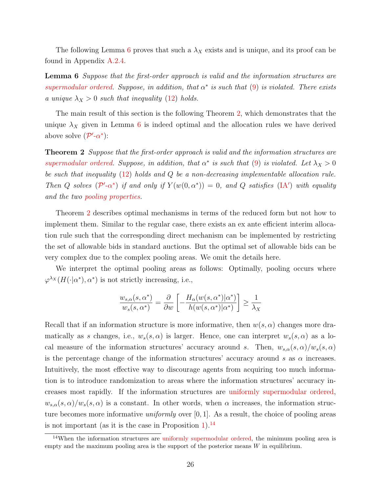<span id="page-26-0"></span>The following Lemma [6](#page-26-0) proves that such a  $\lambda_X$  exists and is unique, and its proof can be found in Appendix [A.2.4.](#page-71-1)

Lemma 6 Suppose that the first-order approach is valid and the information structures are [supermodular ordered.](#page-7-2) Suppose, in addition, that  $\alpha^*$  is such that [\(9\)](#page-19-2) is violated. There exists a unique  $\lambda_X > 0$  such that inequality [\(12\)](#page-25-0) holds.

The main result of this section is the following Theorem [2,](#page-26-1) which demonstrates that the unique  $\lambda_X$  given in Lemma [6](#page-26-0) is indeed optimal and the allocation rules we have derived above solve  $(\mathcal{P}' - \alpha^*)$  $(\mathcal{P}' - \alpha^*)$  $(\mathcal{P}' - \alpha^*)$ :

<span id="page-26-1"></span>**Theorem 2** Suppose that the first-order approach is valid and the information structures are [supermodular ordered.](#page-7-2) Suppose, in addition, that  $\alpha^*$  is such that [\(9\)](#page-19-2) is violated. Let  $\lambda_X > 0$ be such that inequality  $(12)$  holds and  $Q$  be a non-decreasing implementable allocation rule. Then Q solves  $(\mathcal{P}' - \alpha^*)$  $(\mathcal{P}' - \alpha^*)$  $(\mathcal{P}' - \alpha^*)$  if and only if  $Y(w(0, \alpha^*)) = 0$ , and Q satisfies [\(IA](#page-13-2)') with equality and the two [pooling properties.](#page-24-2)

Theorem [2](#page-26-1) describes optimal mechanisms in terms of the reduced form but not how to implement them. Similar to the regular case, there exists an ex ante efficient interim allocation rule such that the corresponding direct mechanism can be implemented by restricting the set of allowable bids in standard auctions. But the optimal set of allowable bids can be very complex due to the complex pooling areas. We omit the details here.

We interpret the optimal pooling areas as follows: Optimally, pooling occurs where  $\varphi^{\lambda_X}(H(\cdot|\alpha^*), \alpha^*)$  is not strictly increasing, i.e.,

$$
\frac{w_{s,\alpha}(s,\alpha^*)}{w_s(s,\alpha^*)} = \frac{\partial}{\partial w} \left[ -\frac{H_\alpha(w(s,\alpha^*)|\alpha^*)}{h(w(s,\alpha^*)|\alpha^*)} \right] \ge \frac{1}{\lambda_X}
$$

Recall that if an information structure is more informative, then  $w(s, \alpha)$  changes more dramatically as s changes, i.e.,  $w_s(s, \alpha)$  is larger. Hence, one can interpret  $w_s(s, \alpha)$  as a local measure of the information structures' accuracy around s. Then,  $w_{s,\alpha}(s,\alpha)/w_s(s,\alpha)$ is the percentage change of the information structures' accuracy around s as  $\alpha$  increases. Intuitively, the most effective way to discourage agents from acquiring too much information is to introduce randomization to areas where the information structures' accuracy increases most rapidly. If the information structures are [uniformly supermodular ordered,](#page-8-4)  $w_{s,\alpha}(s,\alpha)/w_s(s,\alpha)$  is a constant. In other words, when  $\alpha$  increases, the information structure becomes more informative *uniformly* over [0, 1]. As a result, the choice of pooling areas is not important (as it is the case in Proposition [1\)](#page-21-1).<sup>[14](#page-26-2)</sup>

<span id="page-26-2"></span> $14$ When the information structures are [uniformly supermodular ordered,](#page-8-4) the minimum pooling area is empty and the maximum pooling area is the support of the posterior means  $W$  in equilibrium.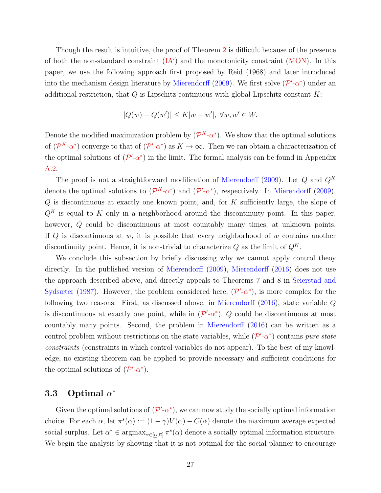Though the result is intuitive, the proof of Theorem [2](#page-26-1) is difficult because of the presence of both the non-standard constraint  $(IA')$  $(IA')$  and the monotonicity constraint  $(MON)$ . In this paper, we use the following approach first proposed by Reid (1968) and later introduced into the mechanism design literature by [Mierendorff](#page-87-2) [\(2009\)](#page-87-2). We first solve  $(\mathcal{P}'\text{-}\alpha^*)$  $(\mathcal{P}'\text{-}\alpha^*)$  $(\mathcal{P}'\text{-}\alpha^*)$  under an additional restriction, that  $Q$  is Lipschitz continuous with global Lipschitz constant  $K$ :

$$
|Q(w) - Q(w')| \le K|w - w'|, \ \forall w, w' \in W.
$$

Denote the modified maximization problem by  $(\mathcal{P}^{K} - \alpha^*)$  $(\mathcal{P}^{K} - \alpha^*)$  $(\mathcal{P}^{K} - \alpha^*)$ . We show that the optimal solutions of  $(\mathcal{P}^{K}-\alpha^{*})$  $(\mathcal{P}^{K}-\alpha^{*})$  $(\mathcal{P}^{K}-\alpha^{*})$  converge to that of  $(\mathcal{P}'-\alpha^{*})$  as  $K\to\infty$ . Then we can obtain a characterization of the optimal solutions of  $(\mathcal{P}'-\alpha^*)$  $(\mathcal{P}'-\alpha^*)$  $(\mathcal{P}'-\alpha^*)$  in the limit. The formal analysis can be found in Appendix [A.2.](#page-50-0)

The proof is not a straightforward modification of [Mierendorff](#page-87-2) [\(2009\)](#page-87-2). Let  $Q$  and  $Q^{K}$ denote the optimal solutions to  $(\mathcal{P}^{K}\text{-}\alpha^*)$  $(\mathcal{P}^{K}\text{-}\alpha^*)$  $(\mathcal{P}^{K}\text{-}\alpha^*)$  and  $(\mathcal{P}'\text{-}\alpha^*)$ , respectively. In [Mierendorff](#page-87-2) [\(2009\)](#page-87-2), Q is discontinuous at exactly one known point, and, for K sufficiently large, the slope of  $Q^{K}$  is equal to K only in a neighborhood around the discontinuity point. In this paper, however, Q could be discontinuous at most countably many times, at unknown points. If  $Q$  is discontinuous at  $w$ , it is possible that every neighborhood of  $w$  contains another discontinuity point. Hence, it is non-trivial to characterize  $Q$  as the limit of  $Q^K$ .

We conclude this subsection by briefly discussing why we cannot apply control theoy directly. In the published version of [Mierendorff](#page-87-2) [\(2009\)](#page-87-2), [Mierendorff](#page-87-11) [\(2016\)](#page-87-11) does not use the approach described above, and directly appeals to Theorems 7 and 8 in [Seierstad and](#page-87-12) [Sydsæter](#page-87-12) [\(1987\)](#page-87-12). However, the problem considered here,  $(\mathcal{P}'-\alpha^*)$  $(\mathcal{P}'-\alpha^*)$  $(\mathcal{P}'-\alpha^*)$ , is more complex for the following two reasons. First, as discussed above, in [Mierendorff](#page-87-11) [\(2016\)](#page-87-11), state variable Q is discontinuous at exactly one point, while in  $(\mathcal{P}'\text{-}\alpha^*)$  $(\mathcal{P}'\text{-}\alpha^*)$  $(\mathcal{P}'\text{-}\alpha^*)$ , Q could be discontinuous at most countably many points. Second, the problem in [Mierendorff](#page-87-11) [\(2016\)](#page-87-11) can be written as a control problem without restrictions on the state variables, while  $(\mathcal{P}'\text{-}\alpha^*)$  $(\mathcal{P}'\text{-}\alpha^*)$  $(\mathcal{P}'\text{-}\alpha^*)$  contains pure state constraints (constraints in which control variables do not appear). To the best of my knowledge, no existing theorem can be applied to provide necessary and sufficient conditions for the optimal solutions of  $(\mathcal{P}'\text{-}\alpha^*)$  $(\mathcal{P}'\text{-}\alpha^*)$  $(\mathcal{P}'\text{-}\alpha^*)$ .

## <span id="page-27-0"></span>3.3 Optimal  $\alpha^*$

Given the optimal solutions of  $(\mathcal{P}' - \alpha^*)$  $(\mathcal{P}' - \alpha^*)$  $(\mathcal{P}' - \alpha^*)$ , we can now study the socially optimal information choice. For each  $\alpha$ , let  $\pi^{s}(\alpha) := (1 - \gamma)V(\alpha) - C(\alpha)$  denote the maximum average expected social surplus. Let  $\alpha^* \in \operatorname{argmax}_{\alpha \in [\alpha, \overline{\alpha}]}\pi^s(\alpha)$  denote a socially optimal information structure. We begin the analysis by showing that it is not optimal for the social planner to encourage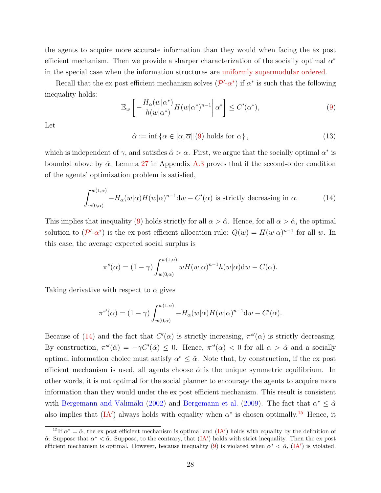the agents to acquire more accurate information than they would when facing the ex post efficient mechanism. Then we provide a sharper characterization of the socially optimal  $\alpha^*$ in the special case when the information structures are [uniformly supermodular ordered.](#page-8-4)

Recall that the ex post efficient mechanism solves  $(\mathcal{P}'\text{-}\alpha^*)$  $(\mathcal{P}'\text{-}\alpha^*)$  $(\mathcal{P}'\text{-}\alpha^*)$  if  $\alpha^*$  is such that the following inequality holds:

$$
\mathbb{E}_w \left[ -\frac{H_\alpha(w|\alpha^*)}{h(w|\alpha^*)} H(w|\alpha^*)^{n-1} \, \middle| \, \alpha^* \right] \le C'(\alpha^*),\tag{9}
$$

Let

<span id="page-28-2"></span>
$$
\hat{\alpha} := \inf \{ \alpha \in [\underline{\alpha}, \overline{\alpha}] | (9) \text{ holds for } \alpha \},\tag{13}
$$

which is independent of  $\gamma$ , and satisfies  $\hat{\alpha} > \underline{\alpha}$ . First, we argue that the socially optimal  $\alpha^*$  is bounded above by  $\hat{\alpha}$ . Lemma [27](#page-76-0) in Appendix [A.3](#page-75-0) proves that if the second-order condition of the agents' optimization problem is satisfied,

<span id="page-28-0"></span>
$$
\int_{w(0,\alpha)}^{w(1,\alpha)} -H_{\alpha}(w|\alpha)H(w|\alpha)^{n-1}dw - C'(\alpha)
$$
 is strictly decreasing in  $\alpha$ . (14)

This implies that inequality [\(9\)](#page-19-2) holds strictly for all  $\alpha > \hat{\alpha}$ . Hence, for all  $\alpha > \hat{\alpha}$ , the optimal solution to  $(\mathcal{P}'\text{-}\alpha^*)$  $(\mathcal{P}'\text{-}\alpha^*)$  $(\mathcal{P}'\text{-}\alpha^*)$  is the ex-post efficient allocation rule:  $Q(w) = H(w|\alpha)^{n-1}$  for all w. In this case, the average expected social surplus is

$$
\pi^{s}(\alpha) = (1 - \gamma) \int_{w(0,\alpha)}^{w(1,\alpha)} w H(w|\alpha)^{n-1} h(w|\alpha) dw - C(\alpha).
$$

Taking derivative with respect to  $\alpha$  gives

$$
\pi^{s'}(\alpha) = (1 - \gamma) \int_{w(0,\alpha)}^{w(1,\alpha)} -H_{\alpha}(w|\alpha)H(w|\alpha)^{n-1}dw - C'(\alpha).
$$

Because of [\(14\)](#page-28-0) and the fact that  $C'(\alpha)$  is strictly increasing,  $\pi^{s'}(\alpha)$  is strictly decreasing. By construction,  $\pi^{s'}(\hat{\alpha}) = -\gamma C'(\hat{\alpha}) \leq 0$ . Hence,  $\pi^{s'}(\alpha) < 0$  for all  $\alpha > \hat{\alpha}$  and a socially optimal information choice must satisfy  $\alpha^* \leq \hat{\alpha}$ . Note that, by construction, if the ex post efficient mechanism is used, all agents choose  $\hat{\alpha}$  is the unique symmetric equilibrium. In other words, it is not optimal for the social planner to encourage the agents to acquire more information than they would under the ex post efficient mechanism. This result is consistent with Bergemann and Välimäki [\(2002\)](#page-85-1) and [Bergemann et al.](#page-85-0) [\(2009\)](#page-85-0). The fact that  $\alpha^* \leq \hat{\alpha}$ also implies that  $(IA')$  $(IA')$  always holds with equality when  $\alpha^*$  is chosen optimally.<sup>[15](#page-28-1)</sup> Hence, it

<span id="page-28-1"></span><sup>&</sup>lt;sup>15</sup>If  $\alpha^* = \hat{\alpha}$ , the ex post efficient mechanism is optimal and  $(IA')$  $(IA')$  holds with equality by the definition of  $\hat{\alpha}$ . Suppose that  $\alpha^* < \hat{\alpha}$ . Suppose, to the contrary, that  $(IA')$  $(IA')$  holds with strict inequality. Then the expost efficient mechanism is optimal. However, because inequality [\(9\)](#page-19-2) is violated when  $\alpha^* < \hat{\alpha}$ , [\(IA](#page-13-2)') is violated,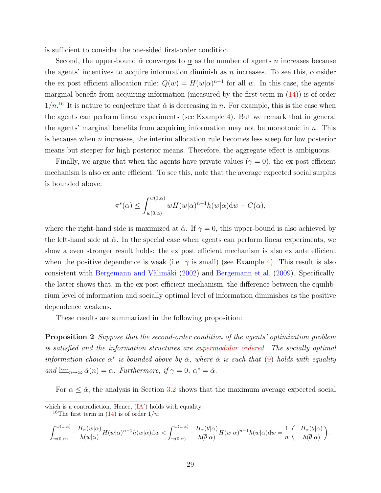is sufficient to consider the one-sided first-order condition.

Second, the upper-bound  $\hat{\alpha}$  converges to  $\underline{\alpha}$  as the number of agents n increases because the agents' incentives to acquire information diminish as  $n$  increases. To see this, consider the ex post efficient allocation rule:  $Q(w) = H(w|\alpha)^{n-1}$  for all w. In this case, the agents' marginal benefit from acquiring information (measured by the first term in [\(14\)](#page-28-0)) is of order  $1/n<sup>16</sup>$  $1/n<sup>16</sup>$  $1/n<sup>16</sup>$  It is nature to conjecture that  $\hat{\alpha}$  is decreasing in n. For example, this is the case when the agents can perform linear experiments (see Example [4\)](#page-30-0). But we remark that in general the agents' marginal benefits from acquiring information may not be monotonic in  $n$ . This is because when  $n$  increases, the interim allocation rule becomes less steep for low posterior means but steeper for high posterior means. Therefore, the aggregate effect is ambiguous.

Finally, we argue that when the agents have private values ( $\gamma = 0$ ), the ex post efficient mechanism is also ex ante efficient. To see this, note that the average expected social surplus is bounded above:

$$
\pi^{s}(\alpha) \leq \int_{w(0,\alpha)}^{w(1,\alpha)} w H(w|\alpha)^{n-1} h(w|\alpha) \mathrm{d}w - C(\alpha),
$$

where the right-hand side is maximized at  $\hat{\alpha}$ . If  $\gamma = 0$ , this upper-bound is also achieved by the left-hand side at  $\hat{\alpha}$ . In the special case when agents can perform linear experiments, we show a even stronger result holds: the ex post efficient mechanism is also ex ante efficient when the positive dependence is weak (i.e.  $\gamma$  is small) (see Example [4\)](#page-30-0). This result is also consistent with Bergemann and Välimäki [\(2002\)](#page-85-1) and [Bergemann et al.](#page-85-0) [\(2009\)](#page-85-0). Specifically, the latter shows that, in the ex post efficient mechanism, the difference between the equilibrium level of information and socially optimal level of information diminishes as the positive dependence weakens.

These results are summarized in the following proposition:

<span id="page-29-1"></span>Proposition 2 Suppose that the second-order condition of the agents' optimization problem is satisfied and the information structures are [supermodular ordered.](#page-7-2) The socially optimal information choice  $\alpha^*$  is bounded above by  $\hat{\alpha}$ , where  $\hat{\alpha}$  is such that [\(9\)](#page-19-2) holds with equality and  $\lim_{n\to\infty} \hat{\alpha}(n) = \underline{\alpha}$ . Furthermore, if  $\gamma = 0$ ,  $\alpha^* = \hat{\alpha}$ .

For  $\alpha \leq \hat{\alpha}$ , the analysis in Section [3.2](#page-19-0) shows that the maximum average expected social

$$
\int_{w(0,\alpha)}^{w(1,\alpha)} -\frac{H_{\alpha}(w|\alpha)}{h(w|\alpha)}H(w|\alpha)^{n-1}h(w|\alpha)dw < \int_{w(0,\alpha)}^{w(1,\alpha)} -\frac{H_{\alpha}(\overline{\theta}|\alpha)}{h(\overline{\theta}|\alpha)}H(w|\alpha)^{n-1}h(w|\alpha)dw = \frac{1}{n}\left(-\frac{H_{\alpha}(\overline{\theta}|\alpha)}{h(\overline{\theta}|\alpha)}\right).
$$

which is a contradiction. Hence,  $(IA')$  $(IA')$  holds with equality.

<span id="page-29-0"></span><sup>&</sup>lt;sup>16</sup>The first term in [\(14\)](#page-28-0) is of order  $1/n$ :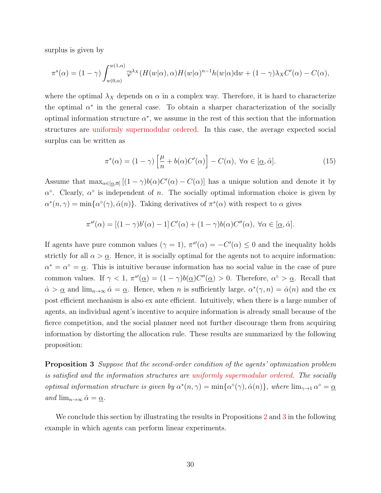surplus is given by

$$
\pi^{s}(\alpha) = (1 - \gamma) \int_{w(0,\alpha)}^{w(1,\alpha)} \overline{\varphi}^{\lambda_{X}} (H(w|\alpha), \alpha) H(w|\alpha)^{n-1} h(w|\alpha) dw + (1 - \gamma) \lambda_{X} C'(\alpha) - C(\alpha),
$$

where the optimal  $\lambda_X$  depends on  $\alpha$  in a complex way. Therefore, it is hard to characterize the optimal  $\alpha^*$  in the general case. To obtain a sharper characterization of the socially optimal information structure  $\alpha^*$ , we assume in the rest of this section that the information structures are [uniformly supermodular ordered.](#page-8-4) In this case, the average expected social surplus can be written as

<span id="page-30-2"></span>
$$
\pi^{s}(\alpha) = (1 - \gamma) \left[ \frac{\mu}{n} + b(\alpha) C'(\alpha) \right] - C(\alpha), \ \forall \alpha \in [\underline{\alpha}, \hat{\alpha}]. \tag{15}
$$

Assume that  $\max_{\alpha \in [\alpha, \overline{\alpha}]} [(1 - \gamma) b(\alpha) C'(\alpha) - C(\alpha)]$  has a unique solution and denote it by  $\alpha^{\circ}$ . Clearly,  $\alpha^{\circ}$  is independent of n. The socially optimal information choice is given by  $\alpha^*(n,\gamma) = \min{\alpha^{\circ}(\gamma), \hat{\alpha}(n)}$ . Taking derivatives of  $\pi^s(\alpha)$  with respect to  $\alpha$  gives

$$
\pi^{s'}(\alpha) = \left[ (1 - \gamma)b'(\alpha) - 1 \right] C'(\alpha) + (1 - \gamma)b(\alpha)C''(\alpha), \ \forall \alpha \in [\underline{\alpha}, \widehat{\alpha}].
$$

If agents have pure common values  $(\gamma = 1)$ ,  $\pi^{s'}(\alpha) = -C'(\alpha) \leq 0$  and the inequality holds strictly for all  $\alpha > \underline{\alpha}$ . Hence, it is socially optimal for the agents not to acquire information:  $\alpha^* = \alpha^{\circ} = \underline{\alpha}$ . This is intuitive because information has no social value in the case of pure common values. If  $\gamma < 1$ ,  $\pi^{s'}(\alpha) = (1 - \gamma)b(\alpha)C''(\alpha) > 0$ . Therefore,  $\alpha^{\circ} > \alpha$ . Recall that  $\hat{\alpha} > \underline{\alpha}$  and  $\lim_{n \to \infty} \hat{\alpha} = \underline{\alpha}$ . Hence, when n is sufficiently large,  $\alpha^*(\gamma, n) = \hat{\alpha}(n)$  and the expost efficient mechanism is also ex ante efficient. Intuitively, when there is a large number of agents, an individual agent's incentive to acquire information is already small because of the fierce competition, and the social planner need not further discourage them from acquiring information by distorting the allocation rule. These results are summarized by the following proposition:

<span id="page-30-1"></span>Proposition 3 Suppose that the second-order condition of the agents' optimization problem is satisfied and the information structures are [uniformly supermodular ordered.](#page-8-4) The socially *optimal information structure is given by*  $\alpha^*(n, \gamma) = \min{\{\alpha^{\circ}(\gamma), \hat{\alpha}(n)\}}$ , where  $\lim_{\gamma \to 1} \alpha^{\circ} = \underline{\alpha}$ and  $\lim_{n\to\infty} \hat{\alpha} = \underline{\alpha}$ .

<span id="page-30-0"></span>We conclude this section by illustrating the results in Propositions [2](#page-29-1) and [3](#page-30-1) in the following example in which agents can perform linear experiments.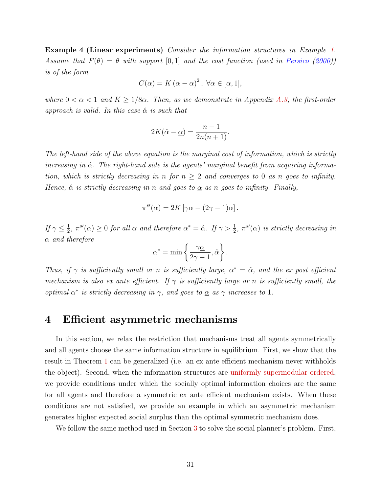Example 4 (Linear experiments) Consider the information structures in Example [1.](#page-9-1) Assume that  $F(\theta) = \theta$  with support [0,1] and the cost function (used in [Persico](#page-87-4) [\(2000\)](#page-87-4)) is of the form

$$
C(\alpha) = K(\alpha - \underline{\alpha})^2, \ \forall \alpha \in [\underline{\alpha}, 1],
$$

where  $0 < \underline{\alpha} < 1$  and  $K \geq 1/8 \underline{\alpha}$ . Then, as we demonstrate in Appendix [A.3,](#page-75-0) the first-order approach is valid. In this case  $\hat{\alpha}$  is such that

$$
2K(\hat{\alpha} - \underline{\alpha}) = \frac{n-1}{2n(n+1)}.
$$

The left-hand side of the above equation is the marginal cost of information, which is strictly increasing in  $\hat{\alpha}$ . The right-hand side is the agents' marginal benefit from acquiring information, which is strictly decreasing in n for  $n \geq 2$  and converges to 0 as n goes to infinity. Hence,  $\hat{\alpha}$  is strictly decreasing in n and goes to  $\underline{\alpha}$  as n goes to infinity. Finally,

$$
\pi^{s'}(\alpha) = 2K \left[ \gamma \underline{\alpha} - (2\gamma - 1)\alpha \right].
$$

If  $\gamma \leq \frac{1}{2}$  $\frac{1}{2}$ ,  $\pi^{s'}(\alpha) \geq 0$  for all  $\alpha$  and therefore  $\alpha^* = \hat{\alpha}$ . If  $\gamma > \frac{1}{2}$ ,  $\pi^{s'}(\alpha)$  is strictly decreasing in  $\alpha$  and therefore

$$
\alpha^* = \min \left\{ \frac{\gamma \underline{\alpha}}{2\gamma - 1}, \hat{\alpha} \right\}.
$$

Thus, if  $\gamma$  is sufficiently small or n is sufficiently large,  $\alpha^* = \hat{\alpha}$ , and the ex post efficient mechanism is also ex ante efficient. If  $\gamma$  is sufficiently large or n is sufficiently small, the optimal  $\alpha^*$  is strictly decreasing in  $\gamma$ , and goes to  $\underline{\alpha}$  as  $\gamma$  increases to 1.

### <span id="page-31-0"></span>4 Efficient asymmetric mechanisms

In this section, we relax the restriction that mechanisms treat all agents symmetrically and all agents choose the same information structure in equilibrium. First, we show that the result in Theorem [1](#page-15-0) can be generalized (i.e. an ex ante efficient mechanism never withholds the object). Second, when the information structures are [uniformly supermodular ordered,](#page-8-4) we provide conditions under which the socially optimal information choices are the same for all agents and therefore a symmetric ex ante efficient mechanism exists. When these conditions are not satisfied, we provide an example in which an asymmetric mechanism generates higher expected social surplus than the optimal symmetric mechanism does.

We follow the same method used in Section [3](#page-12-0) to solve the social planner's problem. First,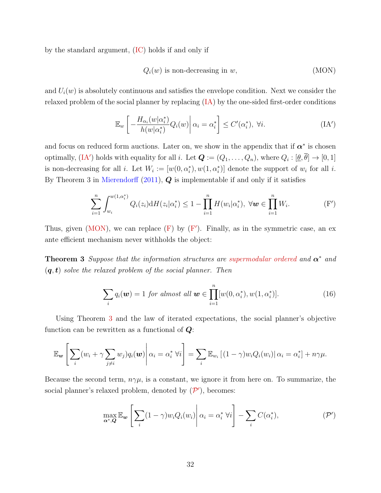by the standard argument, [\(IC\)](#page-11-2) holds if and only if

<span id="page-32-1"></span><span id="page-32-0"></span>
$$
Q_i(w) \text{ is non-decreasing in } w,
$$
 (MON)

and  $U_i(w)$  is absolutely continuous and satisfies the envelope condition. Next we consider the relaxed problem of the social planner by replacing [\(IA\)](#page-11-3) by the one-sided first-order conditions

$$
\mathbb{E}_w \left[ -\frac{H_{\alpha_i}(w|\alpha_i^*)}{h(w|\alpha_i^*)} Q_i(w) \middle| \alpha_i = \alpha_i^* \right] \le C'(\alpha_i^*), \ \forall i. \tag{IA'}
$$

and focus on reduced form auctions. Later on, we show in the appendix that if  $\alpha^*$  is chosen optimally,  $(IA')$  $(IA')$  holds with equality for all i. Let  $\mathbf{Q} := (Q_1, \ldots, Q_n)$ , where  $Q_i : [\underline{\theta}, \overline{\theta}] \to [0, 1]$ is non-decreasing for all *i*. Let  $W_i := [w(0, \alpha_i^*), w(1, \alpha_i^*)]$  denote the support of  $w_i$  for all *i*. By Theorem 3 in [Mierendorff](#page-87-5)  $(2011)$ ,  $\boldsymbol{Q}$  is implementable if and only if it satisfies

$$
\sum_{i=1}^{n} \int_{w_i}^{w(1,\alpha_i^*)} Q_i(z_i) dH(z_i|\alpha_i^*) \le 1 - \prod_{i=1}^{n} H(w_i|\alpha_i^*), \ \forall \mathbf{w} \in \prod_{i=1}^{n} W_i.
$$
 (F')

Thus, given [\(MON\)](#page-12-4), we can replace  $(F)$  by  $(F')$  $(F')$ . Finally, as in the symmetric case, an ex ante efficient mechanism never withholds the object:

<span id="page-32-2"></span>**Theorem 3** Suppose that the information structures are [supermodular ordered](#page-7-2) and  $\alpha^*$  and  $(q, t)$  solve the relaxed problem of the social planner. Then

$$
\sum_{i} q_i(\boldsymbol{w}) = 1 \text{ for almost all } \boldsymbol{w} \in \prod_{i=1}^n [w(0, \alpha_i^*), w(1, \alpha_i^*)]. \tag{16}
$$

Using Theorem [3](#page-32-2) and the law of iterated expectations, the social planner's objective function can be rewritten as a functional of  $\boldsymbol{Q}$ :

$$
\mathbb{E}_{\boldsymbol{w}}\left[\sum_i (w_i + \gamma \sum_{j \neq i} w_j) q_i(\boldsymbol{w})\middle|\alpha_i = \alpha_i^* \ \forall i\right] = \sum_i \mathbb{E}_{w_i} \left[(1 - \gamma) w_i Q_i(w_i) | \alpha_i = \alpha_i^* \right] + n \gamma \mu.
$$

Because the second term,  $n\gamma\mu$ , is a constant, we ignore it from here on. To summarize, the social planner's relaxed problem, denoted by  $(\mathcal{P}')$  $(\mathcal{P}')$  $(\mathcal{P}')$ , becomes:

<span id="page-32-4"></span><span id="page-32-3"></span>
$$
\max_{\alpha^*,\mathbf{Q}} \mathbb{E}_{\mathbf{w}} \left[ \sum_i (1 - \gamma) w_i Q_i(w_i) \middle| \alpha_i = \alpha_i^* \ \forall i \right] - \sum_i C(\alpha_i^*), \tag{P'}
$$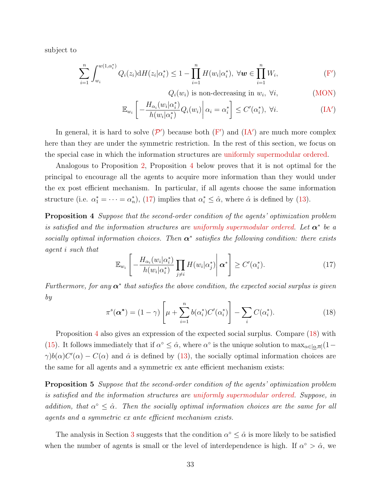subject to

$$
\sum_{i=1}^{n} \int_{w_i}^{w(1,\alpha_i^*)} Q_i(z_i) dH(z_i|\alpha_i^*) \le 1 - \prod_{i=1}^{n} H(w_i|\alpha_i^*), \ \forall \mathbf{w} \in \prod_{i=1}^{n} W_i,
$$
 (F')

$$
Q_i(w_i) \text{ is non-decreasing in } w_i, \ \forall i,
$$
 (MON)

$$
\mathbb{E}_{w_i}\left[-\frac{H_{\alpha_i}(w_i|\alpha_i^*)}{h(w_i|\alpha_i^*)}Q_i(w_i)\middle|\alpha_i=\alpha_i^*\right] \le C'(\alpha_i^*), \ \forall i. \tag{IA'}
$$

In general, it is hard to solve  $(\mathcal{P}')$  $(\mathcal{P}')$  $(\mathcal{P}')$  because both  $(F')$  $(F')$  and  $(IA')$  $(IA')$  are much more complex here than they are under the symmetric restriction. In the rest of this section, we focus on the special case in which the information structures are [uniformly supermodular ordered.](#page-8-4)

Analogous to Proposition [2,](#page-29-1) Proposition [4](#page-33-0) below proves that it is not optimal for the principal to encourage all the agents to acquire more information than they would under the ex post efficient mechanism. In particular, if all agents choose the same information structure (i.e.  $\alpha_1^* = \cdots = \alpha_n^*$ ), [\(17\)](#page-32-4) implies that  $\alpha_i^* \leq \hat{\alpha}$ , where  $\hat{\alpha}$  is defined by [\(13\)](#page-28-2).

<span id="page-33-0"></span>Proposition 4 Suppose that the second-order condition of the agents' optimization problem is satisfied and the information structures are [uniformly supermodular ordered.](#page-8-4) Let  $\alpha^*$  be a socially optimal information choices. Then  $\alpha^*$  satisfies the following condition: there exists agent i such that

$$
\mathbb{E}_{w_i}\left[-\frac{H_{\alpha_i}(w_i|\alpha_i^*)}{h(w_i|\alpha_i^*)}\prod_{j\neq i}H(w_i|\alpha_j^*)\middle|\,\boldsymbol{\alpha}^*\right] \geq C'(\alpha_i^*).
$$
\n(17)

Furthermore, for any  $\alpha^*$  that satisfies the above condition, the expected social surplus is given by

<span id="page-33-1"></span>
$$
\pi^s(\boldsymbol{\alpha}^*) = (1 - \gamma) \left[ \mu + \sum_{i=1}^n b(\alpha_i^*) C'(\alpha_i^*) \right] - \sum_i C(\alpha_i^*). \tag{18}
$$

Proposition [4](#page-33-0) also gives an expression of the expected social surplus. Compare [\(18\)](#page-33-1) with [\(15\)](#page-30-2). It follows immediately that if  $\alpha^{\circ} \leq \hat{\alpha}$ , where  $\alpha^{\circ}$  is the unique solution to  $\max_{\alpha \in [\alpha, \overline{\alpha}]} (1-\alpha)$  $\gamma$ )b( $\alpha$ )C''( $\alpha$ ) – C'( $\alpha$ ) and  $\hat{\alpha}$  is defined by [\(13\)](#page-28-2), the socially optimal information choices are the same for all agents and a symmetric ex ante efficient mechanism exists:

<span id="page-33-2"></span>Proposition 5 Suppose that the second-order condition of the agents' optimization problem is satisfied and the information structures are [uniformly supermodular ordered.](#page-8-4) Suppose, in addition, that  $\alpha^{\circ} \leq \hat{\alpha}$ . Then the socially optimal information choices are the same for all agents and a symmetric ex ante efficient mechanism exists.

The analysis in Section [3](#page-12-0) suggests that the condition  $\alpha^{\circ} \leq \hat{\alpha}$  is more likely to be satisfied when the number of agents is small or the level of interdependence is high. If  $\alpha^{\circ} > \hat{\alpha}$ , we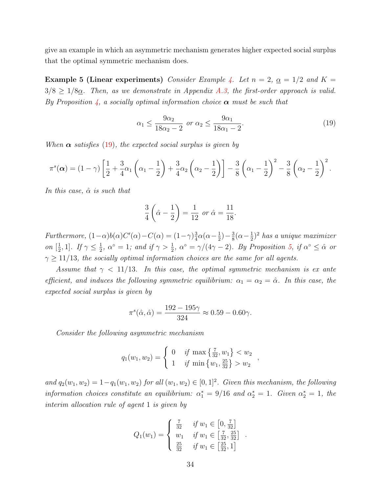give an example in which an asymmetric mechanism generates higher expected social surplus that the optimal symmetric mechanism does.

<span id="page-34-1"></span>Example 5 (Linear experiments) Consider Example [4.](#page-30-0) Let  $n = 2$ ,  $\alpha = 1/2$  and  $K =$  $3/8 \geq 1/8\alpha$ . Then, as we demonstrate in Appendix [A.3,](#page-75-0) the first-order approach is valid. By Proposition [4,](#page-33-0) a socially optimal information choice  $\alpha$  must be such that

<span id="page-34-0"></span>
$$
\alpha_1 \le \frac{9\alpha_2}{18\alpha_2 - 2} \text{ or } \alpha_2 \le \frac{9\alpha_1}{18\alpha_1 - 2}.\tag{19}
$$

When  $\alpha$  satisfies [\(19\)](#page-34-0), the expected social surplus is given by

$$
\pi^{s}(\alpha) = (1 - \gamma) \left[ \frac{1}{2} + \frac{3}{4} \alpha_1 \left( \alpha_1 - \frac{1}{2} \right) + \frac{3}{4} \alpha_2 \left( \alpha_2 - \frac{1}{2} \right) \right] - \frac{3}{8} \left( \alpha_1 - \frac{1}{2} \right)^2 - \frac{3}{8} \left( \alpha_2 - \frac{1}{2} \right)^2.
$$

In this case,  $\hat{\alpha}$  is such that

$$
\frac{3}{4}\left(\hat{\alpha} - \frac{1}{2}\right) = \frac{1}{12} \text{ or } \hat{\alpha} = \frac{11}{18}.
$$

Furthermore,  $(1-\alpha)b(\alpha)C'(\alpha) - C(\alpha) = (1-\gamma)\frac{3}{4}$  $\frac{3}{4}\alpha(\alpha-\frac{1}{2})$  $(\frac{1}{2}) - \frac{3}{8}$  $\frac{3}{8}(\alpha - \frac{1}{2})$  $(\frac{1}{2})^2$  has a unique maximizer on  $\left[\frac{1}{2}\right]$  $[\frac{1}{2}, 1]$ . If  $\gamma \leq \frac{1}{2}$  $\frac{1}{2}$ ,  $\alpha^{\circ} = 1$ ; and if  $\gamma > \frac{1}{2}$ ,  $\alpha^{\circ} = \gamma/(4\gamma - 2)$ . By Proposition [5,](#page-33-2) if  $\alpha^{\circ} \leq \hat{\alpha}$  or  $\gamma \geq 11/13$ , the socially optimal information choices are the same for all agents.

Assume that  $\gamma$  < 11/13. In this case, the optimal symmetric mechanism is ex ante efficient, and induces the following symmetric equilibrium:  $\alpha_1 = \alpha_2 = \hat{\alpha}$ . In this case, the expected social surplus is given by

$$
\pi^{s}(\hat{\alpha}, \hat{\alpha}) = \frac{192 - 195\gamma}{324} \approx 0.59 - 0.60\gamma.
$$

Consider the following asymmetric mechanism

$$
q_1(w_1, w_2) = \begin{cases} 0 & \text{if } \max\left\{\frac{7}{32}, w_1\right\} < w_2 \\ 1 & \text{if } \min\left\{w_1, \frac{25}{32}\right\} > w_2 \end{cases}
$$

and  $q_2(w_1, w_2) = 1 - q_1(w_1, w_2)$  for all  $(w_1, w_2) \in [0, 1]^2$ . Given this mechanism, the following information choices constitute an equilibrium:  $\alpha_1^* = 9/16$  and  $\alpha_2^* = 1$ . Given  $\alpha_2^* = 1$ , the interim allocation rule of agent 1 is given by

$$
Q_1(w_1) = \begin{cases} \frac{7}{32} & \text{if } w_1 \in [0, \frac{7}{32}] \\ w_1 & \text{if } w_1 \in [\frac{7}{32}, \frac{25}{32}] \\ \frac{25}{32} & \text{if } w_1 \in [\frac{25}{32}, 1] \end{cases}.
$$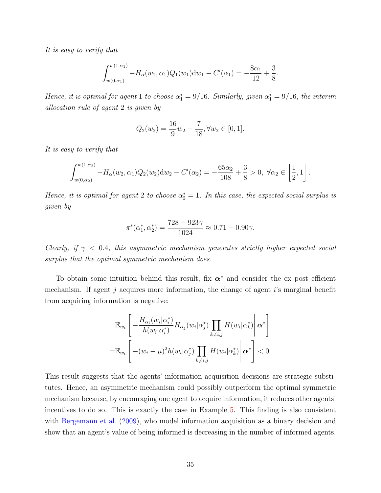It is easy to verify that

$$
\int_{w(0,\alpha_1)}^{w(1,\alpha_1)} -H_{\alpha}(w_1,\alpha_1)Q_1(w_1)\mathrm{d}w_1 - C'(\alpha_1) = -\frac{8\alpha_1}{12} + \frac{3}{8}.
$$

Hence, it is optimal for agent 1 to choose  $\alpha_1^* = 9/16$ . Similarly, given  $\alpha_1^* = 9/16$ , the interim allocation rule of agent 2 is given by

$$
Q_2(w_2) = \frac{16}{9}w_2 - \frac{7}{18}, \forall w_2 \in [0, 1].
$$

It is easy to verify that

$$
\int_{w(0,\alpha_2)}^{w(1,\alpha_2)} -H_\alpha(w_2,\alpha_1)Q_2(w_2)dw_2 - C'(\alpha_2) = -\frac{65\alpha_2}{108} + \frac{3}{8} > 0, \ \forall \alpha_2 \in \left[\frac{1}{2},1\right].
$$

Hence, it is optimal for agent 2 to choose  $\alpha_2^* = 1$ . In this case, the expected social surplus is given by

$$
\pi^{s}(\alpha_1^*, \alpha_2^*) = \frac{728 - 923\gamma}{1024} \approx 0.71 - 0.90\gamma.
$$

Clearly, if  $\gamma$  < 0.4, this asymmetric mechanism generates strictly higher expected social surplus that the optimal symmetric mechanism does.

To obtain some intuition behind this result, fix  $\alpha^*$  and consider the ex post efficient mechanism. If agent j acquires more information, the change of agent i's marginal benefit from acquiring information is negative:

$$
\mathbb{E}_{w_i}\left[-\frac{H_{\alpha_i}(w_i|\alpha_i^*)}{h(w_i|\alpha_i^*)}H_{\alpha_j}(w_i|\alpha_j^*)\prod_{k\neq i,j}H(w_i|\alpha_k^*)\middle|\boldsymbol{\alpha}^*\right]
$$
  

$$
=\mathbb{E}_{w_i}\left[-(w_i-\mu)^2h(w_i|\alpha_j^*)\prod_{k\neq i,j}H(w_i|\alpha_k^*)\middle|\boldsymbol{\alpha}^*\right]<0.
$$

This result suggests that the agents' information acquisition decisions are strategic substitutes. Hence, an asymmetric mechanism could possibly outperform the optimal symmetric mechanism because, by encouraging one agent to acquire information, it reduces other agents' incentives to do so. This is exactly the case in Example [5.](#page-34-1) This finding is also consistent with [Bergemann et al.](#page-85-0) [\(2009\)](#page-85-0), who model information acquisition as a binary decision and show that an agent's value of being informed is decreasing in the number of informed agents.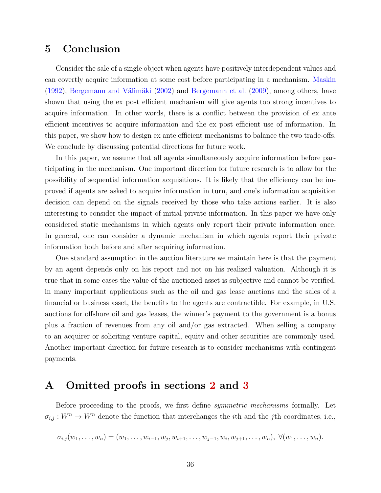# 5 Conclusion

Consider the sale of a single object when agents have positively interdependent values and can covertly acquire information at some cost before participating in a mechanism. [Maskin](#page-86-0)  $(1992)$ , Bergemann and Välimäki  $(2002)$  and [Bergemann et al.](#page-85-1)  $(2009)$ , among others, have shown that using the ex post efficient mechanism will give agents too strong incentives to acquire information. In other words, there is a conflict between the provision of ex ante efficient incentives to acquire information and the ex post efficient use of information. In this paper, we show how to design ex ante efficient mechanisms to balance the two trade-offs. We conclude by discussing potential directions for future work.

In this paper, we assume that all agents simultaneously acquire information before participating in the mechanism. One important direction for future research is to allow for the possibility of sequential information acquisitions. It is likely that the efficiency can be improved if agents are asked to acquire information in turn, and one's information acquisition decision can depend on the signals received by those who take actions earlier. It is also interesting to consider the impact of initial private information. In this paper we have only considered static mechanisms in which agents only report their private information once. In general, one can consider a dynamic mechanism in which agents report their private information both before and after acquiring information.

One standard assumption in the auction literature we maintain here is that the payment by an agent depends only on his report and not on his realized valuation. Although it is true that in some cases the value of the auctioned asset is subjective and cannot be verified, in many important applications such as the oil and gas lease auctions and the sales of a financial or business asset, the benefits to the agents are contractible. For example, in U.S. auctions for offshore oil and gas leases, the winner's payment to the government is a bonus plus a fraction of revenues from any oil and/or gas extracted. When selling a company to an acquirer or soliciting venture capital, equity and other securities are commonly used. Another important direction for future research is to consider mechanisms with contingent payments.

## A Omitted proofs in sections [2](#page-6-0) and [3](#page-12-0)

Before proceeding to the proofs, we first define symmetric mechanisms formally. Let  $\sigma_{i,j}: W^n \to W^n$  denote the function that interchanges the *i*th and the *j*th coordinates, i.e.,

$$
\sigma_{i,j}(w_1,\ldots,w_n)=(w_1,\ldots,w_{i-1},w_j,w_{i+1},\ldots,w_{j-1},w_i,w_{j+1},\ldots,w_n),\ \forall (w_1,\ldots,w_n).
$$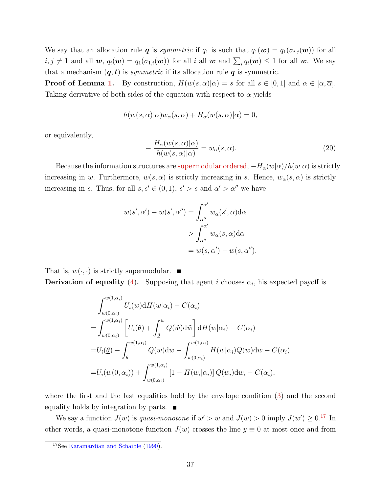We say that an allocation rule q is *symmetric* if  $q_1$  is such that  $q_1(\mathbf{w}) = q_1(\sigma_{i,j}(\mathbf{w}))$  for all  $i, j \neq 1$  and all  $w, q_i(w) = q_1(\sigma_{1,i}(w))$  for all i all  $w$  and  $\sum_i q_i(w) \leq 1$  for all  $w$ . We say that a mechanism  $(q, t)$  is *symmetric* if its allocation rule q is symmetric.

**Proof of Lemma [1.](#page-8-0)** By construction,  $H(w(s, \alpha)|\alpha) = s$  for all  $s \in [0, 1]$  and  $\alpha \in [\alpha, \overline{\alpha}]$ . Taking derivative of both sides of the equation with respect to  $\alpha$  yields

$$
h(w(s, \alpha)|\alpha)w_{\alpha}(s, \alpha) + H_{\alpha}(w(s, \alpha)|\alpha) = 0,
$$

or equivalently,

$$
-\frac{H_{\alpha}(w(s,\alpha)|\alpha)}{h(w(s,\alpha)|\alpha)} = w_{\alpha}(s,\alpha).
$$
\n(20)

Because the information structures are [supermodular ordered,](#page-7-0)  $-H_{\alpha}(w|\alpha)/h(w|\alpha)$  is strictly increasing in w. Furthermore,  $w(s, \alpha)$  is strictly increasing in s. Hence,  $w_{\alpha}(s, \alpha)$  is strictly increasing in s. Thus, for all  $s, s' \in (0, 1), s' > s$  and  $\alpha' > \alpha''$  we have

$$
w(s', \alpha') - w(s', \alpha'') = \int_{\alpha''}^{\alpha'} w_{\alpha}(s', \alpha) d\alpha
$$

$$
> \int_{\alpha''}^{\alpha'} w_{\alpha}(s, \alpha) d\alpha
$$

$$
= w(s, \alpha') - w(s, \alpha'').
$$

That is,  $w(\cdot, \cdot)$  is strictly supermodular.  $\blacksquare$ 

**Derivation of equality** [\(4\)](#page-12-1). Supposing that agent i chooses  $\alpha_i$ , his expected payoff is

$$
\int_{w(0,\alpha_i)}^{w(1,\alpha_i)} U_i(w) \mathrm{d}H(w|\alpha_i) - C(\alpha_i)
$$
\n
$$
= \int_{w(0,\alpha_i)}^{w(1,\alpha_i)} \left[ U_i(\underline{\theta}) + \int_{\underline{\theta}}^w Q(\tilde{w}) \mathrm{d}\tilde{w} \right] \mathrm{d}H(w|\alpha_i) - C(\alpha_i)
$$
\n
$$
= U_i(\underline{\theta}) + \int_{\underline{\theta}}^{w(1,\alpha_i)} Q(w) \mathrm{d}w - \int_{w(0,\alpha_i)}^{w(1,\alpha_i)} H(w|\alpha_i) Q(w) \mathrm{d}w - C(\alpha_i)
$$
\n
$$
= U_i(w(0,\alpha_i)) + \int_{w(0,\alpha_i)}^{w(1,\alpha_i)} \left[ 1 - H(w_i|\alpha_i) \right] Q(w_i) \mathrm{d}w_i - C(\alpha_i),
$$

where the first and the last equalities hold by the envelope condition [\(3\)](#page-12-2) and the second equality holds by integration by parts.  $\blacksquare$ 

We say a function  $J(w)$  is quasi-monotone if  $w' > w$  and  $J(w) > 0$  imply  $J(w') \geq 0.17$  $J(w') \geq 0.17$  In other words, a quasi-monotone function  $J(w)$  crosses the line  $y \equiv 0$  at most once and from

<span id="page-37-0"></span><sup>17</sup>See [Karamardian and Schaible](#page-86-1) [\(1990\)](#page-86-1).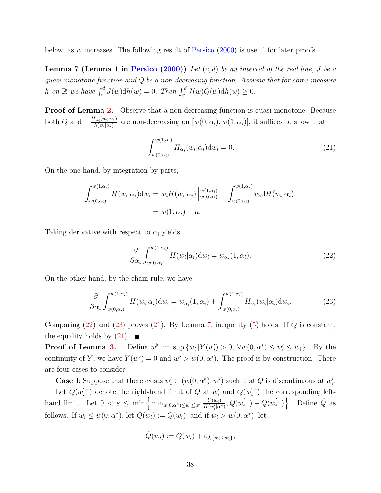<span id="page-38-3"></span>below, as w increases. The following result of [Persico](#page-87-0)  $(2000)$  is useful for later proofs.

**Lemma 7 (Lemma 1 in [Persico](#page-87-0) [\(2000\)](#page-87-0))** Let  $(c, d)$  be an interval of the real line, J be a quasi-monotone function and Q be a non-decreasing function. Assume that for some measure h on  $\mathbb R$  we have  $\int_c^d J(w) dh(w) = 0$ . Then  $\int_c^d J(w) Q(w) dh(w) \geq 0$ .

**Proof of Lemma [2.](#page-13-0)** Observe that a non-decreasing function is quasi-monotone. Because both Q and  $-\frac{H_{\alpha_i}(w_i|\alpha_i)}{h(w_i|\alpha_i)}$  $\frac{h(\alpha_i(w_i|\alpha_i))}{h(w_i|\alpha_i)}$  are non-decreasing on  $[w(0,\alpha_i), w(1,\alpha_i)]$ , it suffices to show that

<span id="page-38-2"></span>
$$
\int_{w(0,\alpha_i)}^{w(1,\alpha_i)} H_{\alpha_i}(w_i|\alpha_i) \mathrm{d}w_i = 0.
$$
 (21)

On the one hand, by integration by parts,

$$
\int_{w(0,\alpha_i)}^{w(1,\alpha_i)} H(w_i|\alpha_i) \, \mathrm{d}w_i = w_i H(w_i|\alpha_i) \Big|_{w(0,\alpha_i)}^{w(1,\alpha_i)} - \int_{w(0,\alpha_i)}^{w(1,\alpha_i)} w_i \, \mathrm{d}H(w_i|\alpha_i),
$$
\n
$$
= w(1,\alpha_i) - \mu.
$$

Taking derivative with respect to  $\alpha_i$  yields

<span id="page-38-0"></span>
$$
\frac{\partial}{\partial \alpha_i} \int_{w(0,\alpha_i)}^{w(1,\alpha_i)} H(w_i|\alpha_i) \mathrm{d}w_i = w_{\alpha_i}(1,\alpha_i). \tag{22}
$$

On the other hand, by the chain rule, we have

<span id="page-38-1"></span>
$$
\frac{\partial}{\partial \alpha_i} \int_{w(0,\alpha_i)}^{w(1,\alpha_i)} H(w_i|\alpha_i) \mathrm{d}w_i = w_{\alpha_i}(1,\alpha_i) + \int_{w(0,\alpha_i)}^{w(1,\alpha_i)} H_{\alpha_i}(w_i|\alpha_i) \mathrm{d}w_i. \tag{23}
$$

Comparing  $(22)$  and  $(23)$  proves  $(21)$ . By Lemma [7,](#page-38-3) inequality  $(5)$  holds. If Q is constant, the equality holds by  $(21)$ .

Proof of Lemma [3.](#page-16-0) <sup>b</sup> := sup {*w<sub>i</sub>* |*Y*(*w'<sub>i</sub>*) > 0, ∀*w*(0,  $\alpha^*$ ) ≤ *w'<sub>i</sub>* ≤ *w<sub>i</sub>*}. By the continuity of Y, we have  $Y(w^{\flat}) = 0$  and  $w^{\flat} > w(0, \alpha^*)$ . The proof is by construction. There are four cases to consider.

**Case I**: Suppose that there exists  $w'_i \in (w(0, \alpha^*), w^{\flat})$  such that Q is discontinuous at  $w'_i$ .

Let  $Q(w_i'^+$  $i<sup>'</sup>$ ) denote the right-hand limit of Q at  $w'_{i}$  and  $Q(w'_{i})$  $i<sub>i</sub>$ ) the corresponding lefthand limit. Let  $0 < \varepsilon \leq \min\left\{\min_{w(0,\alpha^*)\leq w_i\leq w_i'}\right\}$  $Y(w_i)$  $\frac{Y(w_i)}{H(w'_i|\alpha^*)}$ ,  $Q(w'_i)$  $i^{(+)}$ ) –  $Q(w_i^{(-)}$  $\binom{(-)}{i}$ . Define  $\hat{Q}$  as follows. If  $w_i \leq w(0, \alpha^*)$ , let  $\hat{Q}(w_i) := Q(w_i)$ ; and if  $w_i > w(0, \alpha^*)$ , let

$$
\hat{Q}(w_i) := Q(w_i) + \varepsilon \chi_{\{w_i \leq w_i'\}},
$$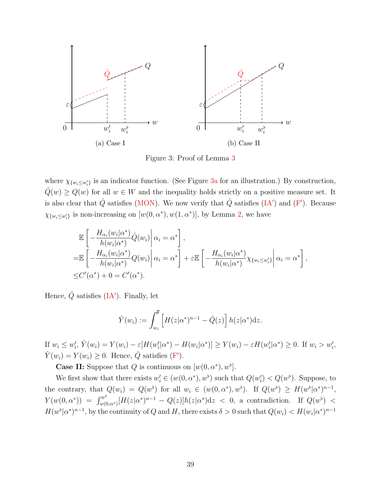<span id="page-39-0"></span>

Figure 3: Proof of Lemma [3](#page-16-0)

where  $\chi_{\{w_i \leq w'_i\}}$  is an indicator function. (See Figure [3a](#page-39-0) for an illustration.) By construction,  $\hat{Q}(w) \geq Q(w)$  for all  $w \in W$  and the inequality holds strictly on a positive measure set. It is also clear that  $\hat{Q}$  satisfies [\(MON\)](#page-12-3). We now verify that  $\hat{Q}$  satisfies [\(IA](#page-13-2)') and [\(F](#page-14-0)'). Because  $\chi_{\{w_i \leq w'_i\}}$  is non-increasing on  $[w(0, \alpha^*), w(1, \alpha^*)]$ , by Lemma [2,](#page-13-0) we have

$$
\mathbb{E}\left[-\frac{H_{\alpha_i}(w_i|\alpha^*)}{h(w_i|\alpha^*)}\hat{Q}(w_i)\middle|\alpha_i=\alpha^*\right],
$$
  
\n
$$
=\mathbb{E}\left[-\frac{H_{\alpha_i}(w_i|\alpha^*)}{h(w_i|\alpha^*)}Q(w_i)\middle|\alpha_i=\alpha^*\right]+\varepsilon\mathbb{E}\left[-\frac{H_{\alpha_i}(w_i|\alpha^*)}{h(w_i|\alpha^*)}\chi_{\{w_i\leq w'_i\}}\middle|\alpha_i=\alpha^*\right],
$$
  
\n
$$
\leq C'(\alpha^*)+0=C'(\alpha^*).
$$

Hence,  $\hat{Q}$  satisfies [\(IA](#page-13-2)'). Finally, let

$$
\hat{Y}(w_i) := \int_{w_i}^{\overline{\theta}} \left[ H(z|\alpha^*)^{n-1} - \hat{Q}(z) \right] h(z|\alpha^*) \mathrm{d}z.
$$

If  $w_i \leq w'_i$ ,  $\hat{Y}(w_i) = Y(w_i) - \varepsilon [H(w'_i | \alpha^*) - H(w_i | \alpha^*)] \geq Y(w_i) - \varepsilon H(w'_i | \alpha^*) \geq 0$ . If  $w_i > w'_i$ ,  $\hat{Y}(w_i) = Y(w_i) \geq 0$ . Hence,  $\hat{Q}$  satisfies [\(F](#page-14-0)').

**Case II:** Suppose that Q is continuous on  $[w(0, \alpha^*), w^{\flat}].$ 

We first show that there exists  $w'_i \in (w(0, \alpha^*), w^{\flat})$  such that  $Q(w'_i) < Q(w^{\flat})$ . Suppose, to the contrary, that  $Q(w_i) = Q(w^{\flat})$  for all  $w_i \in (w(0, \alpha^*), w^{\flat})$ . If  $Q(w^{\flat}) \geq H(w^{\flat}|\alpha^*)^{n-1}$ ,  $Y(w(0, \alpha^*)) = \int_{w(0, \alpha^*)}^{w^{\flat}} [H(z|\alpha^*)^{n-1} - Q(z)] h(z|\alpha^*) \mathrm{d}z < 0, \,\,\text{a contradiction.} \,\,\,\,\,\text{If} \,\,\, Q(w^{\flat}) < 0.$  $H(w^{\flat}|\alpha^*)^{n-1}$ , by the continuity of Q and H, there exists  $\delta > 0$  such that  $Q(w_i) < H(w_i|\alpha^*)^{n-1}$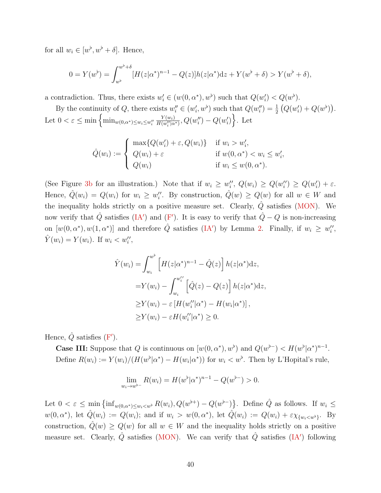for all  $w_i \in [w^{\flat}, w^{\flat} + \delta]$ . Hence,

$$
0 = Y(w^{\flat}) = \int_{w^{\flat}}^{w^{\flat} + \delta} [H(z|\alpha^*)^{n-1} - Q(z)] h(z|\alpha^*) dz + Y(w^{\flat} + \delta) > Y(w^{\flat} + \delta),
$$

a contradiction. Thus, there exists  $w'_i \in (w(0, \alpha^*), w^{\flat})$  such that  $Q(w'_i) < Q(w^{\flat})$ .

By the continuity of Q, there exists  $w''_i \in (w'_i, w^{\flat})$  such that  $Q(w''_i) = \frac{1}{2} (Q(w'_i) + Q(w^{\flat}))$ . Let  $0 < \varepsilon \le \min\left\{\min_{w(0,\alpha^*) \le w_i \le w_i''}\right\}$  $Y(w_i)$  $\frac{Y(w_i)}{H(w''_i|\alpha^*)}$ ,  $Q(w''_i) - Q(w'_i)$ . Let

$$
\hat{Q}(w_i) := \begin{cases}\n\max\{Q(w'_i) + \varepsilon, Q(w_i)\} & \text{if } w_i > w'_i, \\
Q(w_i) + \varepsilon & \text{if } w(0, \alpha^*) < w_i \leq w'_i, \\
Q(w_i) & \text{if } w_i \leq w(0, \alpha^*).\n\end{cases}
$$

(See Figure [3b](#page-39-0) for an illustration.) Note that if  $w_i \geq w''_i$ ,  $Q(w_i) \geq Q(w''_i) \geq Q(w'_i) + \varepsilon$ . Hence,  $\hat{Q}(w_i) = Q(w_i)$  for  $w_i \geq w''_i$ . By construction,  $\hat{Q}(w) \geq Q(w)$  for all  $w \in W$  and the inequality holds strictly on a positive measure set. Clearly,  $\hat{Q}$  satisfies [\(MON\)](#page-12-3). We now verify that  $\hat{Q}$  satisfies [\(IA](#page-13-2)') and [\(F](#page-14-0)'). It is easy to verify that  $\hat{Q} - Q$  is non-increasing on  $[w(0, \alpha^*), w(1, \alpha^*)]$  and therefore  $\hat{Q}$  satisfies  $(IA')$  $(IA')$  by Lemma [2.](#page-13-0) Finally, if  $w_i \geq w''_i$ ,  $\hat{Y}(w_i) = Y(w_i)$ . If  $w_i < w''_i$ ,

$$
\hat{Y}(w_i) = \int_{w_i}^{w^b} \left[ H(z|\alpha^*)^{n-1} - \hat{Q}(z) \right] h(z|\alpha^*) \, dz,
$$
\n
$$
= Y(w_i) - \int_{w_i}^{w_i'} \left[ \hat{Q}(z) - Q(z) \right] h(z|\alpha^*) \, dz,
$$
\n
$$
\geq Y(w_i) - \varepsilon \left[ H(w_i''|\alpha^*) - H(w_i|\alpha^*) \right],
$$
\n
$$
\geq Y(w_i) - \varepsilon H(w_i''|\alpha^*) \geq 0.
$$

Hence,  $\hat{Q}$  satisfies  $(F')$  $(F')$ .

**Case III:** Suppose that Q is continuous on  $[w(0, \alpha^*), w^{\flat})$  and  $Q(w^{\flat -}) < H(w^{\flat}|\alpha^*)^{n-1}$ . Define  $R(w_i) := Y(w_i)/(H(w^{\flat}|\alpha^*) - H(w_i|\alpha^*))$  for  $w_i < w^{\flat}$ . Then by L'Hopital's rule,

$$
\lim_{w_i \to w^{\flat-}} R(w_i) = H(w^{\flat}|\alpha^*)^{n-1} - Q(w^{\flat-}) > 0.
$$

Let  $0 < \varepsilon \le \min \left\{ \inf_{w(0, \alpha^*) \le w_i \le w^{\flat}} R(w_i), Q(w^{\flat +}) - Q(w^{\flat -}) \right\}$ . Define  $\hat{Q}$  as follows. If  $w_i \le$  $w(0, \alpha^*)$ , let  $\hat{Q}(w_i) := Q(w_i)$ ; and if  $w_i > w(0, \alpha^*)$ , let  $\hat{Q}(w_i) := Q(w_i) + \varepsilon \chi_{\{w_i \leq w^{\flat}\}}$ . By construction,  $\hat{Q}(w) \geq Q(w)$  for all  $w \in W$  and the inequality holds strictly on a positive measure set. Clearly,  $\hat{Q}$  satisfies [\(MON\)](#page-12-3). We can verify that  $\hat{Q}$  satisfies [\(IA](#page-13-2)') following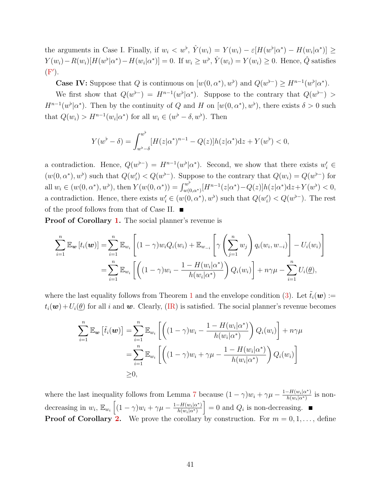the arguments in Case I. Finally, if  $w_i \langle w_i \rangle = Y(w_i) - \varepsilon [H(w^{\flat} | \alpha^*) - H(w_i | \alpha^*)] \ge$  $Y(w_i) - R(w_i)[H(w^{\flat}|\alpha^*) - H(w_i|\alpha^*)] = 0$ . If  $w_i \geq w^{\flat}$ ,  $\hat{Y}(w_i) = Y(w_i) \geq 0$ . Hence,  $\hat{Q}$  satisfies  $(F')$  $(F')$ .

**Case IV:** Suppose that Q is continuous on  $[w(0, \alpha^*), w^{\flat})$  and  $Q(w^{\flat -}) \geq H^{n-1}(w^{\flat}|\alpha^*).$ 

We first show that  $Q(w^{\flat -}) = H^{n-1}(w^{\flat}|\alpha^*)$ . Suppose to the contrary that  $Q(w^{\flat -})$  $H^{n-1}(w^{\flat}|\alpha^*)$ . Then by the continuity of Q and H on  $[w(0, \alpha^*)$ ,  $w^{\flat})$ , there exists  $\delta > 0$  such that  $Q(w_i) > H^{n-1}(w_i|\alpha^*)$  for all  $w_i \in (w^{\flat} - \delta, w^{\flat})$ . Then

$$
Y(w^{\flat} - \delta) = \int_{w^{\flat} - \delta}^{w^{\flat}} [H(z|\alpha^*)^{n-1} - Q(z)] h(z|\alpha^*) \mathrm{d}z + Y(w^{\flat}) < 0,
$$

a contradiction. Hence,  $Q(w^{b-}) = H^{n-1}(w^b | \alpha^*)$ . Second, we show that there exists  $w'_i \in$  $(w(0, \alpha^*), w^{\flat})$  such that  $Q(w_i') < Q(w^{\flat -})$ . Suppose to the contrary that  $Q(w_i) = Q(w^{\flat -})$  for all  $w_i \in (w(0, \alpha^*), w^{\flat})$ , then  $Y(w(0, \alpha^*)) = \int_{w(0, \alpha^*)}^{w^{\flat}} [H^{n-1}(z|\alpha^*) - Q(z)] h(z|\alpha^*) \,dz + Y(w^{\flat}) < 0$ , a contradiction. Hence, there exists  $w'_i \in (w(0, \alpha^*), w^{\flat})$  such that  $Q(w'_i) < Q(w^{\flat -})$ . The rest of the proof follows from that of Case II.  $\blacksquare$ 

**Proof of Corollary [1.](#page-16-1)** The social planner's revenue is

$$
\sum_{i=1}^{n} \mathbb{E}_{w} [t_{i}(\boldsymbol{w})] = \sum_{i=1}^{n} \mathbb{E}_{w_{i}} \left[ (1 - \gamma) w_{i} Q_{i}(w_{i}) + \mathbb{E}_{w_{-i}} \left[ \gamma \left( \sum_{j=1}^{n} w_{j} \right) q_{i}(w_{i}, w_{-i}) \right] - U_{i}(w_{i}) \right]
$$
  

$$
= \sum_{i=1}^{n} \mathbb{E}_{w_{i}} \left[ \left( (1 - \gamma) w_{i} - \frac{1 - H(w_{i}|\alpha^{*})}{h(w_{i}|\alpha^{*})} \right) Q_{i}(w_{i}) \right] + n\gamma\mu - \sum_{i=1}^{n} U_{i}(\underline{\theta}),
$$

where the last equality follows from Theorem [1](#page-15-0) and the envelope condition [\(3\)](#page-12-2). Let  $\tilde{t}_i(\boldsymbol{w})$  :=  $t_i(\boldsymbol{w}) + U_i(\underline{\theta})$  for all i and  $\boldsymbol{w}$ . Clearly, [\(IR\)](#page-11-0) is satisfied. The social planner's revenue becomes

$$
\sum_{i=1}^{n} \mathbb{E}_{\mathbf{w}} \left[ \tilde{t}_{i}(\mathbf{w}) \right] = \sum_{i=1}^{n} \mathbb{E}_{w_{i}} \left[ \left( (1 - \gamma) w_{i} - \frac{1 - H(w_{i}|\alpha^{*})}{h(w_{i}|\alpha^{*})} \right) Q_{i}(w_{i}) \right] + n\gamma\mu
$$
  

$$
= \sum_{i=1}^{n} \mathbb{E}_{w_{i}} \left[ \left( (1 - \gamma) w_{i} + \gamma\mu - \frac{1 - H(w_{i}|\alpha^{*})}{h(w_{i}|\alpha^{*})} \right) Q_{i}(w_{i}) \right]
$$
  

$$
\geq 0,
$$

where the last inequality follows from Lemma [7](#page-38-3) because  $(1 - \gamma)w_i + \gamma \mu - \frac{1 - H(w_i|\alpha^*)}{h(w_i|\alpha^*)}$  $\frac{-H(w_i|\alpha^*)}{h(w_i|\alpha^*)}$  is nondecreasing in  $w_i$ ,  $\mathbb{E}_{w_i} \left[ (1 - \gamma) w_i + \gamma \mu - \frac{1 - H(w_i|\alpha^*)}{h(w_i|\alpha^*)} \right]$  $\overline{h(w_i|\alpha^*)}$  $\big] = 0$  and  $Q_i$  is non-decreasing. **Proof of Corollary [2.](#page-21-0)** We prove the corollary by construction. For  $m = 0, 1, \ldots$ , define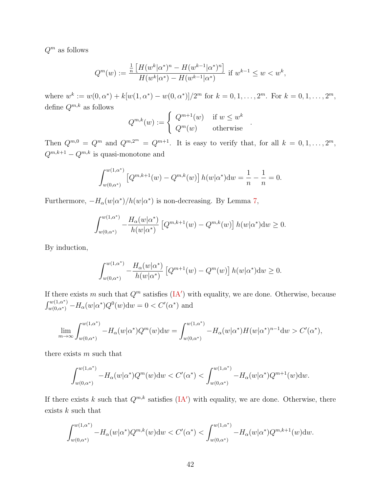$Q^m$  as follows

$$
Q^{m}(w) := \frac{\frac{1}{n} \left[ H(w^{k}|\alpha^{*})^{n} - H(w^{k-1}|\alpha^{*})^{n} \right]}{H(w^{k}|\alpha^{*}) - H(w^{k-1}|\alpha^{*})} \text{ if } w^{k-1} \leq w < w^{k},
$$

where  $w^k := w(0, \alpha^*) + k[w(1, \alpha^*) - w(0, \alpha^*)]/2^m$  for  $k = 0, 1, ..., 2^m$ . For  $k = 0, 1, ..., 2^m$ , define  $\mathbb{Q}^{m,k}$  as follows

$$
Q^{m,k}(w) := \begin{cases} Q^{m+1}(w) & \text{if } w \le w^k \\ Q^m(w) & \text{otherwise} \end{cases}
$$

.

Then  $Q^{m,0} = Q^m$  and  $Q^{m,2^m} = Q^{m+1}$ . It is easy to verify that, for all  $k = 0, 1, \ldots, 2^m$ ,  $Q^{m,k+1} - Q^{m,k}$  is quasi-monotone and

$$
\int_{w(0,\alpha^*)}^{w(1,\alpha^*)} \left[Q^{m,k+1}(w) - Q^{m,k}(w)\right] h(w|\alpha^*) \mathrm{d}w = \frac{1}{n} - \frac{1}{n} = 0.
$$

Furthermore,  $-H_{\alpha}(w|\alpha^*)/h(w|\alpha^*)$  is non-decreasing. By Lemma [7,](#page-38-3)

$$
\int_{w(0,\alpha^*)}^{w(1,\alpha^*)} -\frac{H_\alpha(w|\alpha^*)}{h(w|\alpha^*)} \left[Q^{m,k+1}(w) - Q^{m,k}(w)\right] h(w|\alpha^*) \, dw \ge 0.
$$

By induction,

$$
\int_{w(0,\alpha^*)}^{w(1,\alpha^*)} -\frac{H_{\alpha}(w|\alpha^*)}{h(w|\alpha^*)} \left[Q^{m+1}(w) - Q^m(w)\right] h(w|\alpha^*)dw \ge 0.
$$

If there exists m such that  $Q^m$  satisfies  $(\mathrm{IA}')$  with equality, we are done. Otherwise, because  $\int_{w(0,\alpha^*)}^{w(1,\alpha^*)} -H_\alpha(w|\alpha^*)Q^0(w)dw = 0 < C'(\alpha^*)$  and

$$
\lim_{m \to \infty} \int_{w(0,\alpha^*)}^{w(1,\alpha^*)} -H_\alpha(w|\alpha^*)Q^m(w)dw = \int_{w(0,\alpha^*)}^{w(1,\alpha^*)} -H_\alpha(w|\alpha^*)H(w|\alpha^*)^{n-1}dw > C'(\alpha^*),
$$

there exists  $m$  such that

$$
\int_{w(0,\alpha^*)}^{w(1,\alpha^*)} -H_{\alpha}(w|\alpha^*)Q^m(w)dw < C'(\alpha^*) < \int_{w(0,\alpha^*)}^{w(1,\alpha^*)} -H_{\alpha}(w|\alpha^*)Q^{m+1}(w)dw.
$$

If there exists k such that  $Q^{m,k}$  satisfies  $(IA')$  $(IA')$  with equality, we are done. Otherwise, there exists  $k$  such that

$$
\int_{w(0,\alpha^*)}^{w(1,\alpha^*)} -H_{\alpha}(w|\alpha^*)Q^{m,k}(w)dw < C'(\alpha^*) < \int_{w(0,\alpha^*)}^{w(1,\alpha^*)} -H_{\alpha}(w|\alpha^*)Q^{m,k+1}(w)dw.
$$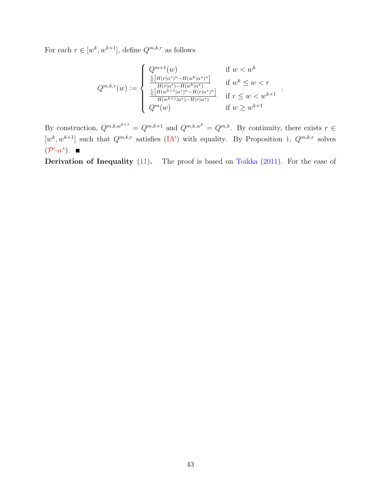For each  $r \in [w^k, w^{k+1}]$ , define  $Q^{m,k,r}$  as follows

$$
Q^{m,k,r}(w) := \begin{cases} Q^{m+1}(w) & \text{if } w < w^k \\ \frac{\frac{1}{n}[H(r|\alpha^*)^n - H(w^k|\alpha^*)^n]}{H(r|\alpha^*) - H(w^k|\alpha^*)} & \text{if } w^k \le w < r \\ \frac{\frac{1}{n}[H(w^{k+1}|\alpha^*)^n - H(r|\alpha^*)^n]}{H(w^{k+1}|\alpha^*) - H(r|\alpha^*)} & \text{if } r \le w < w^{k+1} \\ Q^m(w) & \text{if } w \ge w^{k+1} \end{cases}
$$

.

By construction,  $Q^{m,k,w^{k+1}} = Q^{m,k+1}$  and  $Q^{m,k,w^k} = Q^{m,k}$ . By continuity, there exists  $r \in$  $[w^k, w^{k+1}]$  such that  $Q^{m,k,r}$  satisfies  $(IA')$  $(IA')$  with equality. By Proposition [1,](#page-21-1)  $Q^{m,k,r}$  solves  $(\mathcal{P}'\text{-}\alpha^*)$  $(\mathcal{P}'\text{-}\alpha^*)$  $(\mathcal{P}'\text{-}\alpha^*)$ .

Derivation of Inequality [\(11\)](#page-24-0). The proof is based on [Toikka](#page-87-1) [\(2011\)](#page-87-1). For the ease of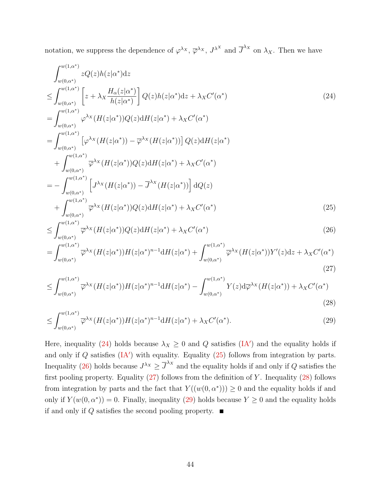notation, we suppress the dependence of  $\varphi^{\lambda_X}$ ,  $\overline{\varphi}^{\lambda_X}$ ,  $J^{\lambda^X}$  and  $\overline{J}^{\lambda_X}$  on  $\lambda_X$ . Then we have

<span id="page-44-0"></span>
$$
\int_{w(0,\alpha^*)}^{w(1,\alpha^*)} zQ(z)h(z|\alpha^*)dz
$$
\n
$$
\leq \int_{w(0,\alpha^*)}^{w(1,\alpha^*)} \left[z + \lambda_X \frac{H_\alpha(z|\alpha^*)}{h(z|\alpha^*)}\right] Q(z)h(z|\alpha^*)dz + \lambda_X C'(\alpha^*)
$$
\n
$$
= \int_{w(0,\alpha^*)}^{w(1,\alpha^*)} \varphi^{\lambda_X}(H(z|\alpha^*))Q(z) dH(z|\alpha^*) + \lambda_X C'(\alpha^*)
$$
\n
$$
= \int_{w(0,\alpha^*)}^{w(1,\alpha^*)} \left[\varphi^{\lambda_X}(H(z|\alpha^*)) - \overline{\varphi}^{\lambda_X}(H(z|\alpha^*))\right] Q(z) dH(z|\alpha^*)
$$
\n
$$
+ \int_{w(0,\alpha^*)}^{w(1,\alpha^*)} \overline{\varphi}^{\lambda_X}(H(z|\alpha^*))Q(z) dH(z|\alpha^*) + \lambda_X C'(\alpha^*)
$$
\n
$$
= - \int_{w(0,\alpha^*)}^{w(1,\alpha^*)} \left[J^{\lambda_X}(H(z|\alpha^*)) - \overline{J}^{\lambda_X}(H(z|\alpha^*))\right] dQ(z)
$$
\n
$$
+ \int_{w(0,\alpha^*)}^{w(1,\alpha^*)} \overline{\varphi}^{\lambda_X}(H(z|\alpha^*))Q(z) dH(z|\alpha^*) + \lambda_X C'(\alpha^*)
$$
\n
$$
= \int_{w(1,\alpha^*)}^{w(1,\alpha^*)} \overline{\varphi}^{\lambda_X}(H(z|\alpha^*))Q(z) dH(z|\alpha^*) + \lambda_X C'(\alpha^*)
$$
\n(25)

<span id="page-44-1"></span>
$$
\leq \int_{w(0,\alpha^*)}^{\infty} \overline{\varphi}^{\lambda x} (H(z|\alpha^*)) Q(z) dH(z|\alpha^*) + \lambda_X C'(\alpha^*)
$$
\n
$$
= \int_{w(0,\alpha^*)}^{w(1,\alpha^*)} \overline{\varphi}^{\lambda x} (H(z|\alpha^*)) H(z|\alpha^*)^{n-1} dH(z|\alpha^*) + \int_{w(0,\alpha^*)}^{w(1,\alpha^*)} \overline{\varphi}^{\lambda x} (H(z|\alpha^*)) Y'(z) dz + \lambda_X C'(\alpha^*)
$$
\n(26)

<span id="page-44-3"></span><span id="page-44-2"></span>
$$
=\int_{w(0,\alpha^*)} \left(\overline{\varphi}^{\lambda x}(H(z|\alpha^*))H(z|\alpha^*)^{n-1}dH(z|\alpha^*)+\int_{w(0,\alpha^*)} \overline{\varphi}^{\lambda x}(H(z|\alpha^*))Y'(z)dz+\lambda_X C'(\alpha^*)\right)
$$
\n(27)

<span id="page-44-4"></span>
$$
\leq \int_{w(0,\alpha^*)}^{w(1,\alpha^*)} \overline{\varphi}^{\lambda_X}(H(z|\alpha^*))H(z|\alpha^*)^{n-1}dH(z|\alpha^*) - \int_{w(0,\alpha^*)}^{w(1,\alpha^*)} Y(z)d\overline{\varphi}^{\lambda_X}(H(z|\alpha^*)) + \lambda_X C'(\alpha^*)
$$
\n(28)

<span id="page-44-5"></span>
$$
\leq \int_{w(0,\alpha^*)}^{w(1,\alpha^*)} \overline{\varphi}^{\lambda_X}(H(z|\alpha^*))H(z|\alpha^*)^{n-1}dH(z|\alpha^*) + \lambda_X C'(\alpha^*). \tag{29}
$$

Here, inequality [\(24\)](#page-44-0) holds because  $\lambda_X \geq 0$  and Q satisfies [\(IA](#page-13-2)') and the equality holds if and only if  $Q$  satisfies  $(IA')$  $(IA')$  with equality. Equality  $(25)$  follows from integration by parts. Inequality [\(26\)](#page-44-2) holds because  $J^{\lambda_X} \geq \overline{J}^{\lambda_X}$  and the equality holds if and only if Q satisfies the first pooling property. Equality  $(27)$  follows from the definition of Y. Inequality  $(28)$  follows from integration by parts and the fact that  $Y((w(0, \alpha^*)) \geq 0$  and the equality holds if and only if  $Y(w(0, \alpha^*)) = 0$ . Finally, inequality [\(29\)](#page-44-5) holds because  $Y \ge 0$  and the equality holds if and only if Q satisfies the second pooling property.  $\blacksquare$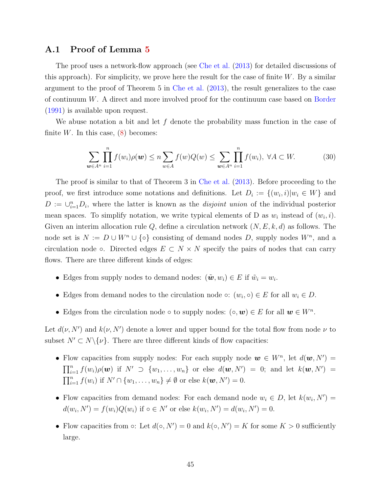### A.1 Proof of Lemma [5](#page-18-0)

The proof uses a network-flow approach (see [Che et al.](#page-85-2) [\(2013\)](#page-85-2) for detailed discussions of this approach). For simplicity, we prove here the result for the case of finite  $W$ . By a similar argument to the proof of Theorem 5 in [Che et al.](#page-85-2) [\(2013\)](#page-85-2), the result generalizes to the case of continuum W. A direct and more involved proof for the continuum case based on [Border](#page-85-3) [\(1991\)](#page-85-3) is available upon request.

We abuse notation a bit and let  $f$  denote the probability mass function in the case of finite  $W$ . In this case,  $(8)$  becomes:

<span id="page-45-0"></span>
$$
\sum_{\mathbf{w}\in A^n} \prod_{i=1}^n f(w_i)\rho(\mathbf{w}) \le n \sum_{w\in A} f(w)Q(w) \le \sum_{\mathbf{w}\in A^n} \prod_{i=1}^n f(w_i), \ \forall A \subset W. \tag{30}
$$

The proof is similar to that of Theorem 3 in [Che et al.](#page-85-2) [\(2013\)](#page-85-2). Before proceeding to the proof, we first introduce some notations and definitions. Let  $D_i := \{(w_i, i)|w_i \in W\}$  and  $D := \bigcup_{i=1}^n D_i$ , where the latter is known as the *disjoint union* of the individual posterior mean spaces. To simplify notation, we write typical elements of D as  $w_i$  instead of  $(w_i, i)$ . Given an interim allocation rule Q, define a circulation network  $(N, E, k, d)$  as follows. The node set is  $N := D \cup W^n \cup \{ \circ \}$  consisting of demand nodes D, supply nodes  $W^n$ , and a circulation node ◦. Directed edges  $E \subset N \times N$  specify the pairs of nodes that can carry flows. There are three different kinds of edges:

- Edges from supply nodes to demand nodes:  $(\tilde{\boldsymbol{w}}, w_i) \in E$  if  $\tilde{w}_i = w_i$ .
- Edges from demand nodes to the circulation node  $\circ$ :  $(w_i, \circ) \in E$  for all  $w_i \in D$ .
- Edges from the circulation node  $\circ$  to supply nodes:  $(\circ, \mathbf{w}) \in E$  for all  $\mathbf{w} \in W^n$ .

Let  $d(\nu, N')$  and  $k(\nu, N')$  denote a lower and upper bound for the total flow from node  $\nu$  to subset  $N' \subset N \setminus \{v\}$ . There are three different kinds of flow capacities:

- Flow capacities from supply nodes: For each supply node  $w \in W^n$ , let  $d(w, N') =$  $\prod_{i=1}^n f(w_i)\rho(\boldsymbol{w})$  if  $N' \supset \{w_1,\ldots,w_n\}$  or else  $d(\boldsymbol{w},N') = 0$ ; and let  $k(\boldsymbol{w},N') =$  $\prod_{i=1}^n f(w_i)$  if  $N' \cap \{w_1, \ldots, w_n\} \neq \emptyset$  or else  $k(\boldsymbol{w}, N') = 0$ .
- Flow capacities from demand nodes: For each demand node  $w_i \in D$ , let  $k(w_i, N') =$  $d(w_i, N') = f(w_i)Q(w_i)$  if  $\circ \in N'$  or else  $k(w_i, N') = d(w_i, N') = 0$ .
- Flow capacities from  $\circ$ : Let  $d(\circ, N') = 0$  and  $k(\circ, N') = K$  for some  $K > 0$  sufficiently large.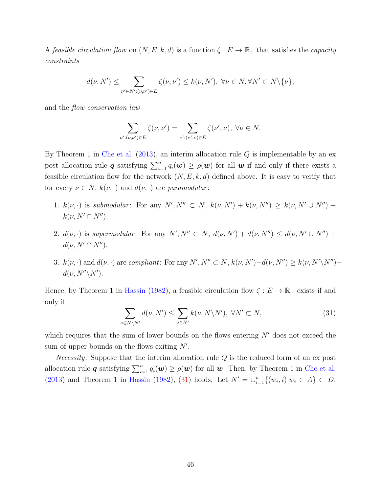A feasible circulation flow on  $(N, E, k, d)$  is a function  $\zeta : E \to \mathbb{R}_+$  that satisfies the capacity constraints

$$
d(\nu, N') \leq \sum_{\nu' \in N': (\nu, \nu') \in E} \zeta(\nu, \nu') \leq k(\nu, N'), \ \forall \nu \in N, \forall N' \subset N \setminus \{\nu\},\
$$

and the flow conservation law

$$
\sum_{\nu':(\nu,\nu')\in E}\zeta(\nu,\nu')=\sum_{\nu':(\nu',\nu)\in E}\zeta(\nu',\nu),\ \forall \nu\in N.
$$

By Theorem 1 in [Che et al.](#page-85-2)  $(2013)$ , an interim allocation rule Q is implementable by an ex post allocation rule q satisfying  $\sum_{i=1}^n q_i(w) \ge \rho(w)$  for all w if and only if there exists a feasible circulation flow for the network  $(N, E, k, d)$  defined above. It is easy to verify that for every  $\nu \in N$ ,  $k(\nu, \cdot)$  and  $d(\nu, \cdot)$  are paramodular:

- 1.  $k(\nu, \cdot)$  is submodular: For any  $N', N'' \subset N$ ,  $k(\nu, N') + k(\nu, N'') \geq k(\nu, N' \cup N'') +$  $k(\nu, N' \cap N'')$ .
- 2.  $d(\nu, \cdot)$  is supermodular: For any  $N', N'' \subset N$ ,  $d(\nu, N') + d(\nu, N'') \leq d(\nu, N' \cup N'') +$  $d(\nu, N' \cap N'')$ .
- 3.  $k(\nu, \cdot)$  and  $d(\nu, \cdot)$  are compliant: For any  $N', N'' \subset N$ ,  $k(\nu, N') d(\nu, N'') \geq k(\nu, N' \setminus N'')$  $d(\nu, N''\backslash N').$

Hence, by Theorem 1 in [Hassin](#page-86-2) [\(1982\)](#page-86-2), a feasible circulation flow  $\zeta : E \to \mathbb{R}_+$  exists if and only if

<span id="page-46-0"></span>
$$
\sum_{\nu \in N \setminus N'} d(\nu, N') \le \sum_{\nu \in N'} k(\nu, N \setminus N'), \ \forall N' \subset N,
$$
\n(31)

which requires that the sum of lower bounds on the flows entering  $N'$  does not exceed the sum of upper bounds on the flows exiting  $N'$ .

*Necessity:* Suppose that the interim allocation rule  $Q$  is the reduced form of an ex post allocation rule q satisfying  $\sum_{i=1}^n q_i(\boldsymbol{w}) \ge \rho(\boldsymbol{w})$  for all  $\boldsymbol{w}$ . Then, by Theorem 1 in [Che et al.](#page-85-2) [\(2013\)](#page-85-2) and Theorem 1 in [Hassin](#page-86-2) [\(1982\)](#page-86-2), [\(31\)](#page-46-0) holds. Let  $N' = \bigcup_{i=1}^{n} \{(w_i, i) | w_i \in A\} \subset D$ ,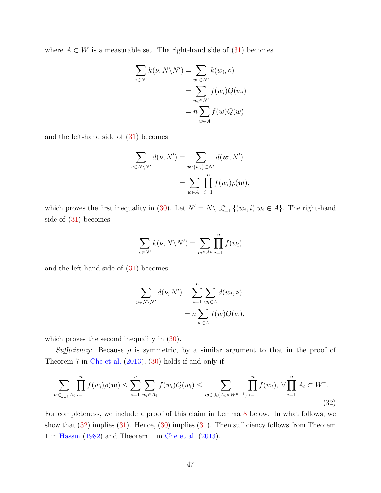where  $A \subset W$  is a measurable set. The right-hand side of [\(31\)](#page-46-0) becomes

$$
\sum_{\nu \in N'} k(\nu, N \backslash N') = \sum_{w_i \in N'} k(w_i, \circ)
$$

$$
= \sum_{w_i \in N'} f(w_i) Q(w_i)
$$

$$
= n \sum_{w \in A} f(w) Q(w)
$$

and the left-hand side of [\(31\)](#page-46-0) becomes

$$
\sum_{\nu \in N \setminus N'} d(\nu, N') = \sum_{\mathbf{w}: \{w_i\} \subset N'} d(\mathbf{w}, N')
$$
  
= 
$$
\sum_{\mathbf{w} \in A^n} \prod_{i=1}^n f(w_i) \rho(\mathbf{w}),
$$

which proves the first inequality in [\(30\)](#page-45-0). Let  $N' = N \setminus \bigcup_{i=1}^n {\{(w_i, i)|w_i \in A\}}$ . The right-hand side of [\(31\)](#page-46-0) becomes

$$
\sum_{\nu \in N'} k(\nu, N \setminus N') = \sum_{\mathbf{w} \in A^n} \prod_{i=1}^n f(w_i)
$$

and the left-hand side of [\(31\)](#page-46-0) becomes

$$
\sum_{\nu \in N \setminus N'} d(\nu, N') = \sum_{i=1}^n \sum_{w_i \in A} d(w_i, \circ)
$$
  
= 
$$
n \sum_{w \in A} f(w) Q(w),
$$

which proves the second inequality in  $(30)$ .

Sufficiency: Because  $\rho$  is symmetric, by a similar argument to that in the proof of Theorem 7 in [Che et al.](#page-85-2) [\(2013\)](#page-85-2), [\(30\)](#page-45-0) holds if and only if

<span id="page-47-0"></span>
$$
\sum_{\mathbf{w}\in\prod_{i} A_{i}} \prod_{i=1}^{n} f(w_{i}) \rho(\mathbf{w}) \leq \sum_{i=1}^{n} \sum_{w_{i} \in A_{i}} f(w_{i}) Q(w_{i}) \leq \sum_{\mathbf{w}\in\cup_{i} (A_{i} \times W^{n-1})} \prod_{i=1}^{n} f(w_{i}), \ \forall \prod_{i=1}^{n} A_{i} \subset W^{n}.
$$
\n(32)

For completeness, we include a proof of this claim in Lemma [8](#page-48-0) below. In what follows, we show that  $(32)$  implies  $(31)$ . Hence,  $(30)$  implies  $(31)$ . Then sufficiency follows from Theorem 1 in [Hassin](#page-86-2) [\(1982\)](#page-86-2) and Theorem 1 in [Che et al.](#page-85-2) [\(2013\)](#page-85-2).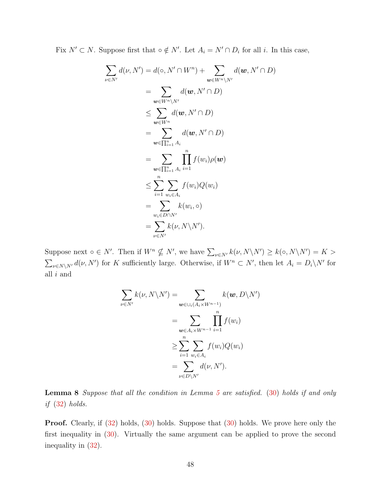Fix  $N' \subset N$ . Suppose first that ∘  $\notin N'$ . Let  $A_i = N' \cap D_i$  for all *i*. In this case,

$$
\sum_{\nu \in N'} d(\nu, N') = d(\circ, N' \cap W^n) + \sum_{\mathbf{w} \in W^n \setminus N'} d(\mathbf{w}, N' \cap D)
$$
\n
$$
= \sum_{\mathbf{w} \in W^n \setminus N'} d(\mathbf{w}, N' \cap D)
$$
\n
$$
\leq \sum_{\mathbf{w} \in W^n} d(\mathbf{w}, N' \cap D)
$$
\n
$$
= \sum_{\mathbf{w} \in \prod_{i=1}^n A_i} d(\mathbf{w}, N' \cap D)
$$
\n
$$
= \sum_{\mathbf{w} \in \prod_{i=1}^n A_i} \prod_{i=1}^n f(w_i) \rho(\mathbf{w})
$$
\n
$$
\leq \sum_{i=1}^n \sum_{\mathbf{w}_i \in A_i} f(w_i) Q(w_i)
$$
\n
$$
= \sum_{\mathbf{w}_i \in D \cap N'} k(w_i, \circ)
$$
\n
$$
= \sum_{\mathbf{w} \in N'} k(\nu, N \setminus N').
$$

Suppose next  $\circ \in N'$ . Then if  $W^n \nsubseteq N'$ , we have  $\sum_{\nu \in N'} k(\nu, N \setminus N') \geq k(\circ, N \setminus N') = K >$  $\sum_{\nu \in N\setminus N'} d(\nu, N')$  for K sufficiently large. Otherwise, if  $W^n \subset N'$ , then let  $A_i = D_i \setminus N'$  for all i and

$$
\sum_{\nu \in N'} k(\nu, N \setminus N') = \sum_{\mathbf{w} \in \cup_i (A_i \times W^{n-1})} k(\mathbf{w}, D \setminus N')
$$
  
= 
$$
\sum_{\mathbf{w} \in A_i \times W^{n-1}} \prod_{i=1}^n f(w_i)
$$
  

$$
\geq \sum_{i=1}^n \sum_{w_i \in A_i} f(w_i) Q(w_i)
$$
  
= 
$$
\sum_{\nu \in D \setminus N'} d(\nu, N').
$$

<span id="page-48-0"></span>Lemma 8 Suppose that all the condition in Lemma [5](#page-18-0) are satisfied. [\(30\)](#page-45-0) holds if and only if [\(32\)](#page-47-0) holds.

**Proof.** Clearly, if [\(32\)](#page-47-0) holds, [\(30\)](#page-45-0) holds. Suppose that (30) holds. We prove here only the first inequality in [\(30\)](#page-45-0). Virtually the same argument can be applied to prove the second inequality in [\(32\)](#page-47-0).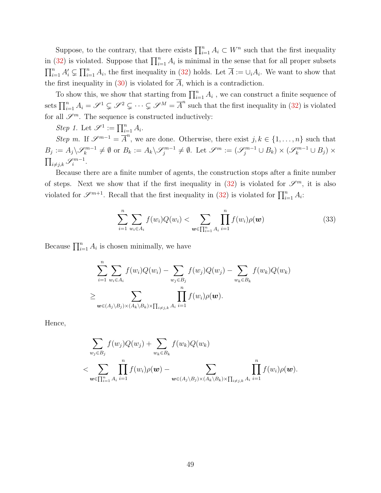Suppose, to the contrary, that there exists  $\prod_{i=1}^{n} A_i \subset W^n$  such that the first inequality in [\(32\)](#page-47-0) is violated. Suppose that  $\prod_{i=1}^{n} A_i$  is minimal in the sense that for all proper subsets  $\prod_{i=1}^n A'_i \subsetneq \prod_{i=1}^n A_i$ , the first inequality in [\(32\)](#page-47-0) holds. Let  $\overline{A} := \bigcup_i A_i$ . We want to show that the first inequality in [\(30\)](#page-45-0) is violated for  $\overline{A}$ , which is a contradiction.

To show this, we show that starting from  $\prod_{i=1}^{n} A_i$ , we can construct a finite sequence of sets  $\prod_{i=1}^n A_i = \mathscr{S}^1 \subsetneq \mathscr{S}^2 \subsetneq \cdots \subsetneq \mathscr{S}^M = \overline{A}^n$  such that the first inequality in [\(32\)](#page-47-0) is violated for all  $\mathscr{S}^m$ . The sequence is constructed inductively:

Step 1. Let  $\mathscr{S}^1 := \prod_{i=1}^n A_i$ .

Step m. If  $\mathscr{S}^{m-1} = \overline{A}^n$ , we are done. Otherwise, there exist  $j, k \in \{1, ..., n\}$  such that  $B_j := A_j \setminus \mathscr{S}_k^{m-1} \neq \emptyset$  or  $B_k := A_k \setminus \mathscr{S}_j^{m-1} \neq \emptyset$ . Let  $\mathscr{S}^m := (\mathscr{S}_j^{m-1} \cup B_k) \times (\mathscr{S}_k^{m-1} \cup B_j) \times$  $\prod_{i \neq j,k} \mathscr{S}_i^{m-1}.$ 

Because there are a finite number of agents, the construction stops after a finite number of steps. Next we show that if the first inequality in [\(32\)](#page-47-0) is violated for  $\mathscr{S}^m$ , it is also violated for  $\mathscr{S}^{m+1}$ . Recall that the first inequality in [\(32\)](#page-47-0) is violated for  $\prod_{i=1}^{n} A_i$ :

$$
\sum_{i=1}^{n} \sum_{w_i \in A_i} f(w_i) Q(w_i) < \sum_{\mathbf{w} \in \prod_{i=1}^{n} A_i} \prod_{i=1}^{n} f(w_i) \rho(\mathbf{w}) \tag{33}
$$

Because  $\prod_{i=1}^{n} A_i$  is chosen minimally, we have

$$
\sum_{i=1}^n \sum_{w_i \in A_i} f(w_i) Q(w_i) - \sum_{w_j \in B_j} f(w_j) Q(w_j) - \sum_{w_k \in B_k} f(w_k) Q(w_k)
$$
  
\n
$$
\geq \sum_{\mathbf{w} \in (A_j \setminus B_j) \times (A_k \setminus B_k) \times \prod_{i \neq j,k} A_i} \prod_{i=1}^n f(w_i) \rho(\mathbf{w}).
$$

Hence,

$$
\sum_{w_j \in B_j} f(w_j) Q(w_j) + \sum_{w_k \in B_k} f(w_k) Q(w_k)
$$
\n
$$
< \sum_{\mathbf{w} \in \prod_{i=1}^n A_i} \prod_{i=1}^n f(w_i) \rho(\mathbf{w}) - \sum_{\mathbf{w} \in (A_j \setminus B_j) \times (A_k \setminus B_k) \times \prod_{i \neq j,k} A_i} \prod_{i=1}^n f(w_i) \rho(\mathbf{w}).
$$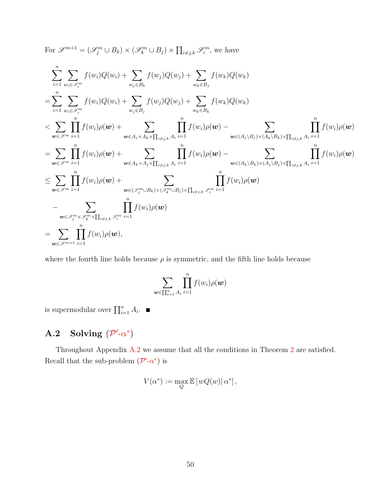For 
$$
\mathscr{S}^{m+1} = (\mathscr{S}^m_j \cup B_k) \times (\mathscr{S}^m_k \cup B_j) \times \prod_{i \neq j,k} \mathscr{S}^m_i
$$
, we have

$$
\sum_{i=1}^{n} \sum_{w_i \in \mathcal{S}_i^m} f(w_i)Q(w_i) + \sum_{w_j \in B_k} f(w_j)Q(w_j) + \sum_{w_k \in B_j} f(w_k)Q(w_k)
$$
\n
$$
= \sum_{i=1}^{n} \sum_{w_i \in \mathcal{S}_i^m} f(w_i)Q(w_i) + \sum_{w_j \in B_j} f(w_j)Q(w_j) + \sum_{w_k \in B_k} f(w_k)Q(w_k)
$$
\n
$$
< \sum_{w \in \mathcal{S}^m} \prod_{i=1}^{n} f(w_i)\rho(w) + \sum_{w \in A_j \times A_k \times \prod_{i \neq j,k} A_i} \prod_{i=1}^{n} f(w_i)\rho(w) - \sum_{w \in (A_j \setminus B_j) \times (A_k \setminus B_k) \times \prod_{i \neq j,k} A_i} \prod_{i=1}^{n} f(w_i)\rho(w)
$$
\n
$$
= \sum_{w \in \mathcal{S}^m} \prod_{i=1}^{n} f(w_i)\rho(w) + \sum_{w \in A_k \times A_j \times \prod_{i \neq j,k} A_i} \prod_{i=1}^{n} f(w_i)\rho(w) - \sum_{w \in (A_k \setminus B_k) \times (A_j \setminus B_j) \times \prod_{i \neq j,k} A_i} \prod_{i=1}^{n} f(w_i)\rho(w)
$$
\n
$$
- \sum_{w \in \mathcal{S}^m} \prod_{i=1}^{n} f(w_i)\rho(w) + \sum_{w \in (\mathcal{S}_j^m \cup B_k) \times (\mathcal{S}_k^m \cup B_j) \times \prod_{i \neq j,k} \mathcal{S}_i^m} \prod_{i=1}^{n} f(w_i)\rho(w)
$$
\n
$$
= \sum_{w \in \mathcal{S}_j^m \times \mathcal{S}_k^m \times \prod_{i \neq j,k} \mathcal{S}_i^m} \prod_{i=1}^{n} f(w_i)\rho(w)
$$
\n
$$
= \sum_{w \in \mathcal{S}_j^m \times \prod_{i \neq j,k} \mathcal{S}_i^m} f(w_i)\rho(w),
$$

where the fourth line holds because  $\rho$  is symmetric, and the fifth line holds because

$$
\sum_{\boldsymbol{w}\in \prod_{i=1}^n A_i}\prod_{i=1}^n f(w_i)\rho(\boldsymbol{w})
$$

is supermodular over  $\prod_{i=1}^{n} A_i$ .

# <span id="page-50-0"></span>**A.2** Solving  $(\mathcal{P}'\text{-}\alpha^*)$  $(\mathcal{P}'\text{-}\alpha^*)$  $(\mathcal{P}'\text{-}\alpha^*)$

Throughout Appendix [A.2](#page-50-0) we assume that all the conditions in Theorem [2](#page-26-0) are satisfied. Recall that the sub-problem  $(\mathcal{P}'_{-\alpha^*})$  $(\mathcal{P}'_{-\alpha^*})$  $(\mathcal{P}'_{-\alpha^*})$  is

$$
V(\alpha^*) := \max_{Q} \mathbb{E}\left[wQ(w)|\,\alpha^*\right],
$$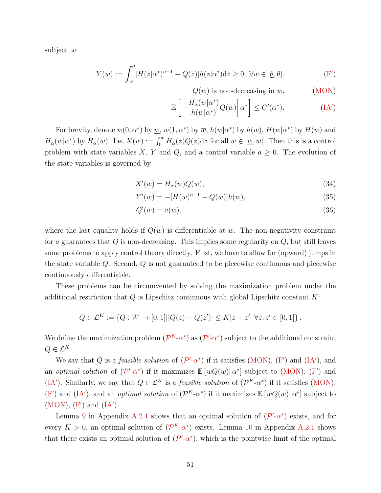subject to

$$
Y(w) := \int_{w}^{\overline{\theta}} [H(z|\alpha^*)^{n-1} - Q(z)]h(z|\alpha^*)\mathrm{d}z \ge 0, \ \forall w \in [\underline{\theta}, \overline{\theta}]. \tag{F'}
$$

<span id="page-51-2"></span><span id="page-51-1"></span><span id="page-51-0"></span>
$$
Q(w) \text{ is non-decreasing in } w,
$$
 (MON)

$$
\mathbb{E}\left[-\frac{H_{\alpha}(w|\alpha^*)}{h(w|\alpha^*)}Q(w)\middle|\alpha^*\right] \leq C'(\alpha^*).
$$
 (IA')

For brevity, denote  $w(0, \alpha^*)$  by  $\underline{w}$ ,  $w(1, \alpha^*)$  by  $\overline{w}$ ,  $h(w|\alpha^*)$  by  $h(w)$ ,  $H(w|\alpha^*)$  by  $H(w)$  and  $H_{\alpha}(w|\alpha^*)$  by  $H_{\alpha}(w)$ . Let  $X(w) := \int_0^w H_{\alpha}(z)Q(z)dz$  for all  $w \in [\underline{w}, \overline{w}]$ . Then this is a control problem with state variables X, Y and Q, and a control variable  $a \geq 0$ . The evolution of the state variables is governed by

$$
X'(w) = H_{\alpha}(w)Q(w),\tag{34}
$$

$$
Y'(w) = -[H(w)^{n-1} - Q(w)]h(w), \tag{35}
$$

$$
Q'(w) = a(w),\tag{36}
$$

where the last equality holds if  $Q(w)$  is differentiable at w. The non-negativity constraint for a guarantees that  $Q$  is non-decreasing. This implies some regularity on  $Q$ , but still leaves some problems to apply control theory directly. First, we have to allow for (upward) jumps in the state variable Q. Second, Q is not guaranteed to be piecewise continuous and piecewise continuously differentiable.

These problems can be circumvented by solving the maximization problem under the additional restriction that  $Q$  is Lipschitz continuous with global Lipschitz constant  $K$ :

$$
Q \in \mathcal{L}^{K} := \{ Q : W \to [0,1] \mid |Q(z) - Q(z')| \leq K|z - z'| \; \forall z, z' \in [0,1] \}.
$$

We define the maximization problem  $(\mathcal{P}^{K}\text{-}\alpha^*)$  $(\mathcal{P}^{K}\text{-}\alpha^*)$  $(\mathcal{P}^{K}\text{-}\alpha^*)$  as  $(\mathcal{P}'\text{-}\alpha^*)$  subject to the additional constraint  $Q \in \mathcal{L}^K$ .

We say that Q is a *feasible solution* of  $(\mathcal{P}'-\alpha^*)$  $(\mathcal{P}'-\alpha^*)$  $(\mathcal{P}'-\alpha^*)$  if it satisfies [\(MON\)](#page-12-3),  $(F')$  $(F')$  and  $(IA')$  $(IA')$ , and an *optimal solution* of  $(\mathcal{P}'\text{-}\alpha^*)$  $(\mathcal{P}'\text{-}\alpha^*)$  $(\mathcal{P}'\text{-}\alpha^*)$  if it maximizes  $\mathbb{E}[wQ(w)|\alpha^*]$  subject to [\(MON\)](#page-12-3),  $(F')$  $(F')$  and [\(IA](#page-13-2)'). Similarly, we say that  $Q \in \mathcal{L}^K$  is a *feasible solution* of  $(\mathcal{P}^K$ - $\alpha^*)$  if it satisfies [\(MON\)](#page-12-3), [\(F](#page-14-0)') and [\(IA](#page-13-2)'), and an *optimal solution* of  $(\mathcal{P}^{K}-\alpha^{*})$  if it maximizes  $\mathbb{E}[wQ(w)|\alpha^{*}]$  subject to  $(MON)$ ,  $(F')$  $(F')$  and  $(IA')$  $(IA')$ .

Lemma [9](#page-52-0) in Appendix [A.2.1](#page-52-1) shows that an optimal solution of  $(\mathcal{P}'-\alpha^*)$  $(\mathcal{P}'-\alpha^*)$  $(\mathcal{P}'-\alpha^*)$  exists, and for every  $K > 0$ , an optimal solution of  $(\mathcal{P}^{K} - \alpha^*)$  $(\mathcal{P}^{K} - \alpha^*)$  $(\mathcal{P}^{K} - \alpha^*)$  exists. Lemma [10](#page-53-0) in Appendix [A.2.1](#page-52-1) shows that there exists an optimal solution of  $(\mathcal{P}'\text{-}\alpha^*)$  $(\mathcal{P}'\text{-}\alpha^*)$  $(\mathcal{P}'\text{-}\alpha^*)$ , which is the pointwise limit of the optimal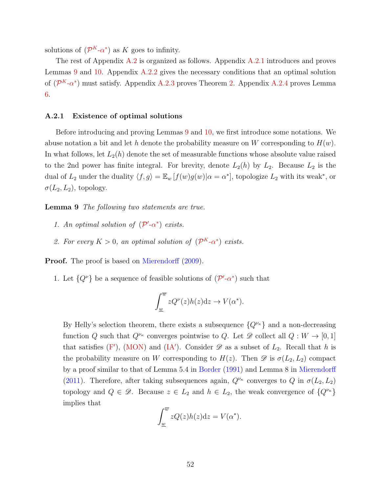solutions of  $(\mathcal{P}^{K_{-\alpha^*}})$  $(\mathcal{P}^{K_{-\alpha^*}})$  $(\mathcal{P}^{K_{-\alpha^*}})$  as K goes to infinity.

The rest of Appendix [A.2](#page-50-0) is organized as follows. Appendix [A.2.1](#page-52-1) introduces and proves Lemmas [9](#page-52-0) and [10.](#page-53-0) Appendix  $A.2.2$  gives the necessary conditions that an optimal solution of  $(\mathcal{P}^{K}-\alpha^{*})$  $(\mathcal{P}^{K}-\alpha^{*})$  $(\mathcal{P}^{K}-\alpha^{*})$  must satisfy. Appendix [A.2.3](#page-62-0) proves Theorem [2.](#page-26-0) Appendix [A.2.4](#page-71-0) proves Lemma [6.](#page-26-1)

#### <span id="page-52-1"></span>A.2.1 Existence of optimal solutions

Before introducing and proving Lemmas [9](#page-52-0) and [10,](#page-53-0) we first introduce some notations. We abuse notation a bit and let h denote the probability measure on W corresponding to  $H(w)$ . In what follows, let  $L_2(h)$  denote the set of measurable functions whose absolute value raised to the 2nd power has finite integral. For brevity, denote  $L_2(h)$  by  $L_2$ . Because  $L_2$  is the dual of  $L_2$  under the duality  $\langle f, g \rangle = \mathbb{E}_w [f(w)g(w)|\alpha = \alpha^*],$  topologize  $L_2$  with its weak<sup>\*</sup>, or  $\sigma(L_2,L_2)$ , topology.

<span id="page-52-0"></span>Lemma 9 The following two statements are true.

- 1. An optimal solution of  $(\mathcal{P}'-\alpha^*)$  $(\mathcal{P}'-\alpha^*)$  $(\mathcal{P}'-\alpha^*)$  exists.
- 2. For every  $K > 0$ , an optimal solution of  $(\mathcal{P}^{K}-\alpha^{*})$  $(\mathcal{P}^{K}-\alpha^{*})$  $(\mathcal{P}^{K}-\alpha^{*})$  exists.

**Proof.** The proof is based on [Mierendorff](#page-87-2)  $(2009)$ .

1. Let  $\{Q^{\nu}\}\$ be a sequence of feasible solutions of  $(\mathcal{P}'\text{-}\alpha^*)$  $(\mathcal{P}'\text{-}\alpha^*)$  $(\mathcal{P}'\text{-}\alpha^*)$  such that

$$
\int_{\underline{w}}^{\overline{w}} zQ^{\nu}(z)h(z)dz \to V(\alpha^*).
$$

By Helly's selection theorem, there exists a subsequence  $\{Q^{\nu_{\kappa}}\}$  and a non-decreasing function Q such that  $Q^{\nu_{\kappa}}$  converges pointwise to Q. Let  $\mathscr D$  collect all  $Q: W \to [0, 1]$ that satisfies [\(F](#page-14-0)'), [\(MON\)](#page-12-3) and [\(IA](#page-13-2)'). Consider  $\mathscr D$  as a subset of  $L_2$ . Recall that h is the probability measure on W corresponding to  $H(z)$ . Then  $\mathscr D$  is  $\sigma(L_2, L_2)$  compact by a proof similar to that of Lemma 5.4 in [Border](#page-85-3) [\(1991\)](#page-85-3) and Lemma 8 in [Mierendorff](#page-87-3) [\(2011\)](#page-87-3). Therefore, after taking subsequences again,  $Q^{\nu_{\kappa}}$  converges to Q in  $\sigma(L_2, L_2)$ topology and  $Q \in \mathcal{D}$ . Because  $z \in L_2$  and  $h \in L_2$ , the weak convergence of  $\{Q^{\nu_{\kappa}}\}$ implies that

$$
\int_{\underline{w}}^{\overline{w}} zQ(z)h(z)dz = V(\alpha^*).
$$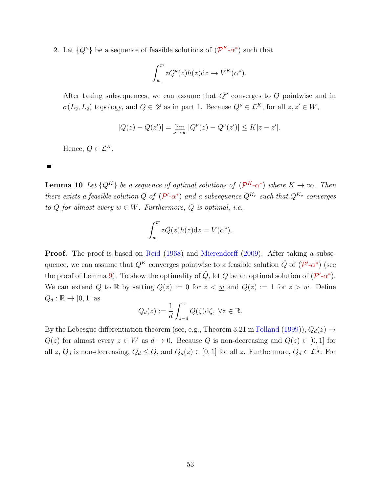2. Let  $\{Q^{\nu}\}\$ be a sequence of feasible solutions of  $(\mathcal{P}^{K} - \alpha^{*})$  $(\mathcal{P}^{K} - \alpha^{*})$  $(\mathcal{P}^{K} - \alpha^{*})$  such that

$$
\int_{\underline{w}}^{\overline{w}} zQ^{\nu}(z)h(z)dz \to V^K(\alpha^*).
$$

After taking subsequences, we can assume that  $Q^{\nu}$  converges to Q pointwise and in  $\sigma(L_2, L_2)$  topology, and  $Q \in \mathscr{D}$  as in part 1. Because  $Q^{\nu} \in \mathcal{L}^{K}$ , for all  $z, z' \in W$ ,

$$
|Q(z) - Q(z')| = \lim_{\nu \to \infty} |Q^{\nu}(z) - Q^{\nu}(z')| \le K|z - z'|.
$$

Hence,  $Q \in \mathcal{L}^K$ .

<span id="page-53-0"></span> $\blacksquare$ 

**Lemma 10** Let  ${Q^K}$  be a sequence of optimal solutions of  $({\cal P}^{K} \text{-} \alpha^*)$  $({\cal P}^{K} \text{-} \alpha^*)$  $({\cal P}^{K} \text{-} \alpha^*)$  where  $K \to \infty$ . Then there exists a feasible solution Q of  $(\mathcal{P}'\text{-}\alpha^*)$  $(\mathcal{P}'\text{-}\alpha^*)$  $(\mathcal{P}'\text{-}\alpha^*)$  and a subsequence  $Q^{K_{\nu}}$  such that  $Q^{K_{\nu}}$  converges to  $Q$  for almost every  $w \in W$ . Furthermore,  $Q$  is optimal, i.e.,

$$
\int_{\underline{w}}^{\overline{w}} zQ(z)h(z)dz = V(\alpha^*).
$$

**Proof.** The proof is based on [Reid](#page-87-4) [\(1968\)](#page-87-4) and [Mierendorff](#page-87-2) [\(2009\)](#page-87-2). After taking a subsequence, we can assume that  $Q^K$  converges pointwise to a feasible solution  $\hat{Q}$  of  $(\mathcal{P}'\text{-}\alpha^*)$  $(\mathcal{P}'\text{-}\alpha^*)$  $(\mathcal{P}'\text{-}\alpha^*)$  (see the proof of Lemma [9\)](#page-52-0). To show the optimality of  $\hat{Q}$ , let  $Q$  be an optimal solution of  $(\mathcal{P}'\text{-}\alpha^*)$  $(\mathcal{P}'\text{-}\alpha^*)$  $(\mathcal{P}'\text{-}\alpha^*)$ . We can extend Q to R by setting  $Q(z) := 0$  for  $z < \underline{w}$  and  $Q(z) := 1$  for  $z > \overline{w}$ . Define  $Q_d : \mathbb{R} \to [0,1]$  as

$$
Q_d(z) := \frac{1}{d} \int_{z-d}^z Q(\zeta) d\zeta, \ \forall z \in \mathbb{R}.
$$

By the Lebesgue differentiation theorem (see, e.g., Theorem 3.21 in [Folland](#page-86-3) [\(1999\)](#page-86-3)),  $Q_d(z) \rightarrow$  $Q(z)$  for almost every  $z \in W$  as  $d \to 0$ . Because Q is non-decreasing and  $Q(z) \in [0,1]$  for all z,  $Q_d$  is non-decreasing,  $Q_d \leq Q$ , and  $Q_d(z) \in [0,1]$  for all z. Furthermore,  $Q_d \in \mathcal{L}^{\frac{1}{d}}$ : For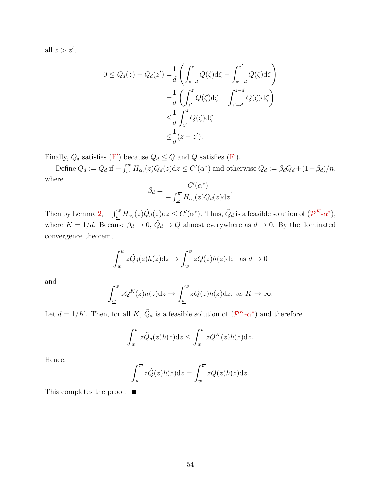all  $z > z'$ ,

$$
0 \le Q_d(z) - Q_d(z') = \frac{1}{d} \left( \int_{z-d}^z Q(\zeta) d\zeta - \int_{z'-d}^{z'} Q(\zeta) d\zeta \right)
$$
  

$$
= \frac{1}{d} \left( \int_{z'}^z Q(\zeta) d\zeta - \int_{z'-d}^{z-d} Q(\zeta) d\zeta \right)
$$
  

$$
\le \frac{1}{d} \int_{z'}^z Q(\zeta) d\zeta
$$
  

$$
\le \frac{1}{d} (z - z').
$$

Finally,  $Q_d$  satisfies [\(F](#page-14-0)') because  $Q_d \leq Q$  and Q satisfies (F').

Define  $\tilde{Q}_d := Q_d$  if  $-\int_{\underline{w}}^{\overline{w}} H_{\alpha_i}(z) Q_d(z) dz \leq C'(\alpha^*)$  and otherwise  $\tilde{Q}_d := \beta_d Q_d + (1 - \beta_d)/n$ , where

$$
\beta_d = \frac{C'(\alpha^*)}{-\int_{\underline{w}}^{\overline{w}} H_{\alpha_i}(z)Q_d(z)dz}
$$

.

Then by Lemma [2,](#page-13-0)  $-\int_{\underline{w}}^{\overline{w}} H_{\alpha_i}(z)\tilde{Q}_d(z)dz \leq C'(\alpha^*)$ . Thus,  $\tilde{Q}_d$  is a feasible solution of  $(\mathcal{P}^{K_{-\alpha^*}})$  $(\mathcal{P}^{K_{-\alpha^*}})$  $(\mathcal{P}^{K_{-\alpha^*}})$ , where  $K = 1/d$ . Because  $\beta_d \to 0$ ,  $\tilde{Q}_d \to Q$  almost everywhere as  $d \to 0$ . By the dominated convergence theorem,

$$
\int_{\underline{w}}^{\overline{w}} z \tilde{Q}_d(z) h(z) dz \to \int_{\underline{w}}^{\overline{w}} z Q(z) h(z) dz, \text{ as } d \to 0
$$

and

$$
\int_{\underline{w}}^{\overline{w}} z Q^{K}(z)h(z)dz \to \int_{\underline{w}}^{\overline{w}} z \hat{Q}(z)h(z)dz, \text{ as } K \to \infty.
$$

Let  $d = 1/K$ . Then, for all K,  $\tilde{Q}_d$  is a feasible solution of  $(\mathcal{P}^{K} \text{-} \alpha^*)$  $(\mathcal{P}^{K} \text{-} \alpha^*)$  $(\mathcal{P}^{K} \text{-} \alpha^*)$  and therefore

$$
\int_{\underline{w}}^{\overline{w}} z \tilde{Q}_d(z) h(z) \mathrm{d} z \le \int_{\underline{w}}^{\overline{w}} z Q^K(z) h(z) \mathrm{d} z.
$$

Hence,

$$
\int_{\underline{w}}^{\overline{w}} z \hat{Q}(z)h(z)dz = \int_{\underline{w}}^{\overline{w}} zQ(z)h(z)dz.
$$

This completes the proof.  $\blacksquare$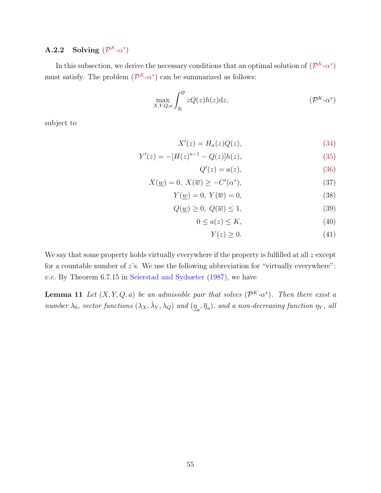### <span id="page-55-1"></span>**A.2.2** Solving  $(\mathcal{P}^{K}(\alpha^{*}))$  $(\mathcal{P}^{K}(\alpha^{*}))$  $(\mathcal{P}^{K}(\alpha^{*}))$

In this subsection, we derive the necessary conditions that an optimal solution of  $(\mathcal{P}^{K} - \alpha^*)$  $(\mathcal{P}^{K} - \alpha^*)$  $(\mathcal{P}^{K} - \alpha^*)$ must satisfy. The problem  $(\mathcal{P}^{K} - \alpha^*)$  $(\mathcal{P}^{K} - \alpha^*)$  $(\mathcal{P}^{K} - \alpha^*)$  can be summarized as follows:

$$
\max_{X,Y,Q,a} \int_{\underline{w}}^{\overline{w}} zQ(z)h(z)dz, \qquad (\mathcal{P}^{K}-\alpha^{*})
$$

subject to

$$
X'(z) = H_{\alpha}(z)Q(z),\tag{34}
$$

$$
Y'(z) = -[H(z)^{n-1} - Q(z)]h(z),\tag{35}
$$

<span id="page-55-0"></span>
$$
Q'(z) = a(z),\tag{36}
$$

$$
X(\underline{w}) = 0, \ X(\overline{w}) \ge -C'(\alpha^*),\tag{37}
$$

$$
Y(\underline{w}) = 0, Y(\overline{w}) = 0,
$$
\n(38)

$$
Q(\underline{w}) \ge 0, \ Q(\overline{w}) \le 1,\tag{39}
$$

$$
0 \le a(z) \le K,\tag{40}
$$

<span id="page-55-2"></span>
$$
Y(z) \ge 0. \tag{41}
$$

We say that some property holds virtually everywhere if the property is fulfilled at all  $z$  except for a countable number of  $z$ 's. We use the following abbreviation for "virtually everywhere": v.e. By Theorem 6.7.15 in [Seierstad and Sydsæter](#page-87-5) [\(1987\)](#page-87-5), we have

**Lemma 11** Let  $(X, Y, Q, a)$  be an admissible pair that solves  $(\mathcal{P}^{K} - \alpha^{*})$ . Then there exist a number  $\lambda_0$ , vector functions  $(\lambda_X, \check{\lambda}_Y, \lambda_Q)$  and  $(\underline{\eta}_a, \overline{\eta}_a)$ , and a non-decreasing function  $\eta_Y$ , all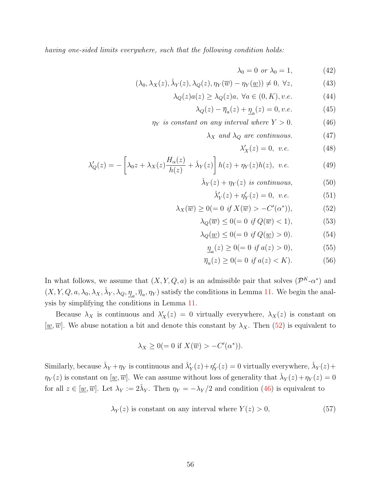having one-sided limits everywhere, such that the following condition holds:

<span id="page-56-8"></span><span id="page-56-4"></span><span id="page-56-3"></span>
$$
\lambda_0 = 0 \text{ or } \lambda_0 = 1,\tag{42}
$$

$$
(\lambda_0, \lambda_X(z), \check{\lambda}_Y(z), \lambda_Q(z), \eta_Y(\overline{w}) - \eta_Y(\underline{w})) \neq 0, \ \forall z,
$$
 (43)

$$
\lambda_Q(z)a(z) \ge \lambda_Q(z)a, \,\forall a \in (0, K), v.e. \tag{44}
$$

$$
\lambda_Q(z) - \overline{\eta}_a(z) + \underline{\eta}_a(z) = 0, v.e. \tag{45}
$$

- $\eta_Y$  is constant on any interval where  $Y > 0$ . (46)
	- $\lambda_X$  and  $\lambda_Q$  are continuous. (47)

<span id="page-56-2"></span><span id="page-56-1"></span><span id="page-56-0"></span>
$$
\lambda_X'(z) = 0, \ v.e. \tag{48}
$$

$$
\lambda'_Q(z) = -\left[\lambda_0 z + \lambda_X(z)\frac{H_\alpha(z)}{h(z)} + \check{\lambda}_Y(z)\right]h(z) + \eta_Y(z)h(z), \ v.e. \tag{49}
$$

$$
\check{\lambda}_Y(z) + \eta_Y(z) \text{ is continuous}, \tag{50}
$$

<span id="page-56-7"></span><span id="page-56-5"></span>
$$
\tilde{\lambda}'_Y(z) + \eta'_Y(z) = 0, \ v.e. \tag{51}
$$

$$
\lambda_X(\overline{w}) \ge 0 (= 0 \text{ if } X(\overline{w}) > -C'(\alpha^*)),\tag{52}
$$

$$
\lambda_Q(\overline{w}) \le 0 (= 0 \text{ if } Q(\overline{w}) < 1),\tag{53}
$$

$$
\lambda_Q(\underline{w}) \le 0 (= 0 \text{ if } Q(\underline{w}) > 0). \tag{54}
$$

<span id="page-56-6"></span>
$$
\underline{\eta}_a(z) \ge 0 (= 0 \text{ if } a(z) > 0), \tag{55}
$$

$$
\overline{\eta}_a(z) \ge 0 (= 0 \text{ if } a(z) < K). \tag{56}
$$

In what follows, we assume that  $(X, Y, Q, a)$  is an admissible pair that solves  $(\mathcal{P}^{K} - \alpha^*)$  and  $(X, Y, Q, a, \lambda_0, \lambda_X, \check{\lambda}_Y, \lambda_Q, \underline{\eta}_a, \overline{\eta}_a, \eta_Y)$  satisfy the conditions in Lemma [11.](#page-55-2) We begin the analysis by simplifying the conditions in Lemma [11.](#page-55-2)

Because  $\lambda_X$  is continuous and  $\lambda'_X(z) = 0$  virtually everywhere,  $\lambda_X(z)$  is constant on  $[\underline{w}, \overline{w}]$ . We abuse notation a bit and denote this constant by  $\lambda_X$ . Then [\(52\)](#page-56-0) is equivalent to

$$
\lambda_X \ge 0 (= 0 \text{ if } X(\overline{w}) > -C'(\alpha^*)\text{)}.
$$

Similarly, because  $\check{\lambda}_Y + \eta_Y$  is continuous and  $\check{\lambda}'_Y(z) + \eta'_Y(z) = 0$  virtually everywhere,  $\check{\lambda}_Y(z) + \eta'_Y(z)$  $\eta_Y(z)$  is constant on  $[\underline{w}, \overline{w}]$ . We can assume without loss of generality that  $\check{\lambda}_Y(z) + \eta_Y(z) = 0$ for all  $z \in [\underline{w}, \overline{w}]$ . Let  $\lambda_Y := 2\check{\lambda}_Y$ . Then  $\eta_Y = -\lambda_Y/2$  and condition [\(46\)](#page-56-1) is equivalent to

<span id="page-56-9"></span>
$$
\lambda_Y(z)
$$
 is constant on any interval where  $Y(z) > 0$ , (57)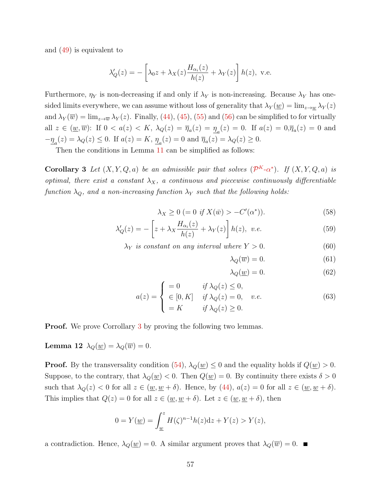and [\(49\)](#page-56-2) is equivalent to

$$
\lambda'_Q(z) = -\left[\lambda_0 z + \lambda_X(z) \frac{H_{\alpha_i}(z)}{h(z)} + \lambda_Y(z)\right] h(z), \text{ v.e.}
$$

Furthermore,  $\eta_Y$  is non-decreasing if and only if  $\lambda_Y$  is non-increasing. Because  $\lambda_Y$  has onesided limits everywhere, we can assume without loss of generality that  $\lambda_Y(\underline{w}) = \lim_{z \to \underline{w}} \lambda_Y(z)$ and  $\lambda_Y(\overline{w}) = \lim_{z \to \overline{w}} \lambda_Y(z)$ . Finally, [\(44\)](#page-56-3), [\(45\)](#page-56-4), [\(55\)](#page-56-5) and [\(56\)](#page-56-6) can be simplified to for virtually all  $z \in (\underline{w}, \overline{w})$ : If  $0 < a(z) < K$ ,  $\lambda_Q(z) = \overline{\eta}_a(z) = \underline{\eta}_a(z) = 0$ . If  $a(z) = 0, \overline{\eta}_a(z) = 0$  and  $-\underline{\eta}_a(z) = \lambda_Q(z) \leq 0$ . If  $a(z) = K$ ,  $\underline{\eta}_a(z) = 0$  and  $\overline{\eta}_a(z) = \lambda_Q(z) \geq 0$ .

Then the conditions in Lemma [11](#page-55-2) can be simplified as follows:

<span id="page-57-0"></span>**Corollary 3** Let  $(X, Y, Q, a)$  be an admissible pair that solves  $(\mathcal{P}^{K}-\alpha^*)$  $(\mathcal{P}^{K}-\alpha^*)$  $(\mathcal{P}^{K}-\alpha^*)$ . If  $(X, Y, Q, a)$  is optimal, there exist a constant  $\lambda_X$ , a continuous and piecewise continuously differentiable function  $\lambda_Q$ , and a non-increasing function  $\lambda_Y$  such that the following holds:

$$
\lambda_X \ge 0 \ (= 0 \text{ if } X(\bar{w}) > -C'(\alpha^*)). \tag{58}
$$

$$
\lambda'_Q(z) = -\left[z + \lambda_X \frac{H_{\alpha_i}(z)}{h(z)} + \lambda_Y(z)\right] h(z), \ v.e. \tag{59}
$$

 $\lambda_Y$  is constant on any interval where  $Y > 0$ . (60)

<span id="page-57-3"></span><span id="page-57-1"></span>
$$
\lambda_Q(\overline{w}) = 0. \tag{61}
$$

<span id="page-57-2"></span>
$$
\lambda_Q(\underline{w}) = 0. \tag{62}
$$

$$
a(z) = \begin{cases} = 0 & \text{if } \lambda_Q(z) \le 0, \\ \in [0, K] & \text{if } \lambda_Q(z) = 0, \quad v.e. \\ = K & \text{if } \lambda_Q(z) \ge 0. \end{cases}
$$
(63)

<span id="page-57-4"></span>**Proof.** We prove Corrollary [3](#page-57-0) by proving the following two lemmas.

Lemma 12  $\lambda_Q(\underline{w}) = \lambda_Q(\overline{w}) = 0$ .

**Proof.** By the transversality condition [\(54\)](#page-56-7),  $\lambda_Q(\underline{w}) \leq 0$  and the equality holds if  $Q(\underline{w}) > 0$ . Suppose, to the contrary, that  $\lambda_Q(\underline{w}) < 0$ . Then  $Q(\underline{w}) = 0$ . By continuity there exists  $\delta > 0$ such that  $\lambda_Q(z) < 0$  for all  $z \in (\underline{w}, \underline{w} + \delta)$ . Hence, by  $(44)$ ,  $a(z) = 0$  for all  $z \in (\underline{w}, \underline{w} + \delta)$ . This implies that  $Q(z) = 0$  for all  $z \in (\underline{w}, \underline{w} + \delta)$ . Let  $z \in (\underline{w}, \underline{w} + \delta)$ , then

$$
0 = Y(\underline{w}) = \int_{\underline{w}}^{z} H(\zeta)^{n-1} h(z) dz + Y(z) > Y(z),
$$

a contradiction. Hence,  $\lambda_Q(\underline{w}) = 0$ . A similar argument proves that  $\lambda_Q(\overline{w}) = 0$ .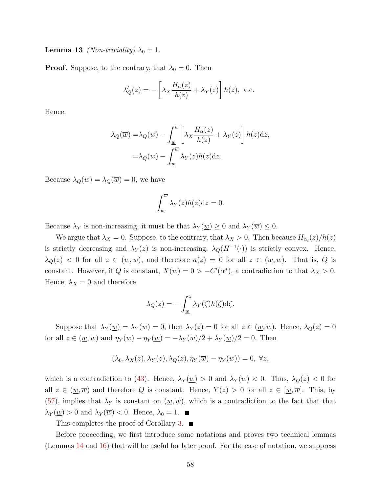**Lemma 13** (Non-triviality)  $\lambda_0 = 1$ .

**Proof.** Suppose, to the contrary, that  $\lambda_0 = 0$ . Then

$$
\lambda'_Q(z) = -\left[\lambda_X \frac{H_\alpha(z)}{h(z)} + \lambda_Y(z)\right] h(z), \text{ v.e.}
$$

Hence,

$$
\lambda_Q(\overline{w}) = \lambda_Q(\underline{w}) - \int_{\underline{w}}^{\overline{w}} \left[ \lambda_X \frac{H_\alpha(z)}{h(z)} + \lambda_Y(z) \right] h(z) dz,
$$

$$
= \lambda_Q(\underline{w}) - \int_{\underline{w}}^{\overline{w}} \lambda_Y(z) h(z) dz.
$$

Because  $\lambda_Q(\underline{w}) = \lambda_Q(\overline{w}) = 0$ , we have

$$
\int_{\underline{w}}^{\overline{w}} \lambda_Y(z)h(z)dz = 0.
$$

Because  $\lambda_Y$  is non-increasing, it must be that  $\lambda_Y(\underline{w}) \geq 0$  and  $\lambda_Y(\overline{w}) \leq 0$ .

We argue that  $\lambda_X = 0$ . Suppose, to the contrary, that  $\lambda_X > 0$ . Then because  $H_{\alpha_i}(z)/h(z)$ is strictly decreasing and  $\lambda_Y(z)$  is non-increasing,  $\lambda_Q(H^{-1}(\cdot))$  is strictly convex. Hence,  $\lambda_Q(z)$  < 0 for all  $z \in (\underline{w}, \overline{w})$ , and therefore  $a(z) = 0$  for all  $z \in (\underline{w}, \overline{w})$ . That is, Q is constant. However, if Q is constant,  $X(\overline{w}) = 0 > -C'(\alpha^*)$ , a contradiction to that  $\lambda_X > 0$ . Hence,  $\lambda_X = 0$  and therefore

$$
\lambda_Q(z) = -\int_{\underline{w}}^z \lambda_Y(\zeta) h(\zeta) d\zeta.
$$

Suppose that  $\lambda_Y(\underline{w}) = \lambda_Y(\overline{w}) = 0$ , then  $\lambda_Y(z) = 0$  for all  $z \in (\underline{w}, \overline{w})$ . Hence,  $\lambda_Q(z) = 0$ for all  $z \in (\underline{w}, \overline{w})$  and  $\eta_Y(\overline{w}) - \eta_Y(\underline{w}) = -\lambda_Y(\overline{w})/2 + \lambda_Y(\underline{w})/2 = 0$ . Then

$$
(\lambda_0, \lambda_X(z), \lambda_Y(z), \lambda_Q(z), \eta_Y(\overline{w}) - \eta_Y(\underline{w})) = 0, \ \forall z,
$$

which is a contradiction to [\(43\)](#page-56-8). Hence,  $\lambda_Y(\underline{w}) > 0$  and  $\lambda_Y(\overline{w}) < 0$ . Thus,  $\lambda_Q(z) < 0$  for all  $z \in (\underline{w}, \overline{w})$  and therefore Q is constant. Hence,  $Y(z) > 0$  for all  $z \in [\underline{w}, \overline{w}]$ . This, by [\(57\)](#page-56-9), implies that  $\lambda_Y$  is constant on  $(\underline{w}, \overline{w})$ , which is a contradiction to the fact that that  $\lambda_Y(\underline{w}) > 0$  and  $\lambda_Y(\overline{w}) < 0$ . Hence,  $\lambda_0 = 1$ .

This completes the proof of Corollary [3.](#page-57-0)  $\blacksquare$ 

Before proceeding, we first introduce some notations and proves two technical lemmas (Lemmas [14](#page-59-0) and [16\)](#page-60-0) that will be useful for later proof. For the ease of notation, we suppress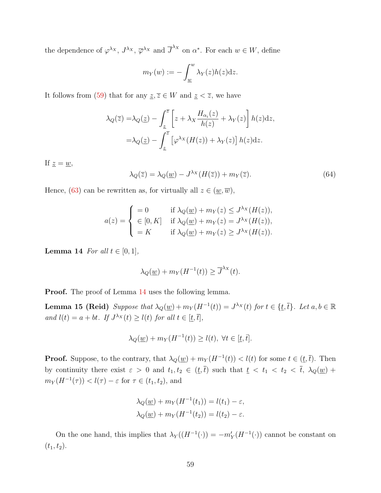the dependence of  $\varphi^{\lambda_X}$ ,  $J^{\lambda_X}$ ,  $\overline{\varphi}^{\lambda_X}$  and  $\overline{J}^{\lambda_X}$  on  $\alpha^*$ . For each  $w \in W$ , define

$$
m_Y(w) := -\int_{\underline{w}}^w \lambda_Y(z)h(z)dz.
$$

It follows from [\(59\)](#page-57-1) that for any  $\underline{z}, \overline{z} \in W$  and  $\underline{z} < \overline{z}$ , we have

$$
\lambda_Q(\overline{z}) = \lambda_Q(\underline{z}) - \int_{\underline{z}}^{\overline{z}} \left[ z + \lambda_X \frac{H_{\alpha_i}(z)}{h(z)} + \lambda_Y(z) \right] h(z) dz,
$$
  

$$
= \lambda_Q(\underline{z}) - \int_{\underline{z}}^{\overline{z}} \left[ \varphi^{\lambda_X}(H(z)) + \lambda_Y(z) \right] h(z) dz.
$$

If  $\underline{z} = \underline{w}$ ,

<span id="page-59-1"></span>
$$
\lambda_Q(\overline{z}) = \lambda_Q(\underline{w}) - J^{\lambda_X}(H(\overline{z})) + m_Y(\overline{z}). \tag{64}
$$

Hence, [\(63\)](#page-57-2) can be rewritten as, for virtually all  $z \in (\underline{w}, \overline{w})$ ,

$$
a(z) = \begin{cases} =0 & \text{if } \lambda_Q(\underline{w}) + m_Y(z) \le J^{\lambda_X}(H(z)), \\ \in [0, K] & \text{if } \lambda_Q(\underline{w}) + m_Y(z) = J^{\lambda_X}(H(z)), \\ = K & \text{if } \lambda_Q(\underline{w}) + m_Y(z) \ge J^{\lambda_X}(H(z)). \end{cases}
$$

<span id="page-59-0"></span>**Lemma 14** For all  $t \in [0, 1]$ ,

$$
\lambda_Q(\underline{w}) + m_Y(H^{-1}(t)) \ge \overline{J}^{\lambda_X}(t).
$$

**Proof.** The proof of Lemma [14](#page-59-0) uses the following lemma.

<span id="page-59-2"></span>**Lemma 15 (Reid)** Suppose that  $\lambda_Q(\underline{w}) + m_Y(H^{-1}(t)) = J^{\lambda_X}(t)$  for  $t \in {\{\underline{t}, \overline{t}\}}$ . Let  $a, b \in \mathbb{R}$ and  $l(t) = a + bt$ . If  $J^{\lambda_X}(t) \ge l(t)$  for all  $t \in [t, \overline{t}],$ 

$$
\lambda_Q(\underline{w}) + m_Y(H^{-1}(t)) \ge l(t), \ \forall t \in [\underline{t}, \overline{t}].
$$

**Proof.** Suppose, to the contrary, that  $\lambda_Q(\underline{w}) + m_Y(H^{-1}(t)) < l(t)$  for some  $t \in (\underline{t}, \overline{t})$ . Then by continuity there exist  $\varepsilon > 0$  and  $t_1, t_2 \in (\underline{t}, \overline{t})$  such that  $\underline{t} < t_1 < t_2 < \overline{t}$ ,  $\lambda_Q(\underline{w})$  +  $m_Y(H^{-1}(\tau)) < l(\tau) - \varepsilon$  for  $\tau \in (t_1, t_2)$ , and

$$
\lambda_Q(\underline{w}) + m_Y(H^{-1}(t_1)) = l(t_1) - \varepsilon,
$$
  

$$
\lambda_Q(\underline{w}) + m_Y(H^{-1}(t_2)) = l(t_2) - \varepsilon.
$$

On the one hand, this implies that  $\lambda_Y((H^{-1}(\cdot)) = -m_Y'(H^{-1}(\cdot))$  cannot be constant on  $(t_1, t_2).$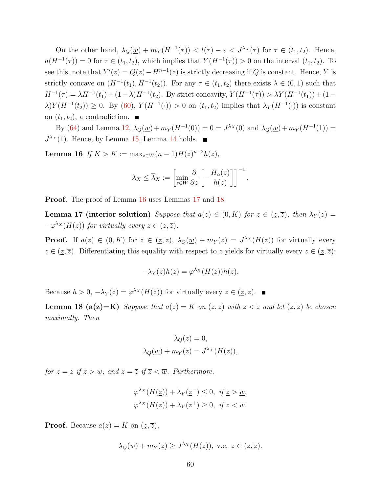On the other hand,  $\lambda_Q(\underline{w}) + m_Y(H^{-1}(\tau)) < l(\tau) - \varepsilon < J^{\lambda_X}(\tau)$  for  $\tau \in (t_1, t_2)$ . Hence,  $a(H^{-1}(\tau)) = 0$  for  $\tau \in (t_1, t_2)$ , which implies that  $Y(H^{-1}(\tau)) > 0$  on the interval  $(t_1, t_2)$ . To see this, note that  $Y'(z) = Q(z) - H^{n-1}(z)$  is strictly decreasing if Q is constant. Hence, Y is strictly concave on  $(H^{-1}(t_1), H^{-1}(t_2))$ . For any  $\tau \in (t_1, t_2)$  there exists  $\lambda \in (0, 1)$  such that  $H^{-1}(\tau) = \lambda H^{-1}(t_1) + (1-\lambda)H^{-1}(t_2)$ . By strict concavity,  $Y(H^{-1}(\tau)) > \lambda Y(H^{-1}(t_1)) + (1-\lambda)Y$  $\lambda$ )Y  $(H^{-1}(t_2)) \geq 0$ . By  $(60)$ , Y  $(H^{-1}(\cdot)) > 0$  on  $(t_1, t_2)$  implies that  $\lambda_Y(H^{-1}(\cdot))$  is constant on  $(t_1, t_2)$ , a contradiction.

By [\(64\)](#page-59-1) and Lemma [12,](#page-57-4)  $\lambda_Q(\underline{w}) + m_Y(H^{-1}(0)) = 0 = J^{\lambda_X}(0)$  and  $\lambda_Q(\underline{w}) + m_Y(H^{-1}(1)) =$  $J^{\lambda_X}(1)$ . Hence, by Lemma [15,](#page-59-2) Lemma [14](#page-59-0) holds.

<span id="page-60-0"></span>Lemma 16 If  $K > \overline{K} := \max_{z \in W} (n-1)H(z)^{n-2}h(z)$ ,

$$
\lambda_X \leq \overline{\lambda}_X := \left[ \min_{z \in W} \frac{\partial}{\partial z} \left[ -\frac{H_{\alpha}(z)}{h(z)} \right] \right]^{-1}.
$$

<span id="page-60-1"></span>**Proof.** The proof of Lemma [16](#page-60-0) uses Lemmas [17](#page-60-1) and [18.](#page-60-2)

**Lemma 17 (interior solution)** Suppose that  $a(z) \in (0, K)$  for  $z \in (\underline{z}, \overline{z})$ , then  $\lambda_Y(z) =$  $-\varphi^{\lambda_X}(H(z))$  for virtually every  $z \in (\underline{z}, \overline{z})$ .

**Proof.** If  $a(z) \in (0, K)$  for  $z \in (\underline{z}, \overline{z})$ ,  $\lambda_Q(\underline{w}) + m_Y(z) = J^{\lambda_X}(H(z))$  for virtually every  $z \in (\underline{z}, \overline{z})$ . Differentiating this equality with respect to z yields for virtually every  $z \in (\underline{z}, \overline{z})$ :

$$
-\lambda_Y(z)h(z) = \varphi^{\lambda_X}(H(z))h(z),
$$

Because  $h > 0$ ,  $-\lambda_Y(z) = \varphi^{\lambda_X}(H(z))$  for virtually every  $z \in (\underline{z}, \overline{z})$ .

<span id="page-60-2"></span>**Lemma 18 (a(z)=K)** Suppose that  $a(z) = K$  on  $(\underline{z}, \overline{z})$  with  $\underline{z} < \overline{z}$  and let  $(\underline{z}, \overline{z})$  be chosen maximally. Then

$$
\lambda_Q(z) = 0,
$$
  

$$
\lambda_Q(\underline{w}) + m_Y(z) = J^{\lambda_X}(H(z)),
$$

for  $z = \underline{z}$  if  $\underline{z} > \underline{w}$ , and  $z = \overline{z}$  if  $\overline{z} < \overline{w}$ . Furthermore,

$$
\varphi^{\lambda_X}(H(\underline{z})) + \lambda_Y(\underline{z}^-) \le 0, \ \text{if } \underline{z} > \underline{w},
$$
  

$$
\varphi^{\lambda_X}(H(\overline{z})) + \lambda_Y(\overline{z}^+) \ge 0, \ \text{if } \overline{z} < \overline{w}.
$$

**Proof.** Because  $a(z) = K$  on  $(z, \overline{z})$ ,

$$
\lambda_Q(\underline{w}) + m_Y(z) \geq J^{\lambda_X}(H(z)), \text{ v.e. } z \in (\underline{z}, \overline{z}).
$$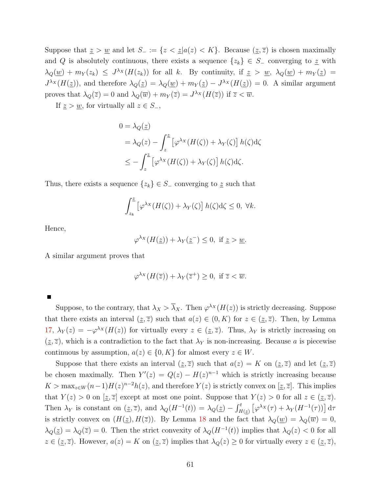Suppose that  $\underline{z} > \underline{w}$  and let  $S_- := \{z < \underline{z} | a(z) < K\}$ . Because  $(\underline{z}, \overline{z})$  is chosen maximally and Q is absolutely continuous, there exists a sequence  $\{z_k\} \in S_-\$  converging to  $\underline{z}$  with  $\lambda_Q(\underline{w}) + m_Y(z_k) \leq J^{\lambda_X}(H(z_k))$  for all k. By continuity, if  $\underline{z} > \underline{w}$ ,  $\lambda_Q(\underline{w}) + m_Y(\underline{z}) =$  $J^{\lambda_X}(H(\underline{z}))$ , and therefore  $\lambda_Q(\underline{z}) = \lambda_Q(\underline{w}) + m_Y(\underline{z}) - J^{\lambda_X}(H(\underline{z})) = 0$ . A similar argument proves that  $\lambda_Q(\overline{z}) = 0$  and  $\lambda_Q(\overline{w}) + m_Y(\overline{z}) = J^{\lambda_X}(H(\overline{z}))$  if  $\overline{z} < \overline{w}$ .

If  $\underline{z} > \underline{w}$ , for virtually all  $z \in S_-,$ 

$$
0 = \lambda_Q(\underline{z})
$$
  
=  $\lambda_Q(z) - \int_z^{\underline{z}} \left[ \varphi^{\lambda_X}(H(\zeta)) + \lambda_Y(\zeta) \right] h(\zeta) d\zeta$   

$$
\leq - \int_z^{\underline{z}} \left[ \varphi^{\lambda_X}(H(\zeta)) + \lambda_Y(\zeta) \right] h(\zeta) d\zeta.
$$

Thus, there exists a sequence  $\{z_k\} \in S_-\$  converging to z such that

$$
\int_{z_k}^{\underline{z}} \left[ \varphi^{\lambda_X}(H(\zeta)) + \lambda_Y(\zeta) \right] h(\zeta) d\zeta \le 0, \ \forall k.
$$

Hence,

$$
\varphi^{\lambda_X}(H(\underline{z})) + \lambda_Y(\underline{z}^-) \le 0, \text{ if } \underline{z} > \underline{w}.
$$

A similar argument proves that

$$
\varphi^{\lambda_X}(H(\overline{z})) + \lambda_Y(\overline{z}^+) \ge 0, \text{ if } \overline{z} < \overline{w}.
$$

Suppose, to the contrary, that  $\lambda_X > \overline{\lambda}_X$ . Then  $\varphi^{\lambda_X}(H(z))$  is strictly decreasing. Suppose that there exists an interval  $(z, \overline{z})$  such that  $a(z) \in (0, K)$  for  $z \in (z, \overline{z})$ . Then, by Lemma [17,](#page-60-1)  $\lambda_Y(z) = -\varphi^{\lambda_X}(H(z))$  for virtually every  $z \in (z, \overline{z})$ . Thus,  $\lambda_Y$  is strictly increasing on  $(\underline{z}, \overline{z})$ , which is a contradiction to the fact that  $\lambda_Y$  is non-increasing. Because a is piecewise continuous by assumption,  $a(z) \in \{0, K\}$  for almost every  $z \in W$ .

Suppose that there exists an interval  $(z, \overline{z})$  such that  $a(z) = K$  on  $(z, \overline{z})$  and let  $(z, \overline{z})$ be chosen maximally. Then  $Y'(z) = Q(z) - H(z)^{n-1}$  which is strictly increasing because  $K > \max_{z \in W} (n-1)H(z)^{n-2}h(z)$ , and therefore  $Y(z)$  is strictly convex on  $[\underline{z}, \overline{z}]$ . This implies that  $Y(z) > 0$  on  $[\underline{z}, \overline{z}]$  except at most one point. Suppose that  $Y(z) > 0$  for all  $z \in (\underline{z}, \overline{z})$ . Then  $\lambda_Y$  is constant on  $(\underline{z}, \overline{z})$ , and  $\lambda_Q(H^{-1}(t)) = \lambda_Q(\underline{z}) - \int_{H(\underline{z})}^t \left[ \varphi^{\lambda_X}(\tau) + \lambda_Y(H^{-1}(\tau)) \right] d\tau$ is strictly convex on  $(H(\underline{z}), H(\overline{z}))$ . By Lemma [18](#page-60-2) and the fact that  $\lambda_Q(\underline{w}) = \lambda_Q(\overline{w}) = 0$ ,  $\lambda_Q(z) = \lambda_Q(\overline{z}) = 0$ . Then the strict convexity of  $\lambda_Q(H^{-1}(t))$  implies that  $\lambda_Q(z) < 0$  for all  $z \in (\underline{z}, \overline{z})$ . However,  $a(z) = K$  on  $(\underline{z}, \overline{z})$  implies that  $\lambda_Q(z) \geq 0$  for virtually every  $z \in (\underline{z}, \overline{z})$ ,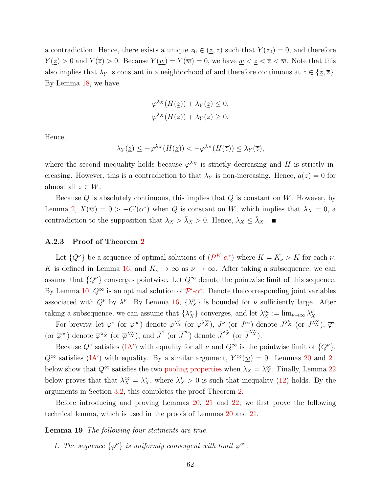a contradiction. Hence, there exists a unique  $z_0 \in (\underline{z}, \overline{z})$  such that  $Y(z_0) = 0$ , and therefore  $Y(\underline{z}) > 0$  and  $Y(\overline{z}) > 0$ . Because  $Y(\underline{w}) = Y(\overline{w}) = 0$ , we have  $\underline{w} < \underline{z} < \overline{z} < \overline{w}$ . Note that this also implies that  $\lambda_Y$  is constant in a neighborhood of and therefore continuous at  $z \in \{\underline{z}, \overline{z}\}.$ By Lemma [18,](#page-60-2) we have

$$
\varphi^{\lambda_X}(H(\underline{z})) + \lambda_Y(\underline{z}) \le 0,
$$
  

$$
\varphi^{\lambda_X}(H(\overline{z})) + \lambda_Y(\overline{z}) \ge 0.
$$

Hence,

$$
\lambda_Y(\underline{z}) \le -\varphi^{\lambda_X}(H(\underline{z})) < -\varphi^{\lambda_X}(H(\overline{z})) \le \lambda_Y(\overline{z}),
$$

where the second inequality holds because  $\varphi^{\lambda_X}$  is strictly decreasing and H is strictly increasing. However, this is a contradiction to that  $\lambda_Y$  is non-increasing. Hence,  $a(z) = 0$  for almost all  $z \in W$ .

Because  $Q$  is absolutely continuous, this implies that  $Q$  is constant on  $W$ . However, by Lemma [2,](#page-13-0)  $X(\overline{w}) = 0 > -C'(\alpha^*)$  when Q is constant on W, which implies that  $\lambda_X = 0$ , a contradiction to the supposition that  $\lambda_X > \bar{\lambda}_X > 0$ . Hence,  $\lambda_X \leq \bar{\lambda}_X$ .

#### <span id="page-62-0"></span>A.2.3 Proof of Theorem [2](#page-26-0)

Let  $\{Q^{\nu}\}\$ be a sequence of optimal solutions of  $(\mathcal{P}^{K}\text{-}\alpha^{*})$  $(\mathcal{P}^{K}\text{-}\alpha^{*})$  $(\mathcal{P}^{K}\text{-}\alpha^{*})$  where  $K = K_{\nu} > \overline{K}$  for each  $\nu$ ,  $\overline{K}$  is defined in Lemma [16,](#page-60-0) and  $K_{\nu} \to \infty$  as  $\nu \to \infty$ . After taking a subsequence, we can assume that  ${Q^{\nu}}$  converges pointwise. Let  $Q^{\infty}$  denote the pointwise limit of this sequence. By Lemma [10,](#page-53-0)  $Q^{\infty}$  is an optimal solution of  $\mathcal{P}'$  $\mathcal{P}'$  $\mathcal{P}'$ - $\alpha^*$ . Denote the corresponding joint variables associated with  $Q^{\nu}$  by  $\lambda^{\nu}$ . By Lemma [16,](#page-60-0)  $\{\lambda^{\nu}_X\}$  is bounded for  $\nu$  sufficiently large. After taking a subsequence, we can assume that  $\{\lambda_X^{\nu}\}$  converges, and let  $\lambda_X^{\infty} := \lim_{\nu \to \infty} \lambda_X^{\nu}$ .

For brevity, let  $\varphi^{\nu}$  (or  $\varphi^{\infty}$ ) denote  $\varphi^{\lambda_X^{\infty}}$  (or  $\varphi^{\lambda_X^{\infty}}$ ),  $J^{\nu}$  (or  $J^{\infty}$ ) denote  $J^{\lambda_X^{\infty}}$  (or  $J^{\lambda_X^{\infty}}$ ),  $\overline{\varphi}^{\nu}$ (or  $\overline{\varphi}^{\infty}$ ) denote  $\overline{\varphi}^{\lambda_{X}^{\omega}}$  (or  $\overline{\varphi}^{\lambda_{X}^{\infty}}$ ), and  $\overline{J}^{\nu}$  (or  $\overline{J}^{\infty}$ ) denote  $\overline{J}^{\lambda_{X}^{\omega}}$  (or  $\overline{J}^{\lambda_{X}^{\infty}}$ ).

Because  $Q^{\nu}$  satisfies [\(IA](#page-13-2)') with equality for all  $\nu$  and  $Q^{\infty}$  is the pointwise limit of  $\{Q^{\nu}\},$  $Q^{\infty}$  satisfies [\(IA](#page-13-2)') with equality. By a similar argument,  $Y^{\infty}(\underline{w}) = 0$ . Lemmas [20](#page-64-0) and [21](#page-66-0) below show that  $Q^{\infty}$  satisfies the two [pooling properties](#page-24-1) when  $\lambda_X = \lambda_X^{\infty}$ . Finally, Lemma [22](#page-68-0) below proves that that  $\lambda_X^{\infty} = \lambda_X^*$ , where  $\lambda_X^* > 0$  is such that inequality [\(12\)](#page-25-0) holds. By the arguments in Section [3.2,](#page-19-1) this completes the proof Theorem [2.](#page-26-0)

Before introducing and proving Lemmas [20,](#page-64-0) [21](#page-66-0) and [22,](#page-68-0) we first prove the following technical lemma, which is used in the proofs of Lemmas [20](#page-64-0) and [21.](#page-66-0)

#### Lemma 19 The following four statments are true.

1. The sequence  $\{\varphi^{\nu}\}\$ is uniformly convergent with limit  $\varphi^{\infty}$ .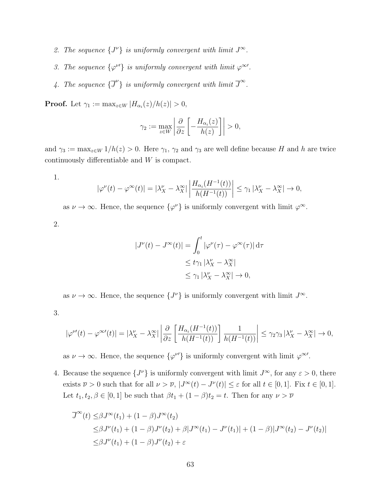- 2. The sequence  $\{J^{\nu}\}\$ is uniformly convergent with limit  $J^{\infty}$ .
- 3. The sequence  $\{\varphi^{\nu\prime}\}\$ is uniformly convergent with limit  $\varphi^{\infty\prime}$ .
- 4. The sequence  $\{\overline{J}^{\nu}\}\$ is uniformly convergent with limit  $\overline{J}^{\infty}$ .

**Proof.** Let  $\gamma_1 := \max_{z \in W} |H_{\alpha_i}(z)/h(z)| > 0$ ,

$$
\gamma_2 := \max_{z \in W} \left| \frac{\partial}{\partial z} \left[ -\frac{H_{\alpha_i}(z)}{h(z)} \right] \right| > 0,
$$

and  $\gamma_3 := \max_{z \in W} 1/h(z) > 0$ . Here  $\gamma_1, \gamma_2$  and  $\gamma_3$  are well define because H and h are twice continuously differentiable and W is compact.

$$
1. \nonumber
$$

$$
\left|\varphi^{\nu}(t)-\varphi^{\infty}(t)\right| = \left|\lambda_X^{\nu} - \lambda_X^{\infty}\right| \left|\frac{H_{\alpha_i}(H^{-1}(t))}{h(H^{-1}(t))}\right| \leq \gamma_1 \left|\lambda_X^{\nu} - \lambda_X^{\infty}\right| \to 0,
$$

as  $\nu \to \infty$ . Hence, the sequence  $\{\varphi^{\nu}\}\$ is uniformly convergent with limit  $\varphi^{\infty}$ .

2.

$$
|J^{\nu}(t) - J^{\infty}(t)| = \int_0^t |\varphi^{\nu}(\tau) - \varphi^{\infty}(\tau)| d\tau
$$
  
\n
$$
\leq t\gamma_1 |\lambda^{\nu}_X - \lambda^{\infty}_X|
$$
  
\n
$$
\leq \gamma_1 |\lambda^{\nu}_X - \lambda^{\infty}_X| \to 0,
$$

as  $\nu \to \infty$ . Hence, the sequence  $\{J^{\nu}\}\$ is uniformly convergent with limit  $J^{\infty}$ .

3.

$$
|\varphi^{\nu\prime}(t)-\varphi^{\infty\prime}(t)|=|\lambda_X^{\nu}-\lambda_X^{\infty}|\left|\frac{\partial}{\partial z}\left[\frac{H_{\alpha_i}(H^{-1}(t))}{h(H^{-1}(t))}\right]\frac{1}{h(H^{-1}(t))}\right|\leq \gamma_2\gamma_3\left|\lambda_X^{\nu}-\lambda_X^{\infty}\right|\to 0,
$$

as  $\nu \to \infty$ . Hence, the sequence  $\{\varphi^{\nu\prime}\}\$ is uniformly convergent with limit  $\varphi^{\infty\prime}$ .

4. Because the sequence  $\{J^{\nu}\}\$ is uniformly convergent with limit  $J^{\infty}$ , for any  $\varepsilon > 0$ , there exists  $\overline{\nu} > 0$  such that for all  $\nu > \overline{\nu}$ ,  $|J^{\infty}(t) - J^{\nu}(t)| \leq \varepsilon$  for all  $t \in [0, 1]$ . Fix  $t \in [0, 1]$ . Let  $t_1, t_2, \beta \in [0, 1]$  be such that  $\beta t_1 + (1 - \beta)t_2 = t$ . Then for any  $\nu > \overline{\nu}$ 

$$
\overline{J}^{\infty}(t) \leq \beta J^{\infty}(t_1) + (1 - \beta)J^{\infty}(t_2)
$$
  
\n
$$
\leq \beta J^{\nu}(t_1) + (1 - \beta)J^{\nu}(t_2) + \beta|J^{\infty}(t_1) - J^{\nu}(t_1)| + (1 - \beta)|J^{\infty}(t_2) - J^{\nu}(t_2)|
$$
  
\n
$$
\leq \beta J^{\nu}(t_1) + (1 - \beta)J^{\nu}(t_2) + \varepsilon
$$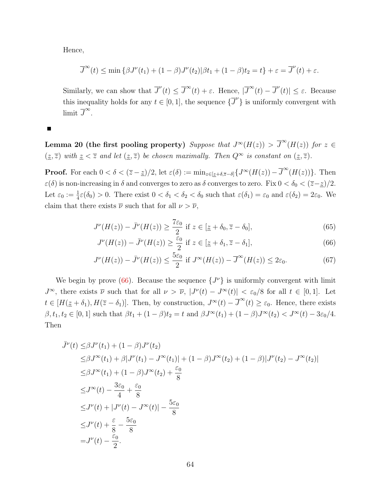Hence,

$$
\overline{J}^{\infty}(t) \le \min\left\{\beta J^{\nu}(t_1) + (1-\beta)J^{\nu}(t_2)|\beta t_1 + (1-\beta)t_2 = t\right\} + \varepsilon = \overline{J}^{\nu}(t) + \varepsilon.
$$

Similarly, we can show that  $\overline{J}^{\nu}(t) \leq \overline{J}^{\infty}(t) + \varepsilon$ . Hence,  $|\overline{J}^{\infty}(t) - \overline{J}^{\nu}(t)| \leq \varepsilon$ . Because this inequality holds for any  $t \in [0, 1]$ , the sequence  $\{\overline{J}^{\nu}\}\$ is uniformly convergent with limit  $\overline{J}^{\infty}$ .

<span id="page-64-0"></span>П

**Lemma 20 (the first pooling property)** Suppose that  $J^{\infty}(H(z)) > \overline{J}^{\infty}(H(z))$  for  $z \in$  $(\underline{z}, \overline{z})$  with  $\underline{z} < \overline{z}$  and let  $(\underline{z}, \overline{z})$  be chosen maximally. Then  $Q^{\infty}$  is constant on  $(\underline{z}, \overline{z})$ .

**Proof.** For each  $0 < \delta < (\overline{z} - \underline{z})/2$ , let  $\varepsilon(\delta) := \min_{z \in [\underline{z} + \delta, \overline{z} - \delta]} \{ J^{\infty}(H(z)) - \overline{J}^{\infty}(H(z)) \}$ . Then  $\varepsilon(\delta)$  is non-increasing in  $\delta$  and converges to zero as  $\delta$  converges to zero. Fix  $0 < \delta_0 < (\overline{z}-\underline{z})/2$ . Let  $\varepsilon_0 := \frac{1}{4}\varepsilon(\delta_0) > 0$ . There exist  $0 < \delta_1 < \delta_2 < \delta_0$  such that  $\varepsilon(\delta_1) = \varepsilon_0$  and  $\varepsilon(\delta_2) = 2\varepsilon_0$ . We claim that there exists  $\overline{\nu}$  such that for all  $\nu > \overline{\nu}$ ,

$$
J^{\nu}(H(z)) - \bar{J}^{\nu}(H(z)) \ge \frac{7\varepsilon_0}{2} \text{ if } z \in [\underline{z} + \delta_0, \overline{z} - \delta_0],\tag{65}
$$

<span id="page-64-3"></span><span id="page-64-2"></span><span id="page-64-1"></span>
$$
J^{\nu}(H(z)) - \bar{J}^{\nu}(H(z)) \ge \frac{\bar{\varepsilon}_0}{2} \text{ if } z \in [\underline{z} + \delta_1, \overline{z} - \delta_1],\tag{66}
$$

$$
J^{\nu}(H(z)) - \bar{J}^{\nu}(H(z)) \le \frac{5\varepsilon_0}{2} \text{ if } J^{\infty}(H(z)) - \bar{J}^{\infty}(H(z)) \le 2\varepsilon_0. \tag{67}
$$

We begin by prove [\(66\)](#page-64-1). Because the sequence  $\{J^{\nu}\}\$ is uniformly convergent with limit  $J^{\infty}$ , there exists  $\overline{\nu}$  such that for all  $\nu > \overline{\nu}$ ,  $|J^{\nu}(t) - J^{\infty}(t)| < \varepsilon_0/8$  for all  $t \in [0,1]$ . Let  $t \in [H(\underline{z}+\delta_1), H(\overline{z}-\delta_1)].$  Then, by construction,  $J^{\infty}(t) - \overline{J}^{\infty}(t) \geq \varepsilon_0$ . Hence, there exists  $\beta, t_1, t_2 \in [0, 1]$  such that  $\beta t_1 + (1 - \beta)t_2 = t$  and  $\beta J^{\infty}(t_1) + (1 - \beta)J^{\infty}(t_2) < J^{\infty}(t) - 3\varepsilon_0/4$ . Then

$$
\bar{J}^{\nu}(t) \leq \beta J^{\nu}(t_1) + (1 - \beta)J^{\nu}(t_2)
$$
\n
$$
\leq \beta J^{\infty}(t_1) + \beta |J^{\nu}(t_1) - J^{\infty}(t_1)| + (1 - \beta)J^{\infty}(t_2) + (1 - \beta)|J^{\nu}(t_2) - J^{\infty}(t_2)|
$$
\n
$$
\leq \beta J^{\infty}(t_1) + (1 - \beta)J^{\infty}(t_2) + \frac{\varepsilon_0}{8}
$$
\n
$$
\leq J^{\infty}(t) - \frac{3\varepsilon_0}{4} + \frac{\varepsilon_0}{8}
$$
\n
$$
\leq J^{\nu}(t) + |J^{\nu}(t) - J^{\infty}(t)| - \frac{5\varepsilon_0}{8}
$$
\n
$$
\leq J^{\nu}(t) + \frac{\varepsilon}{8} - \frac{5\varepsilon_0}{8}
$$
\n
$$
= J^{\nu}(t) - \frac{\varepsilon_0}{2}.
$$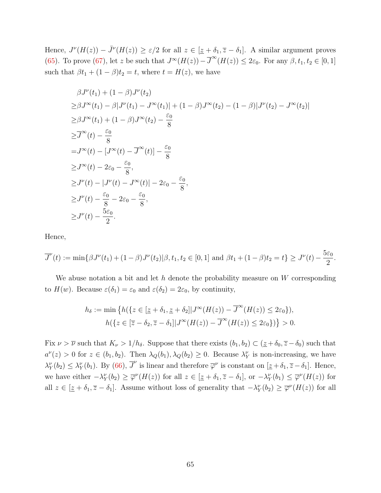Hence,  $J^{\nu}(H(z)) - \bar{J}^{\nu}(H(z)) \ge \varepsilon/2$  for all  $z \in [z + \delta_1, \overline{z} - \delta_1]$ . A similar argument proves [\(65\)](#page-64-2). To prove [\(67\)](#page-64-3), let z be such that  $J^{\infty}(H(z)) - \overline{J}^{\infty}(H(z)) \leq 2\varepsilon_0$ . For any  $\beta, t_1, t_2 \in [0, 1]$ such that  $\beta t_1 + (1 - \beta)t_2 = t$ , where  $t = H(z)$ , we have

$$
\beta J^{\nu}(t_1) + (1 - \beta)J^{\nu}(t_2)
$$
  
\n
$$
\geq \beta J^{\infty}(t_1) - \beta |J^{\nu}(t_1) - J^{\infty}(t_1)| + (1 - \beta)J^{\infty}(t_2) - (1 - \beta)|J^{\nu}(t_2) - J^{\infty}(t_2)|
$$
  
\n
$$
\geq \beta J^{\infty}(t_1) + (1 - \beta)J^{\infty}(t_2) - \frac{\varepsilon_0}{8}
$$
  
\n
$$
\geq J^{\infty}(t) - \frac{\varepsilon_0}{8}
$$
  
\n
$$
= J^{\infty}(t) - [J^{\infty}(t) - \overline{J}^{\infty}(t)] - \frac{\varepsilon_0}{8}
$$
  
\n
$$
\geq J^{\infty}(t) - 2\varepsilon_0 - \frac{\varepsilon_0}{8},
$$
  
\n
$$
\geq J^{\nu}(t) - |J^{\nu}(t) - J^{\infty}(t)| - 2\varepsilon_0 - \frac{\varepsilon_0}{8},
$$
  
\n
$$
\geq J^{\nu}(t) - \frac{\varepsilon_0}{8} - 2\varepsilon_0 - \frac{\varepsilon_0}{8},
$$
  
\n
$$
\geq J^{\nu}(t) - \frac{5\varepsilon_0}{2}.
$$

Hence,

$$
\overline{J}^{\nu}(t) := \min\{\beta J^{\nu}(t_1) + (1-\beta)J^{\nu}(t_2)|\beta, t_1, t_2 \in [0,1] \text{ and } \beta t_1 + (1-\beta)t_2 = t\} \ge J^{\nu}(t) - \frac{5\varepsilon_0}{2}.
$$

We abuse notation a bit and let h denote the probability measure on  $W$  corresponding to  $H(w)$ . Because  $\varepsilon(\delta_1) = \varepsilon_0$  and  $\varepsilon(\delta_2) = 2\varepsilon_0$ , by continuity,

$$
h_{\delta} := \min \left\{ h(\{z \in [\underline{z} + \delta_1, \underline{z} + \delta_2] | J^{\infty}(H(z)) - \overline{J}^{\infty}(H(z)) \le 2\varepsilon_0 \},\right. \\ h(\{z \in [\overline{z} - \delta_2, \overline{z} - \delta_1] | J^{\infty}(H(z)) - \overline{J}^{\infty}(H(z)) \le 2\varepsilon_0 \} ) \right\} > 0.
$$

Fix  $\nu > \overline{\nu}$  such that  $K_{\nu} > 1/h_{\delta}$ . Suppose that there exists  $(b_1, b_2) \subset (\underline{z} + \delta_0, \overline{z} - \delta_0)$  such that  $a^{\nu}(z) > 0$  for  $z \in (b_1, b_2)$ . Then  $\lambda_Q(b_1), \lambda_Q(b_2) \geq 0$ . Because  $\lambda_Y^{\nu}$  is non-increasing, we have  $\lambda_Y^{\nu}(b_2) \leq \lambda_Y^{\nu}(b_1)$ . By [\(66\)](#page-64-1),  $\overline{J}^{\nu}$  is linear and therefore  $\overline{\varphi}^{\nu}$  is constant on  $[\underline{z} + \delta_1, \overline{z} - \delta_1]$ . Hence, we have either  $-\lambda_Y^{\nu}(b_2) \geq \overline{\varphi}^{\nu}(H(z))$  for all  $z \in [\underline{z} + \delta_1, \overline{z} - \delta_1]$ , or  $-\lambda_Y^{\nu}(b_1) \leq \overline{\varphi}^{\nu}(H(z))$  for all  $z \in [\underline{z} + \delta_1, \overline{z} - \delta_1]$ . Assume without loss of generality that  $-\lambda_Y^{\nu}(b_2) \geq \overline{\varphi}^{\nu}(H(z))$  for all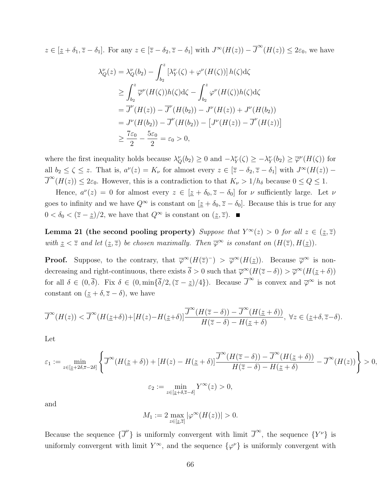$z \in [\underline{z} + \delta_1, \overline{z} - \delta_1]$ . For any  $z \in [\overline{z} - \delta_2, \overline{z} - \delta_1]$  with  $J^{\infty}(H(z)) - \overline{J}^{\infty}(H(z)) \leq 2\varepsilon_0$ , we have

$$
\lambda_Q^{\nu}(z) = \lambda_Q^{\nu}(b_2) - \int_{b_2}^{z} \left[\lambda_Y^{\nu}(\zeta) + \varphi^{\nu}(H(\zeta))\right] h(\zeta) d\zeta
$$
  
\n
$$
\geq \int_{b_2}^{z} \overline{\varphi}^{\nu}(H(\zeta))h(\zeta) d\zeta - \int_{b_2}^{z} \varphi^{\nu}(H(\zeta))h(\zeta) d\zeta
$$
  
\n
$$
= \overline{J}^{\nu}(H(z)) - \overline{J}^{\nu}(H(b_2)) - J^{\nu}(H(z)) + J^{\nu}(H(b_2))
$$
  
\n
$$
= J^{\nu}(H(b_2)) - \overline{J}^{\nu}(H(b_2)) - \left[J^{\nu}(H(z)) - \overline{J}^{\nu}(H(z))\right]
$$
  
\n
$$
\geq \frac{7\varepsilon_0}{2} - \frac{5\varepsilon_0}{2} = \varepsilon_0 > 0,
$$

where the first inequality holds because  $\lambda^{\nu}_Q(b_2) \geq 0$  and  $-\lambda^{\nu}_Y(\zeta) \geq -\lambda^{\nu}_Y(b_2) \geq \overline{\varphi}^{\nu}(H(\zeta))$  for all  $b_2 \leq \zeta \leq z$ . That is,  $a^{\nu}(z) = K_{\nu}$  for almost every  $z \in [\overline{z} - \delta_2, \overline{z} - \delta_1]$  with  $J^{\infty}(H(z))$  –  $\overline{J}^{\infty}(H(z)) \leq 2\varepsilon_0$ . However, this is a contradiction to that  $K_{\nu} > 1/h_{\delta}$  because  $0 \leq Q \leq 1$ .

Hence,  $a^{\nu}(z) = 0$  for almost every  $z \in [z + \delta_0, \overline{z} - \delta_0]$  for  $\nu$  sufficiently large. Let  $\nu$ goes to infinity and we have  $Q^{\infty}$  is constant on  $[\underline{z} + \delta_0, \overline{z} - \delta_0]$ . Because this is true for any  $0 < \delta_0 < (\overline{z} - \underline{z})/2$ , we have that  $Q^{\infty}$  is constant on  $(\underline{z}, \overline{z})$ .

<span id="page-66-0"></span>**Lemma 21 (the second pooling property)** Suppose that  $Y^{\infty}(z) > 0$  for all  $z \in (\underline{z}, \overline{z})$ with  $\underline{z} < \overline{z}$  and let  $(\underline{z}, \overline{z})$  be chosen maximally. Then  $\overline{\varphi}^{\infty}$  is constant on  $(H(\overline{z}), H(\underline{z}))$ .

**Proof.** Suppose, to the contrary, that  $\overline{\varphi}^{\infty}(H(\overline{z})^{-}) > \overline{\varphi}^{\infty}(H(\underline{z}))$ . Because  $\overline{\varphi}^{\infty}$  is nondecreasing and right-continuous, there exists  $\overline{\delta} > 0$  such that  $\overline{\varphi}^{\infty}(H(\overline{z}-\delta)) > \overline{\varphi}^{\infty}(H(\underline{z}+\delta))$ for all  $\delta \in (0, \overline{\delta})$ . Fix  $\delta \in (0, \min{\{\overline{\delta}/2, (\overline{z}-\underline{z})/4\}})$ . Because  $\overline{J}^{\infty}$  is convex and  $\overline{\varphi}^{\infty}$  is not constant on  $(\underline{z} + \delta, \overline{z} - \delta)$ , we have

$$
\overline{J}^{\infty}(H(z)) < \overline{J}^{\infty}(H(\underline{z}+\delta)) + [H(z) - H(\underline{z}+\delta)] \frac{\overline{J}^{\infty}(H(\overline{z}-\delta)) - \overline{J}^{\infty}(H(\underline{z}+\delta))}{H(\overline{z}-\delta) - H(\underline{z}+\delta)}, \ \forall z \in (\underline{z}+\delta, \overline{z}-\delta).
$$

Let

$$
\varepsilon_1 := \min_{z \in [z+2\delta, \overline{z}-2\delta]} \left\{ \overline{J}^{\infty} (H(\underline{z}+\delta)) + [H(z) - H(\underline{z}+\delta)] \frac{\overline{J}^{\infty} (H(\overline{z}-\delta)) - \overline{J}^{\infty} (H(\underline{z}+\delta))}{H(\overline{z}-\delta) - H(\underline{z}+\delta)} - \overline{J}^{\infty} (H(z)) \right\} > 0,
$$
  

$$
\varepsilon_2 := \min_{z \in [z+\delta, \overline{z}-\delta]} Y^{\infty}(z) > 0,
$$

and

$$
M_1 := 2 \max_{z \in [z,\overline{z}]} |\varphi^{\infty}(H(z))| > 0.
$$

Because the sequence  $\{\overline{J}^{\nu}\}\$ is uniformly convergent with limit  $\overline{J}^{\infty}$ , the sequence  $\{Y^{\nu}\}\$ is uniformly convergent with limit  $Y^{\infty}$ , and the sequence  $\{\varphi^{\nu}\}\$ is uniformly convergent with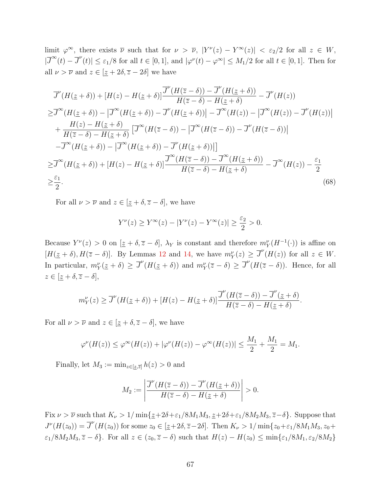limit  $\varphi^{\infty}$ , there exists  $\overline{\nu}$  such that for  $\nu > \overline{\nu}$ ,  $|Y^{\nu}(z) - Y^{\infty}(z)| < \varepsilon_2/2$  for all  $z \in W$ ,  $|\overline{J}^{\infty}(t) - \overline{J}^{\nu}(t)| \leq \varepsilon_1/8$  for all  $t \in [0,1]$ , and  $|\varphi^{\nu}(t) - \varphi^{\infty}| \leq M_1/2$  for all  $t \in [0,1]$ . Then for all  $\nu > \overline{\nu}$  and  $z \in [\underline{z} + 2\delta, \overline{z} - 2\delta]$  we have

$$
\overline{J}^{\nu}(H(\underline{z}+\delta)) + [H(z) - H(\underline{z}+\delta)] \frac{\overline{J}^{\nu}(H(\overline{z}-\delta)) - \overline{J}^{\nu}(H(\underline{z}+\delta))}{H(\overline{z}-\delta) - H(\underline{z}+\delta)} - \overline{J}^{\nu}(H(z))
$$
\n
$$
\geq \overline{J}^{\infty}(H(\underline{z}+\delta)) - |\overline{J}^{\infty}(H(\underline{z}+\delta)) - \overline{J}^{\nu}(H(\underline{z}+\delta))| - \overline{J}^{\infty}(H(z)) - |\overline{J}^{\infty}(H(z)) - \overline{J}^{\nu}(H(z))|
$$
\n
$$
+ \frac{H(z) - H(\underline{z}+\delta)}{H(\overline{z}-\delta) - H(\underline{z}+\delta)} [\overline{J}^{\infty}(H(\overline{z}-\delta)) - |\overline{J}^{\infty}(H(\overline{z}-\delta)) - \overline{J}^{\nu}(H(\overline{z}-\delta))|
$$
\n
$$
- \overline{J}^{\infty}(H(\underline{z}+\delta)) - |\overline{J}^{\infty}(H(\underline{z}+\delta)) - \overline{J}^{\nu}(H(\underline{z}+\delta))|]
$$
\n
$$
\geq \overline{J}^{\infty}(H(\underline{z}+\delta)) + [H(z) - H(\underline{z}+\delta)] \frac{\overline{J}^{\infty}(H(\overline{z}-\delta)) - \overline{J}^{\infty}(H(\underline{z}+\delta))}{H(\overline{z}-\delta) - H(\underline{z}+\delta)} - \overline{J}^{\infty}(H(z)) - \frac{\varepsilon_{1}}{2}
$$
\n
$$
\geq \frac{\varepsilon_{1}}{2}.
$$
\n(68)

For all  $\nu > \overline{\nu}$  and  $z \in [\underline{z} + \delta, \overline{z} - \delta]$ , we have

<span id="page-67-0"></span>
$$
Y^{\nu}(z) \ge Y^{\infty}(z) - |Y^{\nu}(z) - Y^{\infty}(z)| \ge \frac{\varepsilon_2}{2} > 0.
$$

Because  $Y^{\nu}(z) > 0$  on  $[\underline{z} + \delta, \overline{z} - \delta], \lambda_{Y}$  is constant and therefore  $m_{Y}^{\nu}(H^{-1}(\cdot))$  is affine on  $[H(\underline{z}+\delta), H(\overline{z}-\delta)].$  By Lemmas [12](#page-57-4) and [14,](#page-59-0) we have  $m_Y^{\nu}(z) \geq \overline{J}^{\nu}(H(z))$  for all  $z \in W$ . In particular,  $m_Y^{\nu}(\underline{z}+\delta) \geq \overline{J}^{\nu}(H(\underline{z}+\delta))$  and  $m_Y^{\nu}(\overline{z}-\delta) \geq \overline{J}^{\nu}(H(\overline{z}-\delta))$ . Hence, for all  $z \in [\underline{z} + \delta, \overline{z} - \delta],$ 

$$
m_Y^{\nu}(z) \ge \overline{J}^{\nu}(H(\underline{z}+\delta)) + [H(z) - H(\underline{z}+\delta)] \frac{\overline{J}^{\nu}(H(\overline{z}-\delta)) - \overline{J}^{\nu}(\underline{z}+\delta)}{H(\overline{z}-\delta) - H(\underline{z}+\delta)}.
$$

For all  $\nu > \overline{\nu}$  and  $z \in [\underline{z} + \delta, \overline{z} - \delta]$ , we have

$$
\varphi^{\nu}(H(z)) \leq \varphi^{\infty}(H(z)) + |\varphi^{\nu}(H(z)) - \varphi^{\infty}(H(z))| \leq \frac{M_1}{2} + \frac{M_1}{2} = M_1.
$$

Finally, let  $M_3 := \min_{z \in [z, \overline{z}]} h(z) > 0$  and

$$
M_2 := \left| \frac{\overline{J}^{\nu}(H(\overline{z} - \delta)) - \overline{J}^{\nu}(H(\underline{z} + \delta))}{H(\overline{z} - \delta) - H(\underline{z} + \delta)} \right| > 0.
$$

Fix  $\nu > \overline{\nu}$  such that  $K_{\nu} > 1/\min\{\underline{z}+2\delta+\epsilon_1/8M_1M_3,\underline{z}+2\delta+\epsilon_1/8M_2M_3,\overline{z}-\delta\}$ . Suppose that  $J^{\nu}(H(z_0)) = \overline{J}^{\nu}(H(z_0))$  for some  $z_0 \in [\underline{z}+2\delta, \overline{z}-2\delta]$ . Then  $K_{\nu} > 1/\min\{z_0 + \varepsilon_1/8M_1M_3, z_0 +$  $\varepsilon_1/8M_2M_3, \overline{z} - \delta$ . For all  $z \in (z_0, \overline{z} - \delta)$  such that  $H(z) - H(z_0) \le \min\{\varepsilon_1/8M_1, \varepsilon_2/8M_2\}$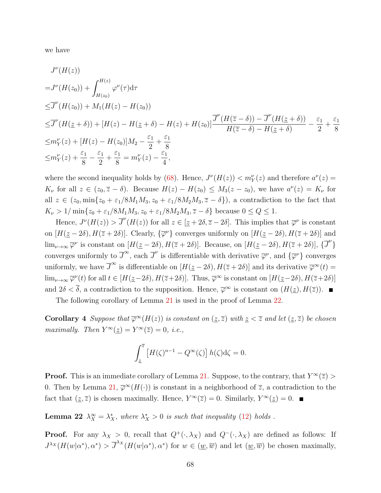we have

$$
J^{\nu}(H(z))
$$
  
\n
$$
=J^{\nu}(H(z_0)) + \int_{H(z_0)}^{H(z)} \varphi^{\nu}(\tau) d\tau
$$
  
\n
$$
\leq J^{\nu}(H(z_0)) + M_1(H(z) - H(z_0))
$$
  
\n
$$
\leq J^{\nu}(H(\underline{z} + \delta)) + [H(z) - H(\underline{z} + \delta) - H(z) + H(z_0)] \frac{J^{\nu}(H(\overline{z} - \delta)) - J^{\nu}(H(\underline{z} + \delta))}{H(\overline{z} - \delta) - H(\underline{z} + \delta)} - \frac{\varepsilon_1}{2} + \frac{\varepsilon_1}{8}
$$
  
\n
$$
\leq m_Y^{\nu}(z) + [H(z) - H(z_0)]M_2 - \frac{\varepsilon_1}{2} + \frac{\varepsilon_1}{8}
$$
  
\n
$$
\leq m_Y^{\nu}(z) + \frac{\varepsilon_1}{8} - \frac{\varepsilon_1}{2} + \frac{\varepsilon_1}{8} = m_Y^{\nu}(z) - \frac{\varepsilon_1}{4},
$$

where the second inequality holds by [\(68\)](#page-67-0). Hence,  $J^{\nu}(H(z)) < m_Y^{\nu}(z)$  and therefore  $a^{\nu}(z) =$  $K_{\nu}$  for all  $z \in (z_0, \overline{z} - \delta)$ . Because  $H(z) - H(z_0) \leq M_3(z - z_0)$ , we have  $a^{\nu}(z) = K_{\nu}$  for all  $z \in (z_0, \min\{z_0 + \varepsilon_1/8M_1M_3, z_0 + \varepsilon_1/8M_2M_3, \overline{z} - \delta\})$ , a contradiction to the fact that  $K_{\nu} > 1/\min\{z_0 + \varepsilon_1/8M_1M_3, z_0 + \varepsilon_1/8M_2M_3, \overline{z} - \delta\}$  because  $0 \le Q \le 1$ .

Hence,  $J^{\nu}(H(z)) > \overline{J}^{\nu}(H(z))$  for all  $z \in [\underline{z} + 2\delta, \overline{z} - 2\delta]$ . This implies that  $\overline{\varphi}^{\nu}$  is constant on  $[H(\underline{z}-2\delta), H(\overline{z}+2\delta)]$ . Clearly,  $\{\overline{\varphi}^{\nu}\}\$ converges uniformly on  $[H(\underline{z}-2\delta), H(\overline{z}+2\delta)]$  and  $\lim_{\nu\to\infty}\overline{\varphi}^{\nu}$  is constant on  $[H(\underline{z}-2\delta),H(\overline{z}+2\delta)].$  Because, on  $[H(\underline{z}-2\delta),H(\overline{z}+2\delta)], \{\overline{J}^{\nu}\}\$ converges uniformly to  $\overline{J}^{\infty}$ , each  $\overline{J}^{\nu}$  is differentiable with derivative  $\overline{\varphi}^{\nu}$ , and  $\{\overline{\varphi}^{\nu}\}$  converges uniformly, we have  $\overline{J}^{\infty}$  is differentiable on  $[H(\underline{z}-2\delta), H(\overline{z}+2\delta)]$  and its derivative  $\overline{\varphi}^{\infty}(t)$  $\lim_{\nu\to\infty}\overline{\varphi}^{\nu}(t)$  for all  $t\in[H(\underline{z}-2\delta),H(\overline{z}+2\delta)]$ . Thus,  $\overline{\varphi}^{\infty}$  is constant on  $[H(\underline{z}-2\delta),H(\overline{z}+2\delta)]$ and  $2\delta < \overline{\delta}$ , a contradiction to the supposition. Hence,  $\overline{\varphi}^{\infty}$  is constant on  $(H(\underline{z}), H(\overline{z}))$ .

The following corollary of Lemma [21](#page-66-0) is used in the proof of Lemma [22.](#page-68-0)

<span id="page-68-1"></span>**Corollary 4** Suppose that  $\overline{\varphi}^{\infty}(H(z))$  is constant on  $(\underline{z}, \overline{z})$  with  $\underline{z} < \overline{z}$  and let  $(\underline{z}, \overline{z})$  be chosen maximally. Then  $Y^{\infty}(\underline{z}) = Y^{\infty}(\overline{z}) = 0$ , *i.e.*,

$$
\int_{\underline{z}}^{\overline{z}} \left[ H(\zeta)^{n-1} - Q^{\infty}(\zeta) \right] h(\zeta) d\zeta = 0.
$$

**Proof.** This is an immediate corollary of Lemma [21.](#page-66-0) Suppose, to the contrary, that  $Y^{\infty}(\overline{z})$ 0. Then by Lemma [21,](#page-66-0)  $\overline{\varphi}^{\infty}(H(\cdot))$  is constant in a neighborhood of  $\overline{z}$ , a contradiction to the fact that  $(\underline{z}, \overline{z})$  is chosen maximally. Hence,  $Y^{\infty}(\overline{z}) = 0$ . Similarly,  $Y^{\infty}(\underline{z}) = 0$ .

<span id="page-68-0"></span>**Lemma 22**  $\lambda_X^{\infty} = \lambda_X^*$ , where  $\lambda_X^* > 0$  is such that inequality [\(12\)](#page-25-0) holds.

**Proof.** For any  $\lambda_X > 0$ , recall that  $Q^+(\cdot, \lambda_X)$  and  $Q^-(\cdot, \lambda_X)$  are defined as follows: If  $J^{\lambda_X}(H(w|\alpha^*), \alpha^*) > \overline{J}^{\lambda_X}(H(w|\alpha^*), \alpha^*)$  for  $w \in (\underline{w}, \overline{w})$  and let  $(\underline{w}, \overline{w})$  be chosen maximally,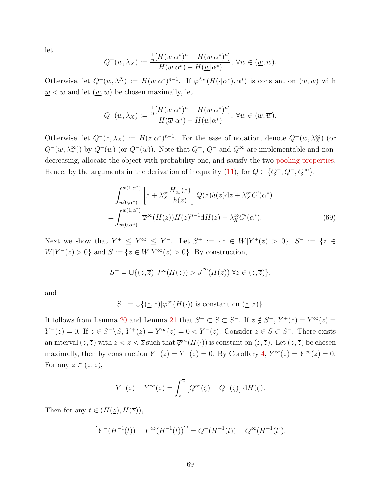let

$$
Q^+(w, \lambda_X) := \frac{\frac{1}{n}[H(\overline{w}|\alpha^*)^n - H(\underline{w}|\alpha^*)^n]}{H(\overline{w}|\alpha^*) - H(\underline{w}|\alpha^*)}, \ \forall w \in (\underline{w}, \overline{w}).
$$

Otherwise, let  $Q^+(w, \lambda^X) := H(w|\alpha^*)^{n-1}$ . If  $\overline{\varphi}^{\lambda_X}(H(\cdot|\alpha^*), \alpha^*)$  is constant on  $(\underline{w}, \overline{w})$  with  $w < \overline{w}$  and let  $(w, \overline{w})$  be chosen maximally, let

$$
Q^{-}(w,\lambda_{X}) := \frac{\frac{1}{n}[H(\overline{w}|\alpha^{*})^{n} - H(\underline{w}|\alpha^{*})^{n}]}{H(\overline{w}|\alpha^{*}) - H(\underline{w}|\alpha^{*})}, \ \forall w \in (\underline{w}, \overline{w}).
$$

Otherwise, let  $Q^-(z,\lambda_X) := H(z|\alpha^*)^{n-1}$ . For the ease of notation, denote  $Q^+(w,\lambda_X^{\infty})$  (or  $Q^-(w, \lambda_x^{\infty})$  by  $Q^+(w)$  (or  $Q^-(w)$ ). Note that  $Q^+, Q^-$  and  $Q^{\infty}$  are implementable and nondecreasing, allocate the object with probability one, and satisfy the two [pooling properties.](#page-24-1) Hence, by the arguments in the derivation of inequality [\(11\)](#page-24-0), for  $Q \in \{Q^+, Q^-, Q^{\infty}\},$ 

<span id="page-69-0"></span>
$$
\int_{w(0,\alpha^*)}^{w(1,\alpha^*)} \left[ z + \lambda_X^{\infty} \frac{H_{\alpha_i}(z)}{h(z)} \right] Q(z)h(z)dz + \lambda_X^{\infty} C'(\alpha^*)
$$
  
= 
$$
\int_{w(0,\alpha^*)}^{w(1,\alpha^*)} \overline{\varphi}^{\infty}(H(z))H(z)^{n-1} dH(z) + \lambda_X^{\infty} C'(\alpha^*).
$$
 (69)

Next we show that  $Y^+ \leq Y^{\infty} \leq Y^-$ . Let  $S^+ := \{z \in W | Y^+(z) > 0\}$ ,  $S^- := \{z \in W | Y^+(z) > 0\}$  $W|Y^{-}(z) > 0$ } and  $S := \{z \in W|Y^{\infty}(z) > 0\}$ . By construction,

$$
S^+ = \cup \{(\underline{z}, \overline{z}) | J^{\infty}(H(z)) > \overline{J}^{\infty}(H(z)) \ \forall z \in (\underline{z}, \overline{z})\},
$$

and

$$
S^{-} = \cup \{(\underline{z}, \overline{z}) | \overline{\varphi}^{\infty}(H(\cdot)) \text{ is constant on } (\underline{z}, \overline{z})\}.
$$

It follows from Lemma [20](#page-64-0) and Lemma [21](#page-66-0) that  $S^+ \subset S \subset S^-$ . If  $z \notin S^-$ ,  $Y^+(z) = Y^{\infty}(z) =$  $Y^-(z) = 0$ . If  $z \in S^- \backslash S$ ,  $Y^+(z) = Y^{\infty}(z) = 0 < Y^-(z)$ . Consider  $z \in S \subset S^-$ . There exists an interval  $(\underline{z}, \overline{z})$  with  $\underline{z} < z < \overline{z}$  such that  $\overline{\varphi}^{\infty}(H(\cdot))$  is constant on  $(\underline{z}, \overline{z})$ . Let  $(\underline{z}, \overline{z})$  be chosen maximally, then by construction  $Y^{-}(\overline{z}) = Y^{-}(\underline{z}) = 0$ . By Corollary [4,](#page-68-1)  $Y^{\infty}(\overline{z}) = Y^{\infty}(\underline{z}) = 0$ . For any  $z \in (\underline{z}, \overline{z}),$ 

$$
Y^-(z) - Y^{\infty}(z) = \int_z^{\overline{z}} \left[ Q^{\infty}(\zeta) - Q^-(\zeta) \right] dH(\zeta).
$$

Then for any  $t \in (H(\underline{z}), H(\overline{z})),$ 

$$
[Y^-(H^{-1}(t)) - Y^{\infty}(H^{-1}(t))]' = Q^-(H^{-1}(t)) - Q^{\infty}(H^{-1}(t)),
$$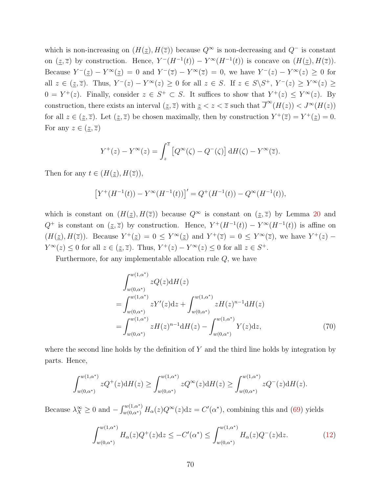which is non-increasing on  $(H(\underline{z}), H(\overline{z}))$  because  $Q^{\infty}$  is non-decreasing and  $Q^{-}$  is constant on  $(\underline{z}, \overline{z})$  by construction. Hence,  $Y^-(H^{-1}(t)) - Y^{\infty}(H^{-1}(t))$  is concave on  $(H(\underline{z}), H(\overline{z}))$ . Because  $Y^{-}(\underline{z}) - Y^{\infty}(\underline{z}) = 0$  and  $Y^{-}(\overline{z}) - Y^{\infty}(\overline{z}) = 0$ , we have  $Y^{-}(z) - Y^{\infty}(z) \geq 0$  for all  $z \in (\underline{z}, \overline{z})$ . Thus,  $Y^{-}(z) - Y^{\infty}(z) \ge 0$  for all  $z \in S$ . If  $z \in S \backslash S^{+}$ ,  $Y^{-}(z) \ge Y^{\infty}(z) \ge$  $0 = Y^+(z)$ . Finally, consider  $z \in S^+ \subset S$ . It suffices to show that  $Y^+(z) \le Y^{\infty}(z)$ . By construction, there exists an interval  $(\underline{z}, \overline{z})$  with  $\underline{z} < z < \overline{z}$  such that  $\overline{J}^{\infty}(H(z)) < J^{\infty}(H(z))$ for all  $z \in (\underline{z}, \overline{z})$ . Let  $(\underline{z}, \overline{z})$  be chosen maximally, then by construction  $Y^+(\overline{z}) = Y^+(\underline{z}) = 0$ . For any  $z \in (\underline{z}, \overline{z})$ 

$$
Y^+(z) - Y^{\infty}(z) = \int_z^{\overline{z}} \left[ Q^{\infty}(\zeta) - Q^-(\zeta) \right] dH(\zeta) - Y^{\infty}(\overline{z}).
$$

Then for any  $t \in (H(\underline{z}), H(\overline{z})),$ 

$$
[Y^+(H^{-1}(t)) - Y^{\infty}(H^{-1}(t))]' = Q^+(H^{-1}(t)) - Q^{\infty}(H^{-1}(t)),
$$

which is constant on  $(H(z), H(\overline{z}))$  because  $Q^{\infty}$  is constant on  $(z, \overline{z})$  by Lemma [20](#page-64-0) and  $Q^+$  is constant on  $(\underline{z}, \overline{z})$  by construction. Hence,  $Y^+(H^{-1}(t)) - Y^{\infty}(H^{-1}(t))$  is affine on  $(H(\underline{z}), H(\overline{z}))$ . Because  $Y^+(\underline{z}) = 0 \leq Y^{\infty}(\underline{z})$  and  $Y^+(\overline{z}) = 0 \leq Y^{\infty}(\overline{z})$ , we have  $Y^+(z)$  $Y^{\infty}(z) \leq 0$  for all  $z \in (\underline{z}, \overline{z})$ . Thus,  $Y^{+}(z) - Y^{\infty}(z) \leq 0$  for all  $z \in S^{+}$ .

Furthermore, for any implementable allocation rule  $Q$ , we have

$$
\int_{w(0,\alpha^*)}^{w(1,\alpha^*)} zQ(z) \mathrm{d}H(z) \n= \int_{w(0,\alpha^*)}^{w(1,\alpha^*)} zY'(z) \mathrm{d}z + \int_{w(0,\alpha^*)}^{w(1,\alpha^*)} zH(z)^{n-1} \mathrm{d}H(z) \n= \int_{w(0,\alpha^*)}^{w(1,\alpha^*)} zH(z)^{n-1} \mathrm{d}H(z) - \int_{w(0,\alpha^*)}^{w(1,\alpha^*)} Y(z) \mathrm{d}z,
$$
\n(70)

where the second line holds by the definition of Y and the third line holds by integration by parts. Hence,

$$
\int_{w(0,\alpha^*)}^{w(1,\alpha^*)} zQ^+(z) \mathrm{d}H(z) \ge \int_{w(0,\alpha^*)}^{w(1,\alpha^*)} zQ^\infty(z) \mathrm{d}H(z) \ge \int_{w(0,\alpha^*)}^{w(1,\alpha^*)} zQ^-(z) \mathrm{d}H(z).
$$

Because  $\lambda_X^{\infty} \geq 0$  and  $-\int_{w(0,\alpha^*)}^{w(1,\alpha^*)} H_{\alpha}(z) Q^{\infty}(z) dz = C'(\alpha^*)$ , combining this and [\(69\)](#page-69-0) yields

$$
\int_{w(0,\alpha^*)}^{w(1,\alpha^*)} H_{\alpha}(z)Q^+(z)dz \le -C'(\alpha^*) \le \int_{w(0,\alpha^*)}^{w(1,\alpha^*)} H_{\alpha}(z)Q^-(z)dz.
$$
 (12)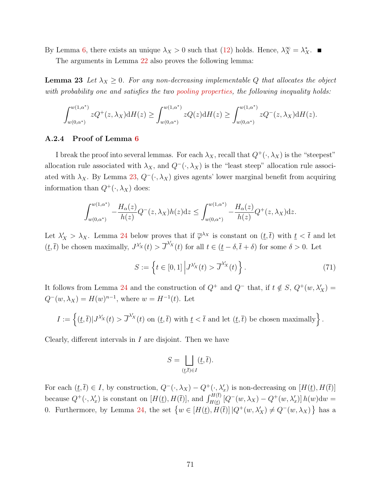By Lemma [6,](#page-26-1) there exists an unique  $\lambda_X > 0$  such that [\(12\)](#page-25-0) holds. Hence,  $\lambda_X^{\infty} = \lambda_X^*$ .

The arguments in Lemma [22](#page-68-0) also proves the following lemma:

<span id="page-71-1"></span>**Lemma 23** Let  $\lambda_X \geq 0$ . For any non-decreasing implementable Q that allocates the object with probability one and satisfies the two [pooling properties,](#page-24-1) the following inequality holds:

$$
\int_{w(0,\alpha^*)}^{w(1,\alpha^*)} zQ^+(z,\lambda_X) dH(z) \ge \int_{w(0,\alpha^*)}^{w(1,\alpha^*)} zQ(z) dH(z) \ge \int_{w(0,\alpha^*)}^{w(1,\alpha^*)} zQ^-(z,\lambda_X) dH(z).
$$

#### <span id="page-71-0"></span>A.2.4 Proof of Lemma [6](#page-26-1)

I break the proof into several lemmas. For each  $\lambda_X$ , recall that  $Q^+(\cdot, \lambda_X)$  is the "steepest" allocation rule associated with  $\lambda_X$ , and  $Q^-(\cdot, \lambda_X)$  is the "least steep" allocation rule associated with  $\lambda_X$ . By Lemma [23,](#page-71-1)  $Q^-(\cdot, \lambda_X)$  gives agents' lower marginal benefit from acquiring information than  $Q^+(\cdot, \lambda_X)$  does:

$$
\int_{w(0,\alpha^*)}^{w(1,\alpha^*)} -\frac{H_\alpha(z)}{h(z)}Q^-(z,\lambda_X)h(z)dz \le \int_{w(0,\alpha^*)}^{w(1,\alpha^*)} -\frac{H_\alpha(z)}{h(z)}Q^+(z,\lambda_X)dz.
$$

Let  $\lambda'_X > \lambda_X$ . Lemma [24](#page-72-0) below proves that if  $\overline{\varphi}^{\lambda_X}$  is constant on  $(\underline{t},\overline{t})$  with  $\underline{t} < \overline{t}$  and let  $(\underline{t},\overline{t})$  be chosen maximally,  $J^{\lambda'}(t) > \overline{J}^{\lambda'}(t)$  for all  $t \in (\underline{t}-\delta,\overline{t}+\delta)$  for some  $\delta > 0$ . Let

$$
S := \left\{ t \in [0, 1] \left| J^{\lambda_X'}(t) > \overline{J}^{\lambda_X'}(t) \right. \right\}.
$$
 (71)

It follows from Lemma [24](#page-72-0) and the construction of  $Q^+$  and  $Q^-$  that, if  $t \notin S$ ,  $Q^+(w, \lambda'_X)$  =  $Q^-(w, \lambda_X) = H(w)^{n-1}$ , where  $w = H^{-1}(t)$ . Let

$$
I := \left\{ (\underline{t}, \overline{t}) | J^{\lambda'_X}(t) > \overline{J}^{\lambda'_X}(t) \text{ on } (\underline{t}, \overline{t}) \text{ with } \underline{t} < \overline{t} \text{ and let } (\underline{t}, \overline{t}) \text{ be chosen maximally} \right\}.
$$

Clearly, different intervals in I are disjoint. Then we have

$$
S = \bigsqcup_{(\underline{t},\overline{t}) \in I} (\underline{t},\overline{t}).
$$

For each  $(\underline{t},\overline{t}) \in I$ , by construction,  $Q^-(\cdot,\lambda_X) - Q^+(\cdot,\lambda'_x)$  is non-decreasing on  $[H(\underline{t}),H(\overline{t})]$ because  $Q^+(\cdot, \lambda_x)$  is constant on  $[H(\underline{t}), H(\overline{t})]$ , and  $\int_{H(\underline{t})}^{H(\overline{t})} [Q^-(w, \lambda_x) - Q^+(w, \lambda_x')] h(w) dw =$ 0. Furthermore, by Lemma [24,](#page-72-0) the set  $\{w \in [H(\underline{t}), H(\overline{t})] | Q^+(w, \lambda_X') \neq Q^-(w, \lambda_X)\}\$  has a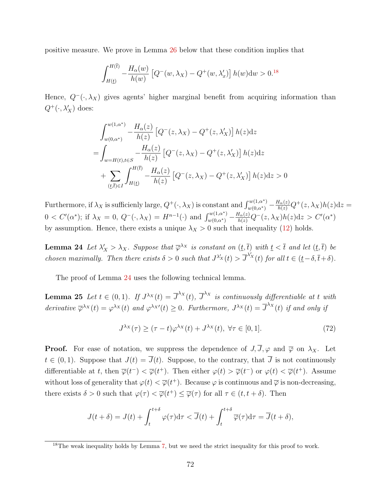positive measure. We prove in Lemma [26](#page-75-0) below that these condition implies that

$$
\int_{H(\underline{t})}^{H(\overline{t})} -\frac{H_{\alpha}(w)}{h(w)} \left[ Q^-(w, \lambda_X) - Q^+(w, \lambda'_x) \right] h(w) \mathrm{d}w > 0.18
$$

Hence,  $Q^{-}(\cdot, \lambda_X)$  gives agents' higher marginal benefit from acquiring information than  $Q^+(\cdot, \lambda'_X)$  does:

$$
\int_{w(0,\alpha^*)}^{w(1,\alpha^*)} -\frac{H_{\alpha}(z)}{h(z)} \left[Q^-(z,\lambda_X) - Q^+(z,\lambda'_X)\right] h(z) dz
$$
  
= 
$$
\int_{w=H(t),t\in S} -\frac{H_{\alpha}(z)}{h(z)} \left[Q^-(z,\lambda_X) - Q^+(z,\lambda'_X)\right] h(z) dz
$$
  
+ 
$$
\sum_{(\underline{t},\overline{t})\in I} \int_{H(\underline{t})}^{H(\overline{t})} -\frac{H_{\alpha}(z)}{h(z)} \left[Q^-(z,\lambda_X) - Q^+(z,\lambda'_X)\right] h(z) dz > 0
$$

Furthermore, if  $\lambda_X$  is sufficienly large,  $Q^+(\cdot,\lambda_X)$  is constant and  $\int_{w(0,\alpha^*)}^{w(1,\alpha^*)} - \frac{H_\alpha(z)}{h(z)}Q^+(z,\lambda_X)h(z)dz =$  $0 < C'(\alpha^*)$ ; if  $\lambda_X = 0$ ,  $Q^-(\cdot, \lambda_X) = H^{n-1}(\cdot)$  and  $\int_{w(0,\alpha^*)}^{w(1,\alpha^*)} - \frac{H_{\alpha}(z)}{h(z)}Q^-(z,\lambda_X)h(z)dz > C'(\alpha^*)$ by assumption. Hence, there exists a unique  $\lambda_X > 0$  such that inequality [\(12\)](#page-25-0) holds.

<span id="page-72-1"></span>**Lemma 24** Let  $\lambda'_X > \lambda_X$ . Suppose that  $\overline{\varphi}^{\lambda_X}$  is constant on  $(\underline{t},\overline{t})$  with  $\underline{t} < \overline{t}$  and let  $(\underline{t},\overline{t})$  be chosen maximally. Then there exists  $\delta > 0$  such that  $J^{\lambda'}(t) > \overline{J}^{\lambda'}(t)$  for all  $t \in (\underline{t} - \delta, \overline{t} + \delta)$ .

The proof of Lemma [24](#page-72-1) uses the following technical lemma.

<span id="page-72-3"></span>**Lemma 25** Let  $t \in (0,1)$ . If  $J^{\lambda_X}(t) = \overline{J}^{\lambda_X}(t)$ ,  $\overline{J}^{\lambda_X}$  is continuously differentiable at t with derivative  $\overline{\varphi}^{\lambda_X}(t) = \varphi^{\lambda_X}(t)$  and  $\varphi^{\lambda_X}(t) \geq 0$ . Furthermore,  $J^{\lambda_X}(t) = \overline{J}^{\lambda_X}(t)$  if and only if

<span id="page-72-2"></span>
$$
J^{\lambda_X}(\tau) \ge (\tau - t)\varphi^{\lambda_X}(t) + J^{\lambda_X}(t), \ \forall \tau \in [0, 1]. \tag{72}
$$

**Proof.** For ease of notation, we suppress the dependence of  $J, \overline{J}, \varphi$  and  $\overline{\varphi}$  on  $\lambda_X$ . Let  $t \in (0,1)$ . Suppose that  $J(t) = \overline{J}(t)$ . Suppose, to the contrary, that  $\overline{J}$  is not continuously differentiable at t, then  $\overline{\varphi}(t^-) < \overline{\varphi}(t^+)$ . Then either  $\varphi(t) > \overline{\varphi}(t^-)$  or  $\varphi(t) < \overline{\varphi}(t^+)$ . Assume without loss of generality that  $\varphi(t) < \overline{\varphi}(t^+)$ . Because  $\varphi$  is continuous and  $\overline{\varphi}$  is non-decreasing, there exists  $\delta > 0$  such that  $\varphi(\tau) < \overline{\varphi}(t^+) \leq \overline{\varphi}(\tau)$  for all  $\tau \in (t, t + \delta)$ . Then

$$
J(t+\delta) = J(t) + \int_{t}^{t+\delta} \varphi(\tau) d\tau < \overline{J}(t) + \int_{t}^{t+\delta} \overline{\varphi}(\tau) d\tau = \overline{J}(t+\delta),
$$

<span id="page-72-0"></span> $18$ The weak inequality holds by Lemma [7,](#page-38-0) but we need the strict inequality for this proof to work.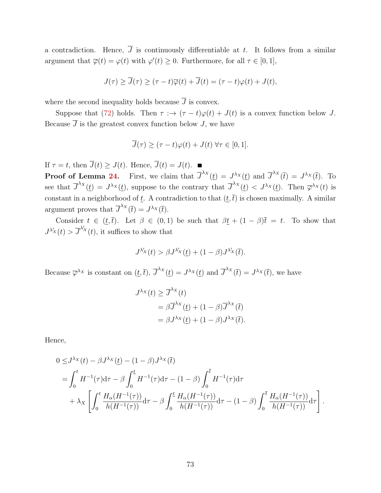a contradiction. Hence,  $\overline{J}$  is continuously differentiable at t. It follows from a similar argument that  $\overline{\varphi}(t) = \varphi(t)$  with  $\varphi'(t) \geq 0$ . Furthermore, for all  $\tau \in [0, 1]$ ,

$$
J(\tau) \ge \overline{J}(\tau) \ge (\tau - t)\overline{\varphi}(t) + \overline{J}(t) = (\tau - t)\varphi(t) + J(t),
$$

where the second inequality holds because  $\overline{J}$  is convex.

Suppose that [\(72\)](#page-72-2) holds. Then  $\tau : \rightarrow (\tau - t)\varphi(t) + J(t)$  is a convex function below J. Because  $\overline{J}$  is the greatest convex function below  $J$ , we have

$$
\overline{J}(\tau) \ge (\tau - t)\varphi(t) + J(t) \,\forall \tau \in [0, 1].
$$

If  $\tau = t$ , then  $\overline{J}(t) \geq J(t)$ . Hence,  $\overline{J}(t) = J(t)$ .

**Proof of Lemma [24.](#page-72-1)** First, we claim that  $\overline{J}^{\lambda_X}(\underline{t}) = J^{\lambda_X}(\underline{t})$  and  $\overline{J}^{\lambda_X}(\overline{t}) = J^{\lambda_X}(\overline{t})$ . To see that  $\overline{J}^{\lambda x}(t) = J^{\lambda x}(t)$ , suppose to the contrary that  $\overline{J}^{\lambda x}(t) < J^{\lambda x}(t)$ . Then  $\overline{\varphi}^{\lambda x}(t)$  is constant in a neighborhood of t. A contradiction to that  $(t, \overline{t})$  is chosen maximally. A similar argument proves that  $\overline{J}^{\lambda_X}(\overline{t}) = J^{\lambda_X}(\overline{t}).$ 

Consider  $t \in (t, \overline{t})$ . Let  $\beta \in (0, 1)$  be such that  $\beta \underline{t} + (1 - \beta)\overline{t} = t$ . To show that  $J^{\lambda'}(t) > \overline{J}^{\lambda'}(t)$ , it suffices to show that

$$
J^{\lambda'_X}(t) > \beta J^{\lambda'_X}(\underline{t}) + (1-\beta)J^{\lambda'_X}(\overline{t}).
$$

Because  $\overline{\varphi}^{\lambda_X}$  is constant on  $(\underline{t},\overline{t}), \overline{J}^{\lambda_X}(\underline{t}) = J^{\lambda_X}(\underline{t})$  and  $\overline{J}^{\lambda_X}(\overline{t}) = J^{\lambda_X}(\overline{t}),$  we have

$$
J^{\lambda x}(t) \ge \overline{J}^{\lambda x}(t)
$$
  
=  $\beta \overline{J}^{\lambda x}(t) + (1 - \beta) \overline{J}^{\lambda x}(\overline{t})$   
=  $\beta J^{\lambda x}(t) + (1 - \beta) J^{\lambda x}(\overline{t}).$ 

Hence,

$$
0 \leq J^{\lambda x}(t) - \beta J^{\lambda x}(t) - (1 - \beta)J^{\lambda x}(t)
$$
  
=  $\int_0^t H^{-1}(\tau) d\tau - \beta \int_0^t H^{-1}(\tau) d\tau - (1 - \beta) \int_0^{\overline{t}} H^{-1}(\tau) d\tau$   
+  $\lambda_X \left[ \int_0^t \frac{H_\alpha(H^{-1}(\tau))}{h(H^{-1}(\tau))} d\tau - \beta \int_0^t \frac{H_\alpha(H^{-1}(\tau))}{h(H^{-1}(\tau))} d\tau - (1 - \beta) \int_0^{\overline{t}} \frac{H_\alpha(H^{-1}(\tau))}{h(H^{-1}(\tau))} d\tau \right].$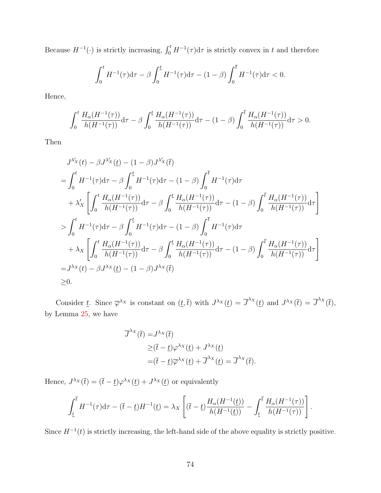Because  $H^{-1}(\cdot)$  is strictly increasing,  $\int_0^t H^{-1}(\tau)d\tau$  is strictly convex in t and therefore

$$
\int_0^t H^{-1}(\tau) d\tau - \beta \int_0^t H^{-1}(\tau) d\tau - (1 - \beta) \int_0^{\bar{t}} H^{-1}(\tau) d\tau < 0.
$$

Hence,

$$
\int_0^t \frac{H_\alpha(H^{-1}(\tau))}{h(H^{-1}(\tau))} d\tau - \beta \int_0^t \frac{H_\alpha(H^{-1}(\tau))}{h(H^{-1}(\tau))} d\tau - (1-\beta) \int_0^{\overline{t}} \frac{H_\alpha(H^{-1}(\tau))}{h(H^{-1}(\tau))} d\tau > 0.
$$

Then

$$
J^{\lambda'}(t) - \beta J^{\lambda'}(t) - (1 - \beta) J^{\lambda'}(t)
$$
  
\n
$$
= \int_0^t H^{-1}(\tau) d\tau - \beta \int_0^t H^{-1}(\tau) d\tau - (1 - \beta) \int_0^{\overline{t}} H^{-1}(\tau) d\tau
$$
  
\n
$$
+ \lambda'_X \left[ \int_0^t \frac{H_\alpha(H^{-1}(\tau))}{h(H^{-1}(\tau))} d\tau - \beta \int_0^t \frac{H_\alpha(H^{-1}(\tau))}{h(H^{-1}(\tau))} d\tau - (1 - \beta) \int_0^{\overline{t}} \frac{H_\alpha(H^{-1}(\tau))}{h(H^{-1}(\tau))} d\tau \right]
$$
  
\n
$$
> \int_0^t H^{-1}(\tau) d\tau - \beta \int_0^t H^{-1}(\tau) d\tau - (1 - \beta) \int_0^{\overline{t}} H^{-1}(\tau) d\tau
$$
  
\n
$$
+ \lambda_X \left[ \int_0^t \frac{H_\alpha(H^{-1}(\tau))}{h(H^{-1}(\tau))} d\tau - \beta \int_0^t \frac{H_\alpha(H^{-1}(\tau))}{h(H^{-1}(\tau))} d\tau - (1 - \beta) \int_0^{\overline{t}} \frac{H_\alpha(H^{-1}(\tau))}{h(H^{-1}(\tau))} d\tau \right]
$$
  
\n
$$
= J^{\lambda_X}(t) - \beta J^{\lambda_X}(t) - (1 - \beta) J^{\lambda_X}(\overline{t})
$$
  
\n
$$
\geq 0.
$$

Consider t. Since  $\overline{\varphi}^{\lambda_X}$  is constant on  $(\underline{t},\overline{t})$  with  $J^{\lambda_X}(\underline{t}) = \overline{J}^{\lambda_X}(\underline{t})$  and  $J^{\lambda_X}(\overline{t}) = \overline{J}^{\lambda_X}(\overline{t})$ , by Lemma [25,](#page-72-3) we have

$$
\overline{J}^{\lambda_X}(\overline{t}) = J^{\lambda_X}(\overline{t})
$$
  
\n
$$
\geq (\overline{t} - t)\varphi^{\lambda_X}(\underline{t}) + J^{\lambda_X}(\underline{t})
$$
  
\n
$$
= (\overline{t} - t)\overline{\varphi}^{\lambda_X}(\underline{t}) + \overline{J}^{\lambda_X}(\underline{t}) = \overline{J}^{\lambda_X}(\overline{t}).
$$

Hence,  $J^{\lambda_X}(\bar{t}) = (\bar{t} - \underline{t})\varphi^{\lambda_X}(\underline{t}) + J^{\lambda_X}(\underline{t})$  or equivalently

$$
\int_{\underline{t}}^{\overline{t}} H^{-1}(\tau) d\tau - (\overline{t} - \underline{t}) H^{-1}(\underline{t}) = \lambda_X \left[ (\overline{t} - \underline{t}) \frac{H_\alpha(H^{-1}(\underline{t}))}{h(H^{-1}(\underline{t}))} - \int_{\underline{t}}^{\overline{t}} \frac{H_\alpha(H^{-1}(\tau))}{h(H^{-1}(\tau))} \right].
$$

Since  $H^{-1}(t)$  is strictly increasing, the left-hand side of the above equality is strictly positive.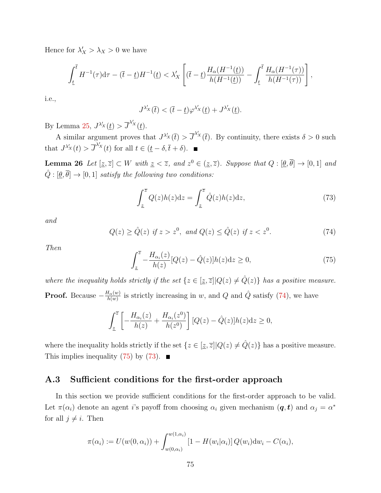Hence for  $\lambda'_X > \lambda_X > 0$  we have

$$
\int_{\underline{t}}^{\overline{t}} H^{-1}(\tau) d\tau - (\overline{t} - \underline{t}) H^{-1}(\underline{t}) < \lambda_X' \left[ (\overline{t} - \underline{t}) \frac{H_\alpha(H^{-1}(\underline{t}))}{h(H^{-1}(\underline{t}))} - \int_{\underline{t}}^{\overline{t}} \frac{H_\alpha(H^{-1}(\tau))}{h(H^{-1}(\tau))} \right],
$$

i.e.,

$$
J^{\lambda'_X}(\overline{t}) < (\overline{t} - \underline{t})\varphi^{\lambda'_X}(\underline{t}) + J^{\lambda'_X}(\underline{t}).
$$

By Lemma [25,](#page-72-3)  $J^{\lambda'}(t) > \overline{J}^{\lambda'}(t)$ .

A similar argument proves that  $J^{\lambda'}(t) > \overline{J}^{\lambda'}(t)$ . By continuity, there exists  $\delta > 0$  such that  $J^{\lambda'}(t) > \overline{J}^{\lambda'}(t)$  for all  $t \in (\underline{t} - \delta, \overline{t} + \delta)$ .

<span id="page-75-0"></span>**Lemma 26** Let  $[\underline{z}, \overline{z}] \subset W$  with  $\underline{z} < \overline{z}$ , and  $z^0 \in (\underline{z}, \overline{z})$ . Suppose that  $Q : [\underline{\theta}, \overline{\theta}] \to [0, 1]$  and  $\hat{Q}: [\underline{\theta}, \overline{\theta}] \rightarrow [0, 1]$  satisfy the following two conditions:

<span id="page-75-3"></span>
$$
\int_{\underline{z}}^{\overline{z}} Q(z)h(z)dz = \int_{\underline{z}}^{\overline{z}} \hat{Q}(z)h(z)dz,\tag{73}
$$

and

<span id="page-75-1"></span>
$$
Q(z) \ge \hat{Q}(z) \text{ if } z > z^0, \text{ and } Q(z) \le \hat{Q}(z) \text{ if } z < z^0. \tag{74}
$$

Then

<span id="page-75-2"></span>
$$
\int_{\underline{z}}^{\overline{z}} -\frac{H_{\alpha_i}(z)}{h(z)} [Q(z) - \hat{Q}(z)] h(z) \mathrm{d}z \ge 0,\tag{75}
$$

where the inequality holds strictly if the set  $\{z \in [\underline{z}, \overline{z}] | Q(z) \neq \hat{Q}(z)\}$  has a positive measure. **Proof.** Because  $-\frac{H_{\alpha}(w)}{h(w)}$  $\frac{H_{\alpha}(w)}{h(w)}$  is strictly increasing in w, and Q and  $\hat{Q}$  satisfy [\(74\)](#page-75-1), we have

$$
\int_{\underline{z}}^{\overline{z}} \left[ -\frac{H_{\alpha_i}(z)}{h(z)} + \frac{H_{\alpha_i}(z^0)}{h(z^0)} \right] [Q(z) - \hat{Q}(z)] h(z) dz \ge 0,
$$

where the inequality holds strictly if the set  $\{z \in [\underline{z}, \overline{z}]|Q(z) \neq \hat{Q}(z)\}$  has a positive measure. This implies inequality [\(75\)](#page-75-2) by [\(73\)](#page-75-3).  $\blacksquare$ 

### A.3 Sufficient conditions for the first-order approach

In this section we provide sufficient conditions for the first-order approach to be valid. Let  $\pi(\alpha_i)$  denote an agent i's payoff from choosing  $\alpha_i$  given mechanism  $(q, t)$  and  $\alpha_j = \alpha^*$ for all  $j \neq i$ . Then

$$
\pi(\alpha_i) := U(w(0, \alpha_i)) + \int_{w(0, \alpha_i)}^{w(1, \alpha_i)} [1 - H(w_i | \alpha_i)] Q(w_i) dw_i - C(\alpha_i),
$$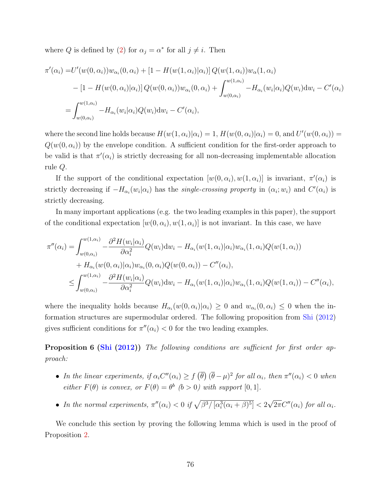where Q is defined by [\(2\)](#page-10-0) for  $\alpha_j = \alpha^*$  for all  $j \neq i$ . Then

$$
\pi'(\alpha_i) = U'(w(0, \alpha_i))w_{\alpha_i}(0, \alpha_i) + [1 - H(w(1, \alpha_i)|\alpha_i)]Q(w(1, \alpha_i))w_{\alpha}(1, \alpha_i)
$$
  

$$
- [1 - H(w(0, \alpha_i)|\alpha_i)]Q(w(0, \alpha_i))w_{\alpha_i}(0, \alpha_i) + \int_{w(0, \alpha_i)}^{w(1, \alpha_i)} -H_{\alpha_i}(w_i|\alpha_i)Q(w_i)dw_i - C'(\alpha_i)
$$
  

$$
= \int_{w(0, \alpha_i)}^{w(1, \alpha_i)} -H_{\alpha_i}(w_i|\alpha_i)Q(w_i)dw_i - C'(\alpha_i),
$$

where the second line holds because  $H(w(1, \alpha_i)|\alpha_i) = 1$ ,  $H(w(0, \alpha_i)|\alpha_i) = 0$ , and  $U'(w(0, \alpha_i)) = 0$  $Q(w(0, \alpha_i))$  by the envelope condition. A sufficient condition for the first-order approach to be valid is that  $\pi'(\alpha_i)$  is strictly decreasing for all non-decreasing implementable allocation rule Q.

If the support of the conditional expectation  $[w(0, \alpha_i), w(1, \alpha_i)]$  is invariant,  $\pi'(\alpha_i)$  is strictly decreasing if  $-H_{\alpha_i}(w_i|\alpha_i)$  has the *single-crossing property* in  $(\alpha_i; w_i)$  and  $C'(\alpha_i)$  is strictly decreasing.

In many important applications (e.g. the two leading examples in this paper), the support of the conditional expectation  $[w(0, \alpha_i), w(1, \alpha_i)]$  is not invariant. In this case, we have

$$
\pi''(\alpha_i) = \int_{w(0,\alpha_i)}^{w(1,\alpha_i)} -\frac{\partial^2 H(w_i|\alpha_i)}{\partial \alpha_i^2} Q(w_i) \mathrm{d}w_i - H_{\alpha_i}(w(1,\alpha_i)|\alpha_i) w_{\alpha_i}(1,\alpha_i) Q(w(1,\alpha_i)) \n+ H_{\alpha_i}(w(0,\alpha_i)|\alpha_i) w_{\alpha_i}(0,\alpha_i) Q(w(0,\alpha_i)) - C''(\alpha_i), \n\leq \int_{w(0,\alpha_i)}^{w(1,\alpha_i)} -\frac{\partial^2 H(w_i|\alpha_i)}{\partial \alpha_i^2} Q(w_i) \mathrm{d}w_i - H_{\alpha_i}(w(1,\alpha_i)|\alpha_i) w_{\alpha_i}(1,\alpha_i) Q(w(1,\alpha_i)) - C''(\alpha_i),
$$

where the inequality holds because  $H_{\alpha_i}(w(0,\alpha_i)|\alpha_i) \geq 0$  and  $w_{\alpha_i}(0,\alpha_i) \leq 0$  when the information structures are supermodular ordered. The following proposition from [Shi](#page-87-0) [\(2012\)](#page-87-0) gives sufficient conditions for  $\pi''(\alpha_i) < 0$  for the two leading examples.

**Proposition 6 [\(Shi](#page-87-0) [\(2012\)](#page-87-0))** The following conditions are sufficient for first order approach:

- In the linear experiments, if  $\alpha_i C''(\alpha_i) \geq f(\overline{\theta}) (\overline{\theta} \mu)^2$  for all  $\alpha_i$ , then  $\pi''(\alpha_i) < 0$  when either  $F(\theta)$  is convex, or  $F(\theta) = \theta^b$  (b > 0) with support [0, 1].
- In the normal experiments,  $\pi''(\alpha_i) < 0$  if  $\sqrt{\beta^3/ [\alpha_i^3(\alpha_i + \beta)^5]} < 2$ √  $\overline{2\pi}C''(\alpha_i)$  for all  $\alpha_i$ .

We conclude this section by proving the following lemma which is used in the proof of Proposition [2.](#page-29-0)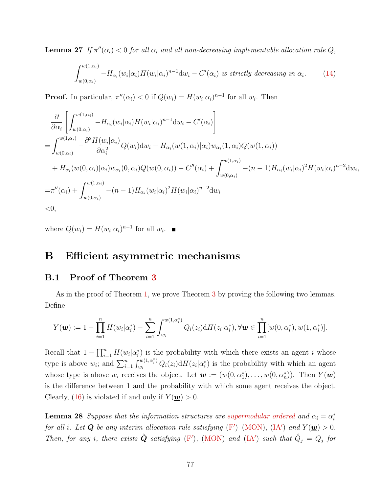**Lemma 27** If  $\pi''(\alpha_i) < 0$  for all  $\alpha_i$  and all non-decreasing implementable allocation rule Q,

$$
\int_{w(0,\alpha_i)}^{w(1,\alpha_i)} -H_{\alpha_i}(w_i|\alpha_i)H(w_i|\alpha_i)^{n-1}dw_i - C'(\alpha_i) \text{ is strictly decreasing in } \alpha_i.
$$
 (14)

**Proof.** In particular,  $\pi''(\alpha_i) < 0$  if  $Q(w_i) = H(w_i|\alpha_i)^{n-1}$  for all  $w_i$ . Then

$$
\frac{\partial}{\partial \alpha_i} \left[ \int_{w(0,\alpha_i)}^{w(1,\alpha_i)} -H_{\alpha_i}(w_i|\alpha_i)H(w_i|\alpha_i)^{n-1}dw_i - C'(\alpha_i) \right]
$$
\n
$$
= \int_{w(0,\alpha_i)}^{w(1,\alpha_i)} -\frac{\partial^2 H(w_i|\alpha_i)}{\partial \alpha_i^2} Q(w_i)dw_i - H_{\alpha_i}(w(1,\alpha_i)|\alpha_i)w_{\alpha_i}(1,\alpha_i)Q(w(1,\alpha_i))
$$
\n
$$
+ H_{\alpha_i}(w(0,\alpha_i)|\alpha_i)w_{\alpha_i}(0,\alpha_i)Q(w(0,\alpha_i)) - C''(\alpha_i) + \int_{w(0,\alpha_i)}^{w(1,\alpha_i)} -(n-1)H_{\alpha_i}(w_i|\alpha_i)^2 H(w_i|\alpha_i)^{n-2}dw_i,
$$
\n
$$
= \pi''(\alpha_i) + \int_{w(0,\alpha_i)}^{w(1,\alpha_i)} -(n-1)H_{\alpha_i}(w_i|\alpha_i)^2 H(w_i|\alpha_i)^{n-2}dw_i
$$
\n
$$
< 0,
$$

where  $Q(w_i) = H(w_i|\alpha_i)^{n-1}$  for all  $w_i$ .

# B Efficient asymmetric mechanisms

### B.1 Proof of Theorem [3](#page-32-0)

As in the proof of Theorem [1,](#page-15-0) we prove Theorem [3](#page-32-0) by proving the following two lemmas. Define

$$
Y(\boldsymbol{w}) := 1 - \prod_{i=1}^n H(w_i | \alpha_i^*) - \sum_{i=1}^n \int_{w_i}^{w(1, \alpha_i^*)} Q_i(z_i) dH(z_i | \alpha_i^*), \forall \boldsymbol{w} \in \prod_{i=1}^n [w(0, \alpha_i^*), w(1, \alpha_i^*)].
$$

Recall that  $1 - \prod_{i=1}^n H(w_i | \alpha_i^*)$  is the probability with which there exists an agent *i* whose type is above  $w_i$ ; and  $\sum_{i=1}^n \int_{w_i}^{w(1,\alpha_i^*)}$  $\int_{w_i}^{w(1,\alpha_i^*)} Q_i(z_i) \mathrm{d}H(z_i|\alpha_i^*)$  is the probability with which an agent whose type is above  $w_i$  receives the object. Let  $\underline{\mathbf{w}} := (w(0, \alpha_1^*), \dots, w(0, \alpha_n^*))$ . Then  $Y(\underline{\mathbf{w}})$ is the difference between 1 and the probability with which some agent receives the object. Clearly, [\(16\)](#page-32-1) is violated if and only if  $Y(\underline{\boldsymbol{w}}) > 0$ .

<span id="page-77-0"></span>**Lemma 28** Suppose that the information structures are [supermodular ordered](#page-7-0) and  $\alpha_i = \alpha_i^*$ for all i. Let **Q** be any interim allocation rule satisfying  $(F')$  $(F')$  [\(MON\)](#page-32-3),  $(IA')$  $(IA')$  and  $Y(\underline{\boldsymbol{w}}) > 0$ . Then, for any i, there exists  $\hat{\mathbf{Q}}$  satisfying [\(F](#page-14-0)'), [\(MON\)](#page-32-3) and [\(IA](#page-32-4)') such that  $\hat{Q}_j = Q_j$  for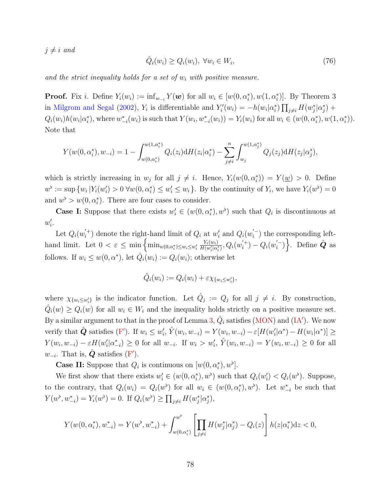$j \neq i$  and

$$
\hat{Q}_i(w_i) \ge Q_i(w_i), \ \forall w_i \in W_i,
$$
\n<sup>(76)</sup>

and the strict inequality holds for a set of  $w_i$  with positive measure.

**Proof.** Fix *i*. Define  $Y_i(w_i) := \inf_{w_{-i}} Y(w)$  for all  $w_i \in [w(0, \alpha_i^*), w(1, \alpha_i^*)]$ . By Theorem 3 in [Milgrom and Segal](#page-87-1) [\(2002\)](#page-87-1),  $Y_i$  is differentiable and  $Y_i'(w_i) = -h(w_i|\alpha_i^*) \prod_{j\neq i} H(w_j^*|\alpha_j^*)$  +  $Q_i(w_i)h(w_i|\alpha_i^*),$  where  $w_{-i}^*(w_i)$  is such that  $Y(w_i, w_{-i}^*(w_i)) = Y_i(w_i)$  for all  $w_i \in (w(0, \alpha_i^*), w(1, \alpha_i^*)).$ Note that

$$
Y(w(0, \alpha_i^*), w_{-i}) = 1 - \int_{w(0, \alpha_i^*)}^{w(1, \alpha_i^*)} Q_i(z_i) dH(z_i | \alpha_i^*) - \sum_{j \neq i}^n \int_{w_j}^{w(1, \alpha_j^*)} Q_j(z_j) dH(z_j | \alpha_j^*),
$$

which is strictly increasing in  $w_j$  for all  $j \neq i$ . Hence,  $Y_i(w(0, \alpha_i^*)) = Y(\underline{w}) > 0$ . Define  $w^{\flat} := \sup \{ w_i | Y_i(w'_i) > 0 \ \forall w(0, \alpha_i^*) \leq w'_i \leq w_i \}.$  By the continuity of  $Y_i$ , we have  $Y_i(w^{\flat}) = 0$ and  $w^{\flat} > w(0, \alpha_i^*)$ . There are four cases to consider.

**Case I:** Suppose that there exists  $w'_i \in (w(0, \alpha_i^*), w^{\flat})$  such that  $Q_i$  is discontinuous at  $w_i'.$ 

Let  $Q_i(w_i'^+$  $i^{'}$ ) denote the right-hand limit of  $Q_i$  at  $w'_i$  and  $Q_i(w'_i)$  $i<sub>i</sub>$ ) the corresponding lefthand limit. Let  $0 < \varepsilon \leq \min\left\{\min_{w(0,\alpha_i^*)\leq w_i\leq w_i'}\right\}$  $Y_i(w_i)$  $\frac{Y_i(w_i)}{H(w_i'|\alpha_i^*)}$ ,  $Q_i(w_i'^+$  $i^{(+)}$ ) –  $Q_i(w_i^{'-}$  $\langle i^{-} \rangle$ . Define  $\hat{\boldsymbol{Q}}$  as follows. If  $w_i \leq w(0, \alpha^*)$ , let  $\hat{Q}_i(w_i) := Q_i(w_i)$ ; otherwise let

$$
\hat{Q}_i(w_i) := Q_i(w_i) + \varepsilon \chi_{\{w_i \leq w_i'\}},
$$

where  $\chi_{\{w_i \leq w'_i\}}$  is the indicator function. Let  $\hat{Q}_j := Q_j$  for all  $j \neq i$ . By construction,  $\hat{Q}_i(w) \geq Q_i(w)$  for all  $w_i \in W_i$  and the inequality holds strictly on a positive measure set. By a similar argument to that in the proof of Lemma [3,](#page-16-0)  $\hat{Q}_i$  satisfies [\(MON\)](#page-32-3) and [\(IA](#page-32-4)'). We now verify that  $\hat{\mathbf{Q}}$  satisfies  $(\mathbf{F}')$ . If  $w_i \leq w'_i$ ,  $\hat{Y}(w_i, w_{-i}) = Y(w_i, w_{-i}) - \varepsilon[H(w'_i|\alpha^*) - H(w_i|\alpha^*)] \geq$  $Y(w_i, w_{-i}) - \varepsilon H(w_i'|\alpha_{-i}^*) \geq 0$  for all  $w_{-i}$ . If  $w_i > w_i'$ ,  $\hat{Y}(w_i, w_{-i}) = Y(w_i, w_{-i}) \geq 0$  for all  $w_{-i}$ . That is,  $\hat{\mathbf{Q}}$  satisfies [\(F](#page-32-2)').

**Case II:** Suppose that  $Q_i$  is continuous on  $[w(0, \alpha_i^*), w^{\flat}].$ 

We first show that there exists  $w'_i \in (w(0, \alpha_i^*), w^{\flat})$  such that  $Q_i(w'_i) < Q_i(w^{\flat})$ . Suppose, to the contrary, that  $Q_i(w_i) = Q_i(w^{\flat})$  for all  $w_i \in (w(0, \alpha_i^*), w^{\flat})$ . Let  $w_{-i}^*$  be such that  $Y(w^{\flat}, w^*_{-i}) = Y_i(w^{\flat}) = 0.$  If  $Q_i(w^{\flat}) \ge \prod_{j \neq i} H(w^*_{j} | \alpha^*_{j}),$ 

$$
Y(w(0, \alpha_i^*), w_{-i}^*) = Y(w^{\flat}, w_{-i}^*) + \int_{w(0, \alpha_i^*)}^{w^{\flat}} \left[ \prod_{j \neq i} H(w_j^* | \alpha_j^*) - Q_i(z) \right] h(z | \alpha_i^*) \mathrm{d} z < 0,
$$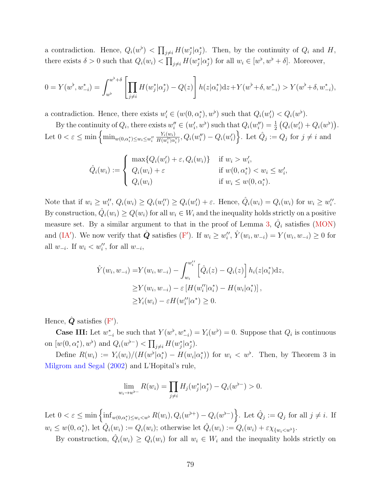a contradiction. Hence,  $Q_i(w^{\flat}) < \prod_{j \neq i} H(w_j^* | \alpha_j^*)$ . Then, by the continuity of  $Q_i$  and H, there exists  $\delta > 0$  such that  $Q_i(w_i) < \prod_{j \neq i} H(w_j^* | \alpha_j^*)$  for all  $w_i \in [w^{\flat}, w^{\flat} + \delta]$ . Moreover,

$$
0 = Y(w^{\flat}, w_{-i}^{*}) = \int_{w^{\flat}}^{w^{\flat} + \delta} \left[ \prod_{j \neq i} H(w_{j}^{*} | \alpha_{j}^{*}) - Q(z) \right] h(z | \alpha_{i}^{*}) dz + Y(w^{\flat} + \delta, w_{-i}^{*}) > Y(w^{\flat} + \delta, w_{-i}^{*}),
$$

a contradiction. Hence, there exists  $w'_i \in (w(0, \alpha_i^*), w^{\flat})$  such that  $Q_i(w'_i) < Q_i(w^{\flat})$ .

By the continuity of  $Q_i$ , there exists  $w''_i \in (w'_i, w^{\flat})$  such that  $Q_i(w''_i) = \frac{1}{2} (Q_i(w'_i) + Q_i(w^{\flat}))$ . Let  $0 < \varepsilon \le \min \left\{ \min_{w(0,\alpha_i^*) \le w_i \le w_i^{\prime\prime}} \right\}$  $Y_i(w_i)$  $\frac{Y_i(w_i)}{H(w''_i|\alpha^*_i)}$ ,  $Q_i(w''_i) - Q_i(w'_i)$ . Let  $\hat{Q}_j := Q_j$  for  $j \neq i$  and

$$
\hat{Q}_i(w_i) := \begin{cases}\n\max\{Q_i(w'_i) + \varepsilon, Q_i(w_i)\} & \text{if } w_i > w'_i, \\
Q_i(w_i) + \varepsilon & \text{if } w(0, \alpha_i^*) < w_i \leq w'_i, \\
Q_i(w_i) & \text{if } w_i \leq w(0, \alpha_i^*).\n\end{cases}
$$

Note that if  $w_i \geq w''_i$ ,  $Q_i(w_i) \geq Q_i(w''_i) \geq Q_i(w'_i) + \varepsilon$ . Hence,  $\hat{Q}_i(w_i) = Q_i(w_i)$  for  $w_i \geq w''_i$ . By construction,  $\hat{Q}_i(w_i) \geq Q(w_i)$  for all  $w_i \in W_i$  and the inequality holds strictly on a positive measure set. By a similar argument to that in the proof of Lemma [3,](#page-16-0)  $\hat{Q}_i$  satisfies [\(MON\)](#page-32-3) and [\(IA](#page-32-4)'). We now verify that  $\hat{\mathbf{Q}}$  satisfies [\(F](#page-32-2)'). If  $w_i \geq w''_i$ ,  $\hat{Y}(w_i, w_{-i}) = Y(w_i, w_{-i}) \geq 0$  for all  $w_{-i}$ . If  $w_i < w''_i$ , for all  $w_{-i}$ ,

$$
\hat{Y}(w_i, w_{-i}) = Y(w_i, w_{-i}) - \int_{w_i}^{w_i'} \left[ \hat{Q}_i(z) - Q_i(z) \right] h_i(z | \alpha_i^*) \, dz, \\
\geq Y(w_i, w_{-i}) - \varepsilon \left[ H(w_i'' | \alpha_i^*) - H(w_i | \alpha_i^*) \right], \\
\geq Y_i(w_i) - \varepsilon H(w_i'' | \alpha^*) \geq 0.
$$

Hence,  $\hat{\mathbf{Q}}$  satisfies  $(\mathbf{F}')$ .

**Case III:** Let  $w_{-i}^*$  be such that  $Y(w^{\flat}, w_{-i}^*) = Y_i(w^{\flat}) = 0$ . Suppose that  $Q_i$  is continuous on  $[w(0, \alpha_i^*), w^{\flat})$  and  $Q_i(w^{\flat -}) < \prod_{j \neq i} H(w_j^* | \alpha_j^*).$ 

Define  $R(w_i) := Y_i(w_i)/(H(w^{\flat}|\alpha_i^*) - H(w_i|\alpha_i^*))$  for  $w_i < w^{\flat}$ . Then, by Theorem 3 in [Milgrom and Segal](#page-87-1) [\(2002\)](#page-87-1) and L'Hopital's rule,

$$
\lim_{w_i \to w^{\flat -}} R(w_i) = \prod_{j \neq i} H_j(w_j^* | \alpha_j^*) - Q_i(w^{\flat -}) > 0.
$$

Let  $0 < \varepsilon \le \min \left\{ \inf_{w(0,\alpha_i^*) \le w_i \lt w^b} R(w_i), Q_i(w^{\flat +}) - Q_i(w^{\flat -}) \right\}$ . Let  $\hat{Q}_j := Q_j$  for all  $j \ne i$ . If  $w_i \leq w(0, \alpha_i^*)$ , let  $\hat{Q}_i(w_i) := Q_i(w_i)$ ; otherwise let  $\hat{Q}_i(w_i) := Q_i(w_i) + \varepsilon \chi_{\{w_i \leq w^{\flat}\}}$ .

By construction,  $\hat{Q}_i(w_i) \geq Q_i(w_i)$  for all  $w_i \in W_i$  and the inequality holds strictly on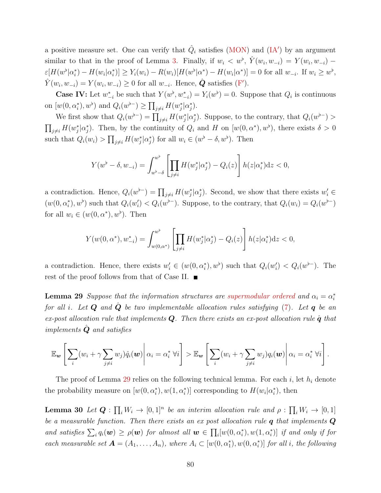a positive measure set. One can verify that  $\hat{Q}_i$  satisfies [\(MON\)](#page-32-3) and [\(IA](#page-32-4)') by an argument similar to that in the proof of Lemma [3.](#page-16-0) Finally, if  $w_i < w^{\flat}$ ,  $\hat{Y}(w_i, w_{-i}) = Y(w_i, w_{-i}) \varepsilon[H(w^{\flat}|\alpha_i^*)-H(w_i|\alpha_i^*)] \geq Y_i(w_i)-R(w_i)[H(w^{\flat}|\alpha^*)-H(w_i|\alpha^*)] = 0$  for all  $w_{-i}$ . If  $w_i \geq w^{\flat}$ ,  $\hat{Y}(w_i, w_{-i}) = Y(w_i, w_{-i}) \geq 0$  for all  $w_{-i}$ . Hence,  $\hat{\mathbf{Q}}$  satisfies [\(F](#page-32-2)').

**Case IV:** Let  $w_{-i}^*$  be such that  $Y(w^{\flat}, w_{-i}^*) = Y_i(w^{\flat}) = 0$ . Suppose that  $Q_i$  is continuous on  $[w(0, \alpha_i^*), w^{\flat})$  and  $Q_i(w^{\flat -}) \ge \prod_{j \neq i} H(w_j^* | \alpha_j^*).$ 

We first show that  $Q_i(w^{b-}) = \prod_{j\neq i} H(w_j^* | \alpha_j^*)$ . Suppose, to the contrary, that  $Q_i(w^{b-}) >$  $\prod_{j\neq i} H(w_j^*|\alpha_j^*)$ . Then, by the continuity of  $Q_i$  and H on  $[w(0, \alpha^*), w^{\flat})$ , there exists  $\delta > 0$ such that  $Q_i(w_i) > \prod_{j \neq i} H(w_j^* | \alpha_j^*)$  for all  $w_i \in (w^{\flat} - \delta, w^{\flat})$ . Then

$$
Y(w^{\flat} - \delta, w_{-i}) = \int_{w^{\flat} - \delta}^{w^{\flat}} \left[ \prod_{j \neq i} H(w_{j}^{*} | \alpha_{j}^{*}) - Q_{i}(z) \right] h(z | \alpha_{i}^{*}) dz < 0,
$$

a contradiction. Hence,  $Q_i(w^{b-}) = \prod_{j \neq i} H(w_j^* | \alpha_j^*)$ . Second, we show that there exists  $w_i' \in$  $(w(0, \alpha_i^*), w^{\flat})$  such that  $Q_i(w_i') < Q_i(w^{\flat-})$ . Suppose, to the contrary, that  $Q_i(w_i) = Q_i(w^{\flat-})$ for all  $w_i \in (w(0, \alpha^*), w^{\flat})$ . Then

$$
Y(w(0, \alpha^*), w_{-i}^*) = \int_{w(0, \alpha^*)}^{w^{\flat}} \left[ \prod_{j \neq i} H(w_j^* | \alpha_j^*) - Q_i(z) \right] h(z | \alpha_i^*) \mathrm{d} z < 0,
$$

a contradiction. Hence, there exists  $w'_i \in (w(0, \alpha_i^*), w^{\flat})$  such that  $Q_i(w'_i) < Q_i(w^{\flat-})$ . The rest of the proof follows from that of Case II.  $\blacksquare$ 

<span id="page-80-0"></span>**Lemma 29** Suppose that the information structures are [supermodular ordered](#page-7-0) and  $\alpha_i = \alpha_i^*$ for all i. Let  $Q$  and  $\hat{Q}$  be two implementable allocation rules satisfying [\(7\)](#page-15-1). Let  $q$  be an ex-post allocation rule that implements  $Q$ . Then there exists an ex-post allocation rule  $\hat{q}$  that implements  $\dot{Q}$  and satisfies

$$
\mathbb{E}_{\boldsymbol{w}}\left[\sum_i (w_i + \gamma \sum_{j \neq i} w_j) \hat{q}_i(\boldsymbol{w})\middle|\alpha_i = \alpha_i^* \ \forall i\right] > \mathbb{E}_{\boldsymbol{w}}\left[\sum_i (w_i + \gamma \sum_{j \neq i} w_j) q_i(\boldsymbol{w})\middle|\alpha_i = \alpha_i^* \ \forall i\right].
$$

The proof of Lemma [29](#page-80-0) relies on the following technical lemma. For each  $i$ , let  $h_i$  denote the probability measure on  $[w(0, \alpha_i^*), w(1, \alpha_i^*)]$  corresponding to  $H(w_i | \alpha_i^*)$ , then

<span id="page-80-1"></span>**Lemma 30** Let  $Q: \prod_i W_i \to [0,1]^n$  be an interim allocation rule and  $\rho: \prod_i W_i \to [0,1]$ be a measurable function. Then there exists an ex post allocation rule  $q$  that implements  $Q$ and satisfies  $\sum_i q_i(\boldsymbol{w}) \ge \rho(\boldsymbol{w})$  for almost all  $\boldsymbol{w} \in \prod_i [w(0, \alpha_i^*), w(1, \alpha_i^*)]$  if and only if for each measurable set  $\mathbf{A} = (A_1, \ldots, A_n)$ , where  $A_i \subset [w(0, \alpha_i^*), w(0, \alpha_i^*)]$  for all i, the following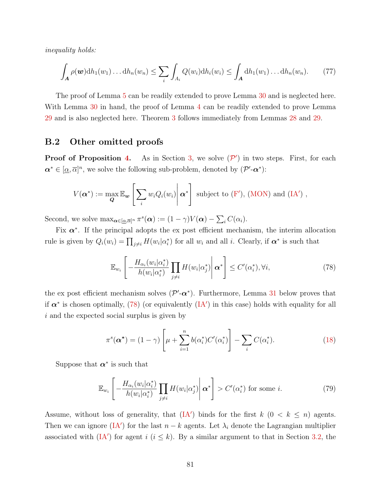inequality holds:

$$
\int_{\mathbf{A}} \rho(\mathbf{w}) dh_1(w_1) \dots dh_n(w_n) \leq \sum_i \int_{A_i} Q(w_i) dh_i(w_i) \leq \int_{\mathbf{A}} dh_1(w_1) \dots dh_n(w_n). \tag{77}
$$

The proof of Lemma [5](#page-18-0) can be readily extended to prove Lemma [30](#page-80-1) and is neglected here. With Lemma [30](#page-80-1) in hand, the proof of Lemma [4](#page-17-0) can be readily extended to prove Lemma [29](#page-80-0) and is also neglected here. Theorem [3](#page-32-0) follows immediately from Lemmas [28](#page-77-0) and [29.](#page-80-0)

#### B.2 Other omitted proofs

**Proof of Proposition [4.](#page-33-0)** As in Section [3,](#page-12-0) we solve  $(\mathcal{P}')$  $(\mathcal{P}')$  $(\mathcal{P}')$  in two steps. First, for each  $\alpha^* \in [\alpha, \overline{\alpha}]^n$ , we solve the following sub-problem, denoted by  $(\mathcal{P}' - \alpha^*)$ :

$$
V(\boldsymbol{\alpha}^*) := \max_{\boldsymbol{Q}} \mathbb{E}_{\boldsymbol{w}}\left[\sum_i w_i Q_i(w_i) \middle| \boldsymbol{\alpha}^*\right] \text{ subject to } (\mathrm{F}'), \text{ (MON) and } (\mathrm{IA}'),
$$

Second, we solve  $\max_{\alpha \in [\underline{\alpha}, \overline{\alpha}]^n} \pi^s(\alpha) := (1 - \gamma)V(\alpha) - \sum_i C(\alpha_i)$ .

Fix  $\alpha^*$ . If the principal adopts the ex post efficient mechanism, the interim allocation rule is given by  $Q_i(w_i) = \prod_{j \neq i} H(w_i | \alpha_i^*)$  for all  $w_i$  and all i. Clearly, if  $\alpha^*$  is such that

<span id="page-81-0"></span>
$$
\mathbb{E}_{w_i} \left[ -\frac{H_{\alpha_i}(w_i | \alpha_i^*)}{h(w_i | \alpha_i^*)} \prod_{j \neq i} H(w_i | \alpha_j^*) \middle| \alpha^* \right] \leq C'(\alpha_i^*), \forall i,
$$
\n(78)

the ex post efficient mechanism solves  $(\mathcal{P}'-\alpha^*)$ . Furthermore, Lemma [31](#page-83-0) below proves that if  $\alpha^*$  is chosen optimally, [\(78\)](#page-81-0) (or equivalently  $(IA')$  $(IA')$  in this case) holds with equality for all i and the expected social surplus is given by

$$
\pi^s(\boldsymbol{\alpha}^*) = (1 - \gamma) \left[ \mu + \sum_{i=1}^n b(\alpha_i^*) C'(\alpha_i^*) \right] - \sum_i C(\alpha_i^*). \tag{18}
$$

Suppose that  $\alpha^*$  is such that

$$
\mathbb{E}_{w_i} \left[ -\frac{H_{\alpha_i}(w_i | \alpha_i^*)}{h(w_i | \alpha_i^*)} \prod_{j \neq i} H(w_i | \alpha_j^*) \middle| \alpha^* \right] > C'(\alpha_i^*) \text{ for some } i. \tag{79}
$$

Assume, without loss of generality, that  $(IA')$  $(IA')$  binds for the first  $k$   $(0 \lt k \leq n)$  agents. Then we can ignore [\(IA](#page-32-4)') for the last  $n - k$  agents. Let  $\lambda_i$  denote the Lagrangian multiplier associated with  $(IA')$  $(IA')$  for agent  $i$   $(i \leq k)$ . By a similar argument to that in Section [3.2,](#page-19-0) the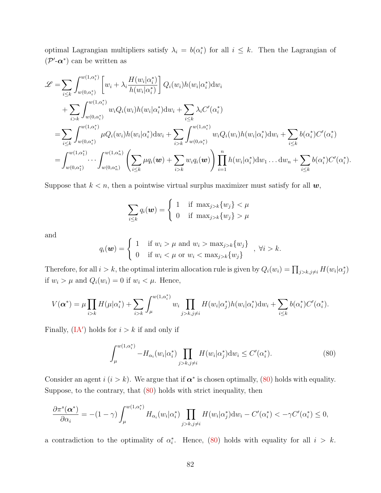optimal Lagrangian multipliers satisfy  $\lambda_i = b(\alpha_i^*)$  for all  $i \leq k$ . Then the Lagrangian of  $(\mathcal{P}'$ - $\alpha^*$ ) can be written as

$$
\mathcal{L} = \sum_{i \leq k} \int_{w(0,\alpha_i^*)}^{w(1,\alpha_i^*)} \left[ w_i + \lambda_i \frac{H(w_i|\alpha_i^*)}{h(w_i|\alpha_i^*)} \right] Q_i(w_i) h(w_i|\alpha_i^*) dw_i \n+ \sum_{i > k} \int_{w(0,\alpha_i^*)}^{w(1,\alpha_i^*)} w_i Q_i(w_i) h(w_i|\alpha_i^*) dw_i + \sum_{i \leq k} \lambda_i C'(\alpha_i^*) \n= \sum_{i \leq k} \int_{w(0,\alpha_i^*)}^{w(1,\alpha_i^*)} \mu Q_i(w_i) h(w_i|\alpha_i^*) dw_i + \sum_{i > k} \int_{w(0,\alpha_i^*)}^{w(1,\alpha_i^*)} w_i Q_i(w_i) h(w_i|\alpha_i^*) dw_i + \sum_{i \leq k} b(\alpha_i^*) C'(\alpha_i^*) \n= \int_{w(0,\alpha_1^*)}^{w(1,\alpha_1^*)} \cdots \int_{w(0,\alpha_n^*)}^{w(1,\alpha_n^*)} \left( \sum_{i \leq k} \mu q_i(\boldsymbol{w}) + \sum_{i > k} w_i q_i(\boldsymbol{w}) \right) \prod_{i=1}^n h(w_i|\alpha_i^*) dw_1 \dots dw_n + \sum_{i \leq k} b(\alpha_i^*) C'(\alpha_i^*).
$$

Suppose that  $k < n$ , then a pointwise virtual surplus maximizer must satisfy for all  $w$ ,

$$
\sum_{i\leq k} q_i(\boldsymbol{w}) = \begin{cases} 1 & \text{if } \max_{j>k} \{w_j\} < \mu \\ 0 & \text{if } \max_{j>k} \{w_j\} > \mu \end{cases}
$$

and

$$
q_i(\boldsymbol{w}) = \begin{cases} 1 & \text{if } w_i > \mu \text{ and } w_i > \max_{j > k} \{w_j\} \\ 0 & \text{if } w_i < \mu \text{ or } w_i < \max_{j > k} \{w_j\} \end{cases}, \forall i > k.
$$

Therefore, for all  $i > k$ , the optimal interim allocation rule is given by  $Q_i(w_i) = \prod_{j > k, j \neq i} H(w_i | \alpha_j^*)$ if  $w_i > \mu$  and  $Q_i(w_i) = 0$  if  $w_i < \mu$ . Hence,

$$
V(\boldsymbol{\alpha}^*) = \mu \prod_{i > k} H(\mu | \alpha_i^*) + \sum_{i > k} \int_{\mu}^{w(1, \alpha_i^*)} w_i \prod_{j > k, j \neq i} H(w_i | \alpha_j^*) h(w_i | \alpha_i^*) \, dw_i + \sum_{i \leq k} b(\alpha_i^*) C'(\alpha_i^*).
$$

Finally,  $(IA')$  $(IA')$  holds for  $i > k$  if and only if

<span id="page-82-0"></span>
$$
\int_{\mu}^{w(1,\alpha_i^*)} -H_{\alpha_i}(w_i|\alpha_i^*) \prod_{j>k,j\neq i} H(w_i|\alpha_j^*)\mathrm{d}w_i \le C'(\alpha_i^*). \tag{80}
$$

Consider an agent  $i (i > k)$ . We argue that if  $\alpha^*$  is chosen optimally, [\(80\)](#page-82-0) holds with equality. Suppose, to the contrary, that [\(80\)](#page-82-0) holds with strict inequality, then

$$
\frac{\partial \pi^s(\boldsymbol{\alpha}^*)}{\partial \alpha_i} = -(1-\gamma) \int_{\mu}^{w(1,\alpha_i^*)} H_{\alpha_i}(w_i|\alpha_i^*) \prod_{j>k,j\neq i} H(w_i|\alpha_j^*) \mathrm{d}w_i - C'(\alpha_i^*) < -\gamma C'(\alpha_i^*) \leq 0,
$$

a contradiction to the optimality of  $\alpha_i^*$ . Hence, [\(80\)](#page-82-0) holds with equality for all  $i > k$ .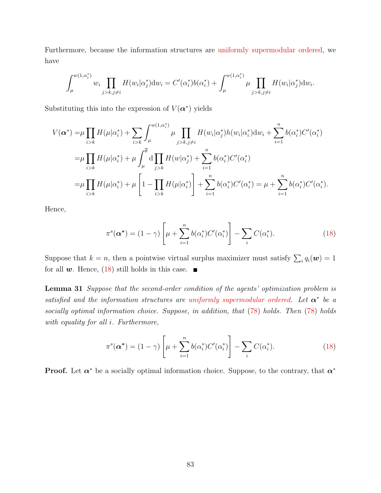Furthermore, because the information structures are [uniformly supermodular ordered,](#page-8-0) we have

$$
\int_{\mu}^{w(1,\alpha_i^*)} w_i \prod_{j>k,j\neq i} H(w_i|\alpha_j^*) \mathrm{d}w_i = C'(\alpha_i^*) b(\alpha_i^*) + \int_{\mu}^{w(1,\alpha_i^*)} \mu \prod_{j>k,j\neq i} H(w_i|\alpha_j^*) \mathrm{d}w_i.
$$

Substituting this into the expression of  $V(\boldsymbol{\alpha}^*)$  yields

$$
V(\alpha^*) = \mu \prod_{i>k} H(\mu|\alpha_i^*) + \sum_{i>k} \int_{\mu}^{w(1,\alpha_i^*)} \mu \prod_{j>k,j\neq i} H(w_i|\alpha_j^*)h(w_i|\alpha_i^*)dw_i + \sum_{i=1}^n b(\alpha_i^*)C'(\alpha_i^*)
$$
  
\n
$$
= \mu \prod_{i>k} H(\mu|\alpha_i^*) + \mu \int_{\mu}^{\overline{\theta}} d \prod_{j>k} H(w|\alpha_j^*) + \sum_{i=1}^n b(\alpha_i^*)C'(\alpha_i^*)
$$
  
\n
$$
= \mu \prod_{i>k} H(\mu|\alpha_i^*) + \mu \left[1 - \prod_{i>k} H(\mu|\alpha_i^*)\right] + \sum_{i=1}^n b(\alpha_i^*)C'(\alpha_i^*) = \mu + \sum_{i=1}^n b(\alpha_i^*)C'(\alpha_i^*).
$$

Hence,

$$
\pi^s(\boldsymbol{\alpha}^*) = (1 - \gamma) \left[ \mu + \sum_{i=1}^n b(\alpha_i^*) C'(\alpha_i^*) \right] - \sum_i C(\alpha_i^*). \tag{18}
$$

Suppose that  $k = n$ , then a pointwise virtual surplus maximizer must satisfy  $\sum_i q_i(\boldsymbol{w}) = 1$ for all w. Hence, [\(18\)](#page-33-1) still holds in this case.  $\blacksquare$ 

<span id="page-83-0"></span>Lemma 31 Suppose that the second-order condition of the agents' optimization problem is satisfied and the information structures are [uniformly supermodular ordered.](#page-8-0) Let  $\alpha^*$  be a socially optimal information choice. Suppose, in addition, that  $(78)$  holds. Then  $(78)$  holds with equality for all *i*. Furthermore,

$$
\pi^s(\boldsymbol{\alpha}^*) = (1 - \gamma) \left[ \mu + \sum_{i=1}^n b(\alpha_i^*) C'(\alpha_i^*) \right] - \sum_i C(\alpha_i^*). \tag{18}
$$

**Proof.** Let  $\alpha^*$  be a socially optimal information choice. Suppose, to the contrary, that  $\alpha^*$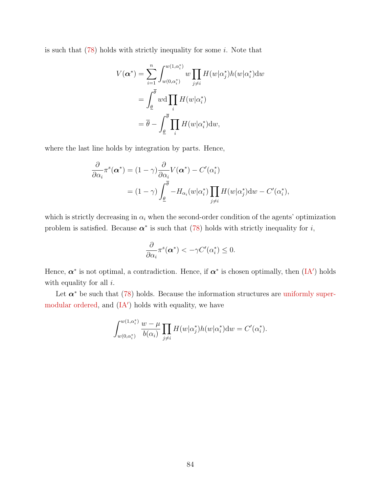is such that  $(78)$  holds with strictly inequality for some i. Note that

$$
V(\boldsymbol{\alpha}^*) = \sum_{i=1}^n \int_{w(0,\alpha_i^*)}^{w(1,\alpha_i^*)} w \prod_{j\neq i} H(w|\alpha_j^*) h(w|\alpha_i^*) dw
$$
  
= 
$$
\int_{\underline{\theta}}^{\overline{\theta}} w d \prod_i H(w|\alpha_i^*)
$$
  
= 
$$
\overline{\theta} - \int_{\underline{\theta}}^{\overline{\theta}} \prod_i H(w|\alpha_i^*) dw,
$$

where the last line holds by integration by parts. Hence,

$$
\frac{\partial}{\partial \alpha_i} \pi^s(\boldsymbol{\alpha}^*) = (1 - \gamma) \frac{\partial}{\partial \alpha_i} V(\boldsymbol{\alpha}^*) - C'(\alpha_i^*)
$$
  
=  $(1 - \gamma) \int_{\underline{\theta}}^{\overline{\theta}} -H_{\alpha_i}(w|\alpha_i^*) \prod_{j \neq i} H(w|\alpha_j^*) \mathrm{d}w - C'(\alpha_i^*),$ 

which is strictly decreasing in  $\alpha_i$  when the second-order condition of the agents' optimization problem is satisfied. Because  $\alpha^*$  is such that [\(78\)](#page-81-0) holds with strictly inequality for i,

$$
\frac{\partial}{\partial \alpha_i} \pi^s(\boldsymbol{\alpha}^*) < -\gamma C'(\alpha_i^*) \leq 0.
$$

Hence,  $\alpha^*$  is not optimal, a contradiction. Hence, if  $\alpha^*$  is chosen optimally, then [\(IA](#page-32-4)') holds with equality for all  $i$ .

Let  $\alpha^*$  be such that [\(78\)](#page-81-0) holds. Because the information structures are [uniformly super](#page-8-0)[modular ordered,](#page-8-0) and  $(IA')$  $(IA')$  holds with equality, we have

$$
\int_{w(0,\alpha_i^*)}^{w(1,\alpha_i^*)} \frac{w-\mu}{b(\alpha_i)} \prod_{j\neq i} H(w|\alpha_j^*) h(w|\alpha_i^*) \mathrm{d}w = C'(\alpha_i^*).
$$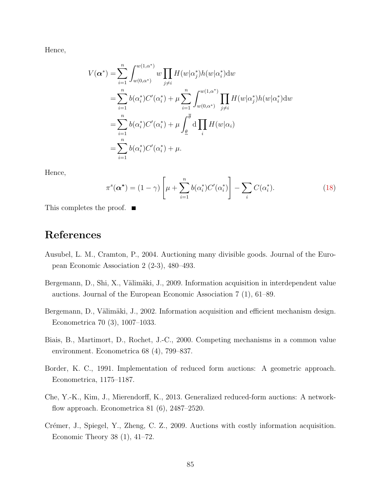Hence,

$$
V(\alpha^*) = \sum_{i=1}^n \int_{w(0,\alpha^*)}^{w(1,\alpha^*)} w \prod_{j\neq i} H(w|\alpha_j^*) h(w|\alpha_i^*) dw
$$
  
\n
$$
= \sum_{i=1}^n b(\alpha_i^*) C'(\alpha_i^*) + \mu \sum_{i=1}^n \int_{w(0,\alpha^*)}^{w(1,\alpha^*)} \prod_{j\neq i} H(w|\alpha_j^*) h(w|\alpha_i^*) dw
$$
  
\n
$$
= \sum_{i=1}^n b(\alpha_i^*) C'(\alpha_i^*) + \mu \int_{\underline{\theta}}^{\overline{\theta}} d \prod_i H(w|\alpha_i)
$$
  
\n
$$
= \sum_{i=1}^n b(\alpha_i^*) C'(\alpha_i^*) + \mu.
$$

Hence,

$$
\pi^s(\boldsymbol{\alpha}^*) = (1 - \gamma) \left[ \mu + \sum_{i=1}^n b(\alpha_i^*) C'(\alpha_i^*) \right] - \sum_i C(\alpha_i^*). \tag{18}
$$

This completes the proof. ■

# References

- Ausubel, L. M., Cramton, P., 2004. Auctioning many divisible goods. Journal of the European Economic Association 2 (2-3), 480–493.
- Bergemann, D., Shi, X., Välimäki, J., 2009. Information acquisition in interdependent value auctions. Journal of the European Economic Association 7 (1), 61–89.
- Bergemann, D., Välimäki, J., 2002. Information acquisition and efficient mechanism design. Econometrica 70 (3), 1007–1033.
- Biais, B., Martimort, D., Rochet, J.-C., 2000. Competing mechanisms in a common value environment. Econometrica 68 (4), 799–837.
- Border, K. C., 1991. Implementation of reduced form auctions: A geometric approach. Econometrica, 1175–1187.
- Che, Y.-K., Kim, J., Mierendorff, K., 2013. Generalized reduced-form auctions: A networkflow approach. Econometrica 81 (6), 2487–2520.
- Crémer, J., Spiegel, Y., Zheng, C. Z., 2009. Auctions with costly information acquisition. Economic Theory 38 (1), 41–72.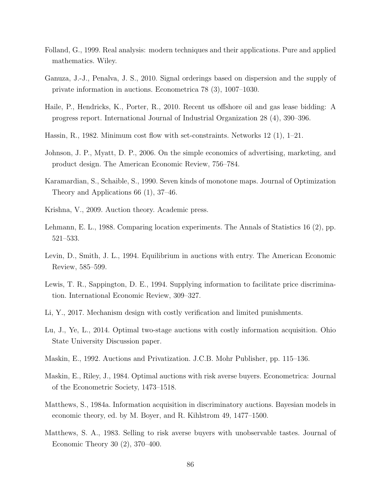- Folland, G., 1999. Real analysis: modern techniques and their applications. Pure and applied mathematics. Wiley.
- Ganuza, J.-J., Penalva, J. S., 2010. Signal orderings based on dispersion and the supply of private information in auctions. Econometrica 78 (3), 1007–1030.
- Haile, P., Hendricks, K., Porter, R., 2010. Recent us offshore oil and gas lease bidding: A progress report. International Journal of Industrial Organization 28 (4), 390–396.
- Hassin, R., 1982. Minimum cost flow with set-constraints. Networks 12 (1), 1–21.
- Johnson, J. P., Myatt, D. P., 2006. On the simple economics of advertising, marketing, and product design. The American Economic Review, 756–784.
- Karamardian, S., Schaible, S., 1990. Seven kinds of monotone maps. Journal of Optimization Theory and Applications 66 (1), 37–46.
- Krishna, V., 2009. Auction theory. Academic press.
- Lehmann, E. L., 1988. Comparing location experiments. The Annals of Statistics 16 (2), pp. 521–533.
- Levin, D., Smith, J. L., 1994. Equilibrium in auctions with entry. The American Economic Review, 585–599.
- Lewis, T. R., Sappington, D. E., 1994. Supplying information to facilitate price discrimination. International Economic Review, 309–327.
- Li, Y., 2017. Mechanism design with costly verification and limited punishments.
- Lu, J., Ye, L., 2014. Optimal two-stage auctions with costly information acquisition. Ohio State University Discussion paper.
- Maskin, E., 1992. Auctions and Privatization. J.C.B. Mohr Publisher, pp. 115–136.
- Maskin, E., Riley, J., 1984. Optimal auctions with risk averse buyers. Econometrica: Journal of the Econometric Society, 1473–1518.
- Matthews, S., 1984a. Information acquisition in discriminatory auctions. Bayesian models in economic theory, ed. by M. Boyer, and R. Kihlstrom 49, 1477–1500.
- Matthews, S. A., 1983. Selling to risk averse buyers with unobservable tastes. Journal of Economic Theory 30 (2), 370–400.